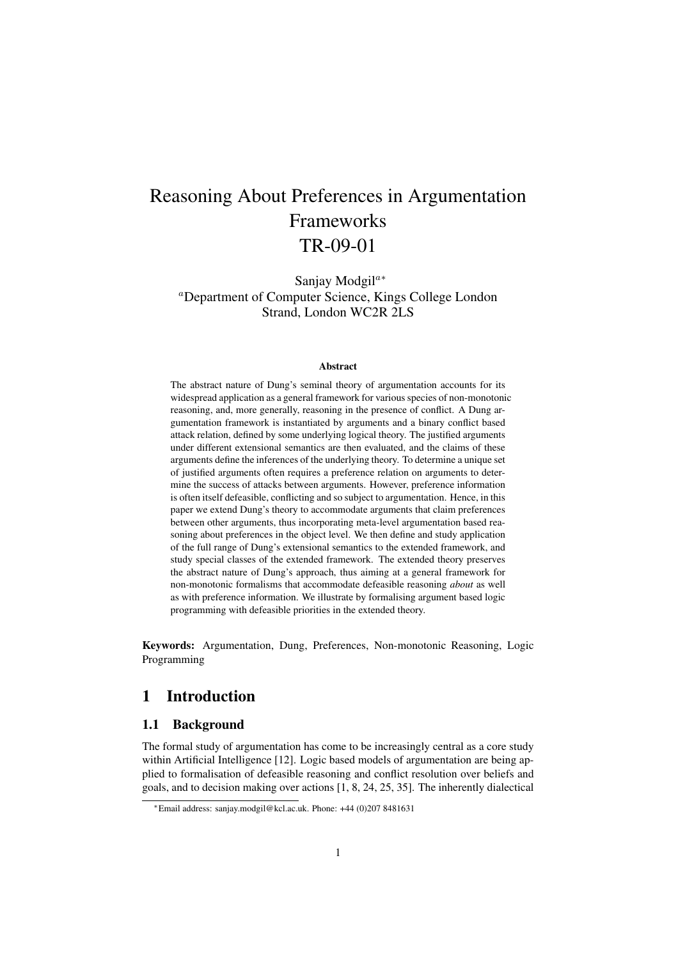# Reasoning About Preferences in Argumentation Frameworks TR-09-01

Sanjay Modgil<sup>a∗</sup> <sup>a</sup>Department of Computer Science, Kings College London Strand, London WC2R 2LS

#### **Abstract**

The abstract nature of Dung's seminal theory of argumentation accounts for its widespread application as a general framework for various species of non-monotonic reasoning, and, more generally, reasoning in the presence of conflict. A Dung argumentation framework is instantiated by arguments and a binary conflict based attack relation, defined by some underlying logical theory. The justified arguments under different extensional semantics are then evaluated, and the claims of these arguments define the inferences of the underlying theory. To determine a unique set of justified arguments often requires a preference relation on arguments to determine the success of attacks between arguments. However, preference information is often itself defeasible, conflicting and so subject to argumentation. Hence, in this paper we extend Dung's theory to accommodate arguments that claim preferences between other arguments, thus incorporating meta-level argumentation based reasoning about preferences in the object level. We then define and study application of the full range of Dung's extensional semantics to the extended framework, and study special classes of the extended framework. The extended theory preserves the abstract nature of Dung's approach, thus aiming at a general framework for non-monotonic formalisms that accommodate defeasible reasoning *about* as well as with preference information. We illustrate by formalising argument based logic programming with defeasible priorities in the extended theory.

Keywords: Argumentation, Dung, Preferences, Non-monotonic Reasoning, Logic Programming

### 1 Introduction

### 1.1 Background

The formal study of argumentation has come to be increasingly central as a core study within Artificial Intelligence [12]. Logic based models of argumentation are being applied to formalisation of defeasible reasoning and conflict resolution over beliefs and goals, and to decision making over actions [1, 8, 24, 25, 35]. The inherently dialectical

<sup>∗</sup>Email address: sanjay.modgil@kcl.ac.uk. Phone: +44 (0)207 8481631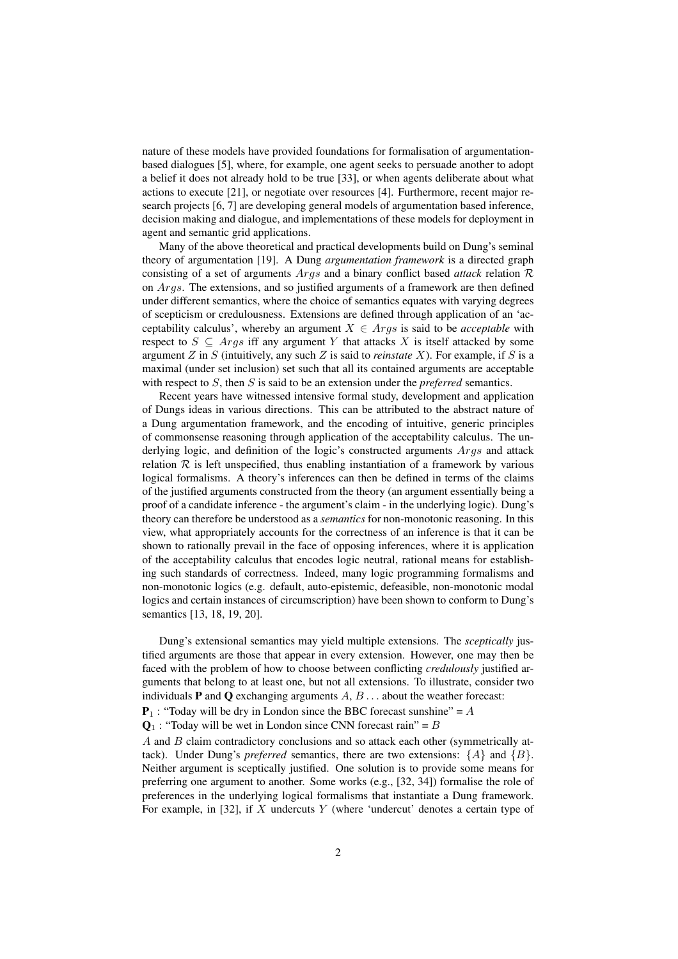nature of these models have provided foundations for formalisation of argumentationbased dialogues [5], where, for example, one agent seeks to persuade another to adopt a belief it does not already hold to be true [33], or when agents deliberate about what actions to execute [21], or negotiate over resources [4]. Furthermore, recent major research projects [6, 7] are developing general models of argumentation based inference, decision making and dialogue, and implementations of these models for deployment in agent and semantic grid applications.

Many of the above theoretical and practical developments build on Dung's seminal theory of argumentation [19]. A Dung *argumentation framework* is a directed graph consisting of a set of arguments Args and a binary conflict based *attack* relation R on Args. The extensions, and so justified arguments of a framework are then defined under different semantics, where the choice of semantics equates with varying degrees of scepticism or credulousness. Extensions are defined through application of an 'acceptability calculus', whereby an argument  $X \in \text{Arg } s$  is said to be *acceptable* with respect to  $S \subseteq \text{Arg } s$  iff any argument Y that attacks X is itself attacked by some argument Z in S (intuitively, any such Z is said to *reinstate* X). For example, if S is a maximal (under set inclusion) set such that all its contained arguments are acceptable with respect to  $S$ , then  $S$  is said to be an extension under the *preferred* semantics.

Recent years have witnessed intensive formal study, development and application of Dungs ideas in various directions. This can be attributed to the abstract nature of a Dung argumentation framework, and the encoding of intuitive, generic principles of commonsense reasoning through application of the acceptability calculus. The underlying logic, and definition of the logic's constructed arguments *Args* and attack relation  $R$  is left unspecified, thus enabling instantiation of a framework by various logical formalisms. A theory's inferences can then be defined in terms of the claims of the justified arguments constructed from the theory (an argument essentially being a proof of a candidate inference - the argument's claim - in the underlying logic). Dung's theory can therefore be understood as a *semantics* for non-monotonic reasoning. In this view, what appropriately accounts for the correctness of an inference is that it can be shown to rationally prevail in the face of opposing inferences, where it is application of the acceptability calculus that encodes logic neutral, rational means for establishing such standards of correctness. Indeed, many logic programming formalisms and non-monotonic logics (e.g. default, auto-epistemic, defeasible, non-monotonic modal logics and certain instances of circumscription) have been shown to conform to Dung's semantics [13, 18, 19, 20].

Dung's extensional semantics may yield multiple extensions. The *sceptically* justified arguments are those that appear in every extension. However, one may then be faced with the problem of how to choose between conflicting *credulously* justified arguments that belong to at least one, but not all extensions. To illustrate, consider two individuals **P** and **Q** exchanging arguments  $A, B, \ldots$  about the weather forecast:

 $P_1$ : "Today will be dry in London since the BBC forecast sunshine" = A

 $\mathbf{Q}_1$ : "Today will be wet in London since CNN forecast rain" = B

A and B claim contradictory conclusions and so attack each other (symmetrically attack). Under Dung's *preferred* semantics, there are two extensions:  $\{A\}$  and  $\{B\}$ . Neither argument is sceptically justified. One solution is to provide some means for preferring one argument to another. Some works (e.g., [32, 34]) formalise the role of preferences in the underlying logical formalisms that instantiate a Dung framework. For example, in [32], if  $X$  undercuts  $Y$  (where 'undercut' denotes a certain type of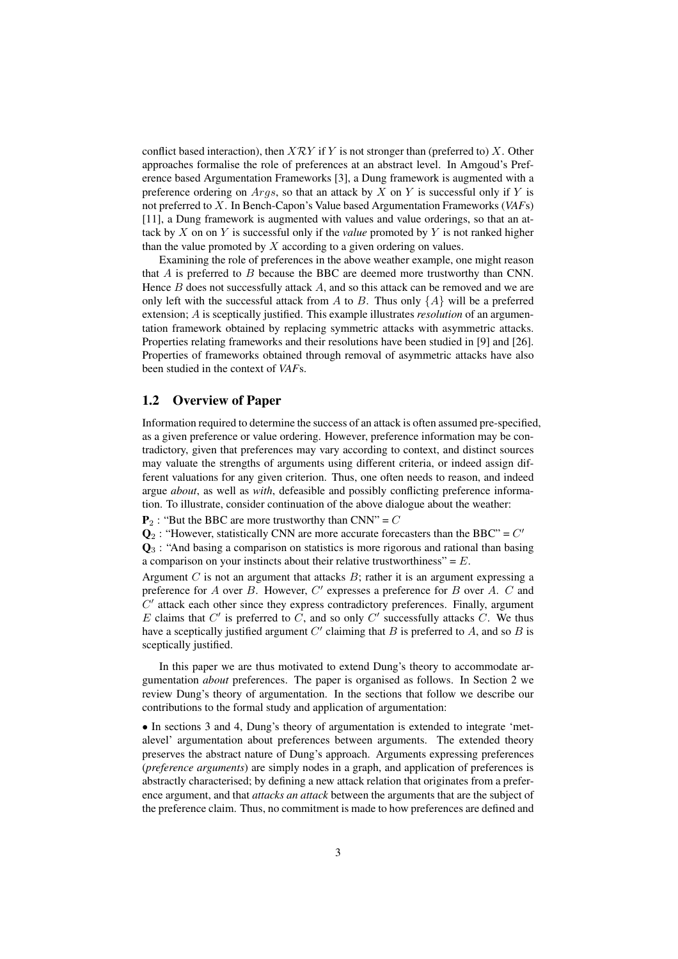conflict based interaction), then  $X\mathcal{R}Y$  if Y is not stronger than (preferred to) X. Other approaches formalise the role of preferences at an abstract level. In Amgoud's Preference based Argumentation Frameworks [3], a Dung framework is augmented with a preference ordering on  $Args$ , so that an attack by X on Y is successful only if Y is not preferred to X. In Bench-Capon's Value based Argumentation Frameworks (*VAF*s) [11], a Dung framework is augmented with values and value orderings, so that an attack by X on on Y is successful only if the *value* promoted by Y is not ranked higher than the value promoted by  $X$  according to a given ordering on values.

Examining the role of preferences in the above weather example, one might reason that  $A$  is preferred to  $B$  because the BBC are deemed more trustworthy than CNN. Hence  $B$  does not successfully attack  $A$ , and so this attack can be removed and we are only left with the successful attack from A to B. Thus only  $\{A\}$  will be a preferred extension; A is sceptically justified. This example illustrates *resolution* of an argumentation framework obtained by replacing symmetric attacks with asymmetric attacks. Properties relating frameworks and their resolutions have been studied in [9] and [26]. Properties of frameworks obtained through removal of asymmetric attacks have also been studied in the context of *VAF*s.

### 1.2 Overview of Paper

Information required to determine the success of an attack is often assumed pre-specified, as a given preference or value ordering. However, preference information may be contradictory, given that preferences may vary according to context, and distinct sources may valuate the strengths of arguments using different criteria, or indeed assign different valuations for any given criterion. Thus, one often needs to reason, and indeed argue *about*, as well as *with*, defeasible and possibly conflicting preference information. To illustrate, consider continuation of the above dialogue about the weather:

 $P_2$ : "But the BBC are more trustworthy than CNN" = C

 $\mathbf{Q}_2$ : "However, statistically CNN are more accurate forecasters than the BBC" =  $C'$ 

 $\mathbf{Q}_3$ : "And basing a comparison on statistics is more rigorous and rational than basing a comparison on your instincts about their relative trustworthiness" =  $E$ .

Argument  $C$  is not an argument that attacks  $B$ ; rather it is an argument expressing a preference for  $A$  over  $B$ . However,  $C'$  expresses a preference for  $B$  over  $A$ .  $C$  and  $C'$  attack each other since they express contradictory preferences. Finally, argument E claims that  $C'$  is preferred to  $C$ , and so only  $C'$  successfully attacks  $C$ . We thus have a sceptically justified argument  $C'$  claiming that B is preferred to A, and so B is sceptically justified.

In this paper we are thus motivated to extend Dung's theory to accommodate argumentation *about* preferences. The paper is organised as follows. In Section 2 we review Dung's theory of argumentation. In the sections that follow we describe our contributions to the formal study and application of argumentation:

• In sections 3 and 4, Dung's theory of argumentation is extended to integrate 'metalevel' argumentation about preferences between arguments. The extended theory preserves the abstract nature of Dung's approach. Arguments expressing preferences (*preference arguments*) are simply nodes in a graph, and application of preferences is abstractly characterised; by defining a new attack relation that originates from a preference argument, and that *attacks an attack* between the arguments that are the subject of the preference claim. Thus, no commitment is made to how preferences are defined and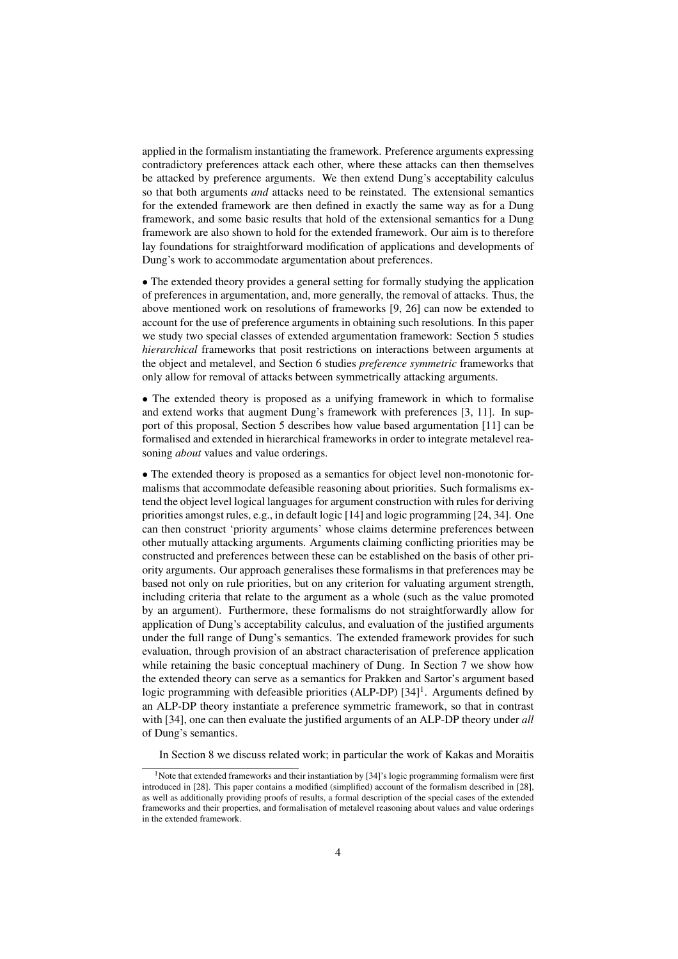applied in the formalism instantiating the framework. Preference arguments expressing contradictory preferences attack each other, where these attacks can then themselves be attacked by preference arguments. We then extend Dung's acceptability calculus so that both arguments *and* attacks need to be reinstated. The extensional semantics for the extended framework are then defined in exactly the same way as for a Dung framework, and some basic results that hold of the extensional semantics for a Dung framework are also shown to hold for the extended framework. Our aim is to therefore lay foundations for straightforward modification of applications and developments of Dung's work to accommodate argumentation about preferences.

• The extended theory provides a general setting for formally studying the application of preferences in argumentation, and, more generally, the removal of attacks. Thus, the above mentioned work on resolutions of frameworks [9, 26] can now be extended to account for the use of preference arguments in obtaining such resolutions. In this paper we study two special classes of extended argumentation framework: Section 5 studies *hierarchical* frameworks that posit restrictions on interactions between arguments at the object and metalevel, and Section 6 studies *preference symmetric* frameworks that only allow for removal of attacks between symmetrically attacking arguments.

• The extended theory is proposed as a unifying framework in which to formalise and extend works that augment Dung's framework with preferences [3, 11]. In support of this proposal, Section 5 describes how value based argumentation [11] can be formalised and extended in hierarchical frameworks in order to integrate metalevel reasoning *about* values and value orderings.

• The extended theory is proposed as a semantics for object level non-monotonic formalisms that accommodate defeasible reasoning about priorities. Such formalisms extend the object level logical languages for argument construction with rules for deriving priorities amongst rules, e.g., in default logic [14] and logic programming [24, 34]. One can then construct 'priority arguments' whose claims determine preferences between other mutually attacking arguments. Arguments claiming conflicting priorities may be constructed and preferences between these can be established on the basis of other priority arguments. Our approach generalises these formalisms in that preferences may be based not only on rule priorities, but on any criterion for valuating argument strength, including criteria that relate to the argument as a whole (such as the value promoted by an argument). Furthermore, these formalisms do not straightforwardly allow for application of Dung's acceptability calculus, and evaluation of the justified arguments under the full range of Dung's semantics. The extended framework provides for such evaluation, through provision of an abstract characterisation of preference application while retaining the basic conceptual machinery of Dung. In Section 7 we show how the extended theory can serve as a semantics for Prakken and Sartor's argument based logic programming with defeasible priorities (ALP-DP) [34]<sup>1</sup>. Arguments defined by an ALP-DP theory instantiate a preference symmetric framework, so that in contrast with [34], one can then evaluate the justified arguments of an ALP-DP theory under *all* of Dung's semantics.

In Section 8 we discuss related work; in particular the work of Kakas and Moraitis

<sup>&</sup>lt;sup>1</sup>Note that extended frameworks and their instantiation by [34]'s logic programming formalism were first introduced in [28]. This paper contains a modified (simplified) account of the formalism described in [28], as well as additionally providing proofs of results, a formal description of the special cases of the extended frameworks and their properties, and formalisation of metalevel reasoning about values and value orderings in the extended framework.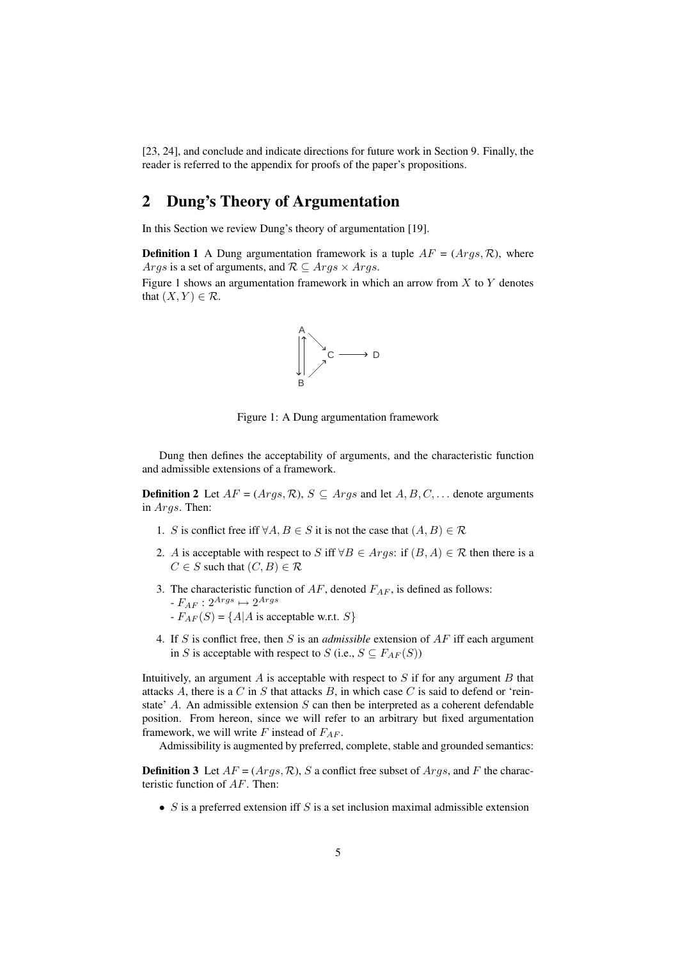[23, 24], and conclude and indicate directions for future work in Section 9. Finally, the reader is referred to the appendix for proofs of the paper's propositions.

### 2 Dung's Theory of Argumentation

In this Section we review Dung's theory of argumentation [19].

**Definition 1** A Dung argumentation framework is a tuple  $AF = (Args, \mathcal{R})$ , where *Args* is a set of arguments, and  $\mathcal{R} \subseteq \text{Args} \times \text{Args}$ .

Figure 1 shows an argumentation framework in which an arrow from  $X$  to  $Y$  denotes that  $(X, Y) \in \mathcal{R}$ .



Figure 1: A Dung argumentation framework

Dung then defines the acceptability of arguments, and the characteristic function and admissible extensions of a framework.

**Definition 2** Let  $AF = (Args, R)$ ,  $S \subseteq Args$  and let  $A, B, C, \ldots$  denote arguments in Args. Then:

- 1. S is conflict free iff  $\forall A, B \in S$  it is not the case that  $(A, B) \in \mathcal{R}$
- 2. A is acceptable with respect to S iff  $\forall B \in \text{A} \text{rgs}$ : if  $(B, A) \in \mathcal{R}$  then there is a  $C \in S$  such that  $(C, B) \in \mathcal{R}$
- 3. The characteristic function of  $AF$ , denoted  $F_{AF}$ , is defined as follows:  $-F_{AF}: 2^{Args} \mapsto 2^{Args}$  $-F_{AF}(S) = \{A | A \text{ is acceptable w.r.t. } S\}$
- 4. If S is conflict free, then S is an *admissible* extension of AF iff each argument in S is acceptable with respect to S (i.e.,  $S \subseteq F_{AF}(S)$ )

Intuitively, an argument  $A$  is acceptable with respect to  $S$  if for any argument  $B$  that attacks A, there is a  $C$  in  $S$  that attacks  $B$ , in which case  $C$  is said to defend or 'reinstate' A. An admissible extension  $S$  can then be interpreted as a coherent defendable position. From hereon, since we will refer to an arbitrary but fixed argumentation framework, we will write F instead of  $F_{AF}$ .

Admissibility is augmented by preferred, complete, stable and grounded semantics:

**Definition 3** Let  $AF = (Args, R)$ , S a conflict free subset of  $Args$ , and F the characteristic function of AF. Then:

•  $S$  is a preferred extension iff  $S$  is a set inclusion maximal admissible extension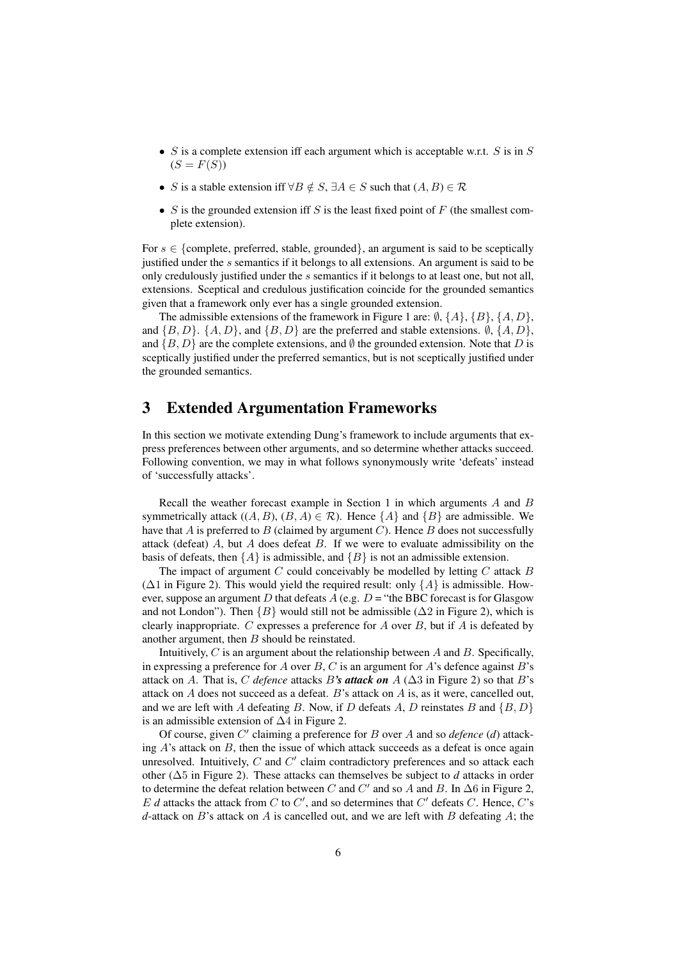- $S$  is a complete extension iff each argument which is acceptable w.r.t.  $S$  is in  $S$  $(S = F(S))$
- S is a stable extension iff  $\forall B \notin S$ ,  $\exists A \in S$  such that  $(A, B) \in \mathcal{R}$
- S is the grounded extension iff S is the least fixed point of F (the smallest complete extension).

For  $s \in \{\text{complete}, \text{ preferred}, \text{stable}, \text{grounded}\}\$ , an argument is said to be sceptically justified under the s semantics if it belongs to all extensions. An argument is said to be only credulously justified under the s semantics if it belongs to at least one, but not all, extensions. Sceptical and credulous justification coincide for the grounded semantics given that a framework only ever has a single grounded extension.

The admissible extensions of the framework in Figure 1 are:  $\emptyset$ ,  $\{A\}$ ,  $\{B\}$ ,  $\{A, D\}$ , and  $\{B, D\}$ .  $\{A, D\}$ , and  $\{B, D\}$  are the preferred and stable extensions.  $\emptyset$ ,  $\{A, D\}$ , and  $\{B, D\}$  are the complete extensions, and  $\emptyset$  the grounded extension. Note that D is sceptically justified under the preferred semantics, but is not sceptically justified under the grounded semantics.

### 3 Extended Argumentation Frameworks

In this section we motivate extending Dung's framework to include arguments that express preferences between other arguments, and so determine whether attacks succeed. Following convention, we may in what follows synonymously write 'defeats' instead of 'successfully attacks'.

Recall the weather forecast example in Section 1 in which arguments A and B symmetrically attack  $((A, B), (B, A) \in \mathcal{R})$ . Hence  $\{A\}$  and  $\{B\}$  are admissible. We have that  $A$  is preferred to  $B$  (claimed by argument  $C$ ). Hence  $B$  does not successfully attack (defeat)  $A$ , but  $A$  does defeat  $B$ . If we were to evaluate admissibility on the basis of defeats, then  $\{A\}$  is admissible, and  $\{B\}$  is not an admissible extension.

The impact of argument  $C$  could conceivably be modelled by letting  $C$  attack  $B$  $(\Delta 1)$  in Figure 2). This would yield the required result: only  $\{A\}$  is admissible. However, suppose an argument D that defeats  $A$  (e.g.  $D =$  "the BBC forecast is for Glasgow and not London"). Then  ${B}$  would still not be admissible ( $\Delta 2$  in Figure 2), which is clearly inappropriate. C expresses a preference for A over  $B$ , but if A is defeated by another argument, then  $B$  should be reinstated.

Intuitively,  $C$  is an argument about the relationship between  $A$  and  $B$ . Specifically, in expressing a preference for A over  $B, C$  is an argument for A's defence against B's attack on A. That is, C *defence* attacks B's **attack on** A ( $\Delta$ 3 in Figure 2) so that B's attack on A does not succeed as a defeat. B's attack on A is, as it were, cancelled out, and we are left with A defeating B. Now, if D defeats A, D reinstates B and  $\{B, D\}$ is an admissible extension of ∆4 in Figure 2.

Of course, given  $C'$  claiming a preference for  $B$  over  $A$  and so *defence* ( $d$ ) attacking  $A$ 's attack on  $B$ , then the issue of which attack succeeds as a defeat is once again unresolved. Intuitively,  $C$  and  $C'$  claim contradictory preferences and so attack each other (∆5 in Figure 2). These attacks can themselves be subject to *d* attacks in order to determine the defeat relation between C and C' and so A and B. In  $\Delta 6$  in Figure 2,  $E$  *d* attacks the attack from  $C$  to  $C'$ , and so determines that  $C'$  defeats  $C$ . Hence,  $C$ 's  $d$ -attack on  $B$ 's attack on  $A$  is cancelled out, and we are left with  $B$  defeating  $A$ ; the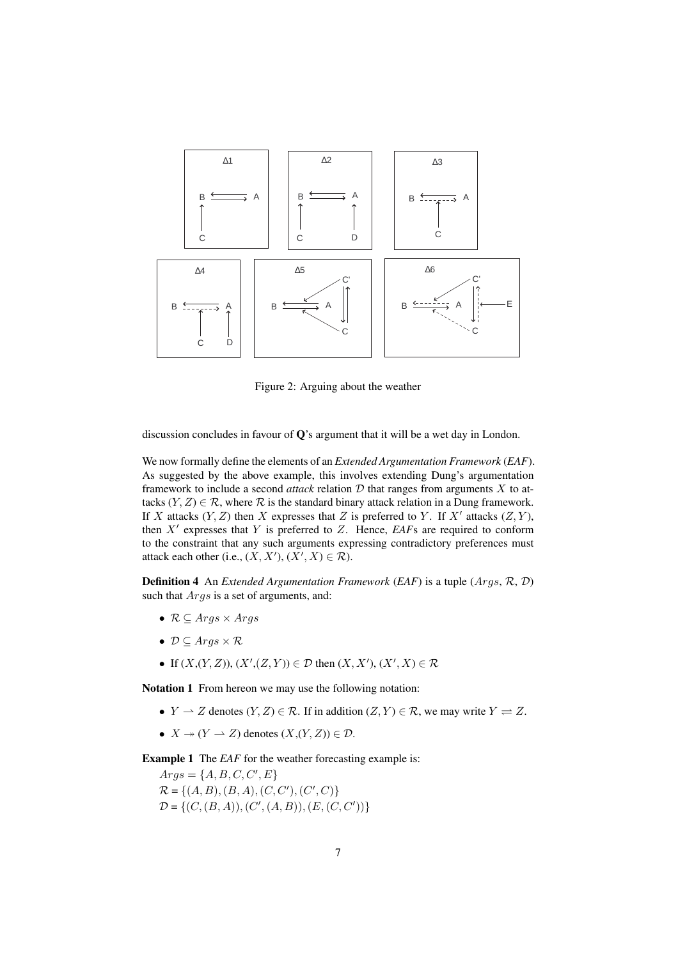

Figure 2: Arguing about the weather

discussion concludes in favour of  $\mathbf{O}$ 's argument that it will be a wet day in London.

We now formally define the elements of an *Extended Argumentation Framework* (*EAF*). As suggested by the above example, this involves extending Dung's argumentation framework to include a second *attack* relation  $D$  that ranges from arguments  $X$  to attacks  $(Y, Z) \in \mathcal{R}$ , where  $\mathcal R$  is the standard binary attack relation in a Dung framework. If X attacks  $(Y, Z)$  then X expresses that Z is preferred to Y. If X' attacks  $(Z, Y)$ , then  $X'$  expresses that Y is preferred to  $Z$ . Hence,  $EAFs$  are required to conform to the constraint that any such arguments expressing contradictory preferences must attack each other (i.e.,  $(X, X')$ ,  $(X', X) \in \mathcal{R}$ ).

Definition 4 An *Extended Argumentation Framework* (*EAF*) is a tuple (Args, R, D) such that  $Args$  is a set of arguments, and:

- $\mathcal{R} \subseteq \text{Aras} \times \text{Aras}$
- $\mathcal{D} \subseteq \text{Args} \times \mathcal{R}$
- If  $(X,(Y,Z)), (X',(Z,Y)) \in \mathcal{D}$  then  $(X,X'), (X',X) \in \mathcal{R}$

Notation 1 From hereon we may use the following notation:

- $Y \rightharpoonup Z$  denotes  $(Y, Z) \in \mathcal{R}$ . If in addition  $(Z, Y) \in \mathcal{R}$ , we may write  $Y \rightharpoonup Z$ .
- $X \to (Y \to Z)$  denotes  $(X,(Y,Z)) \in \mathcal{D}$ .

**Example 1** The *EAF* for the weather forecasting example is:

 $Args = \{A, B, C, C', E\}$  $\mathcal{R} = \{(A, B), (B, A), (C, C'), (C', C)\}\$  $\mathcal{D} = \{ (C, (B, A)), (C', (A, B)), (E, (C, C')) \}$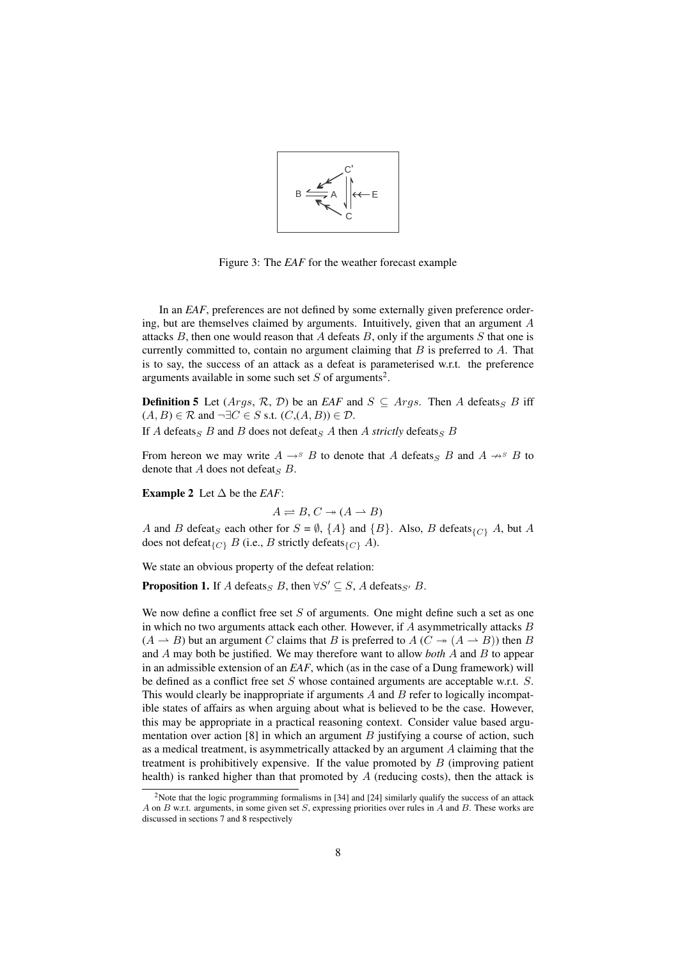

Figure 3: The *EAF* for the weather forecast example

In an *EAF*, preferences are not defined by some externally given preference ordering, but are themselves claimed by arguments. Intuitively, given that an argument A attacks  $B$ , then one would reason that  $A$  defeats  $B$ , only if the arguments  $S$  that one is currently committed to, contain no argument claiming that  $B$  is preferred to  $A$ . That is to say, the success of an attack as a defeat is parameterised w.r.t. the preference arguments available in some such set  $S$  of arguments<sup>2</sup>.

**Definition 5** Let  $(Args, R, D)$  be an *EAF* and  $S \subseteq Args$ . Then A defeats<sub>S</sub> B iff  $(A, B) \in \mathcal{R}$  and  $\neg \exists C \in S$  s.t.  $(C, (A, B)) \in \mathcal{D}$ .

If A defeats<sub>S</sub> B and B does not defeat<sub>S</sub> A then A *strictly* defeats<sub>S</sub> B

From hereon we may write  $A \rightarrow^{s} B$  to denote that A defeats<sub>S</sub> B and  $A \rightarrow^{s} B$  to denote that A does not defeats  $B$ .

**Example 2** Let  $\triangle$  be the *EAF*:

$$
A \rightleftharpoons B, C \rightarrow (A \rightarrow B)
$$

A and B defeat<sub>S</sub> each other for  $S = \emptyset$ ,  $\{A\}$  and  $\{B\}$ . Also, B defeats<sub>{C}</sub> A, but A does not defeat<sub>{C}</sub> B (i.e., B strictly defeats<sub>{C}</sub> A).

We state an obvious property of the defeat relation:

**Proposition 1.** If A defeats<sub>S</sub> B, then  $\forall S' \subseteq S$ , A defeats<sub>S'</sub> B.

We now define a conflict free set  $S$  of arguments. One might define such a set as one in which no two arguments attack each other. However, if  $A$  asymmetrically attacks  $B$  $(A \rightarrow B)$  but an argument C claims that B is preferred to  $A (C \rightarrow (A \rightarrow B))$  then B and A may both be justified. We may therefore want to allow *both* A and B to appear in an admissible extension of an *EAF*, which (as in the case of a Dung framework) will be defined as a conflict free set S whose contained arguments are acceptable w.r.t. S. This would clearly be inappropriate if arguments  $A$  and  $B$  refer to logically incompatible states of affairs as when arguing about what is believed to be the case. However, this may be appropriate in a practical reasoning context. Consider value based argumentation over action [8] in which an argument  $B$  justifying a course of action, such as a medical treatment, is asymmetrically attacked by an argument A claiming that the treatment is prohibitively expensive. If the value promoted by  $B$  (improving patient health) is ranked higher than that promoted by  $A$  (reducing costs), then the attack is

<sup>&</sup>lt;sup>2</sup>Note that the logic programming formalisms in [34] and [24] similarly qualify the success of an attack A on B w.r.t. arguments, in some given set S, expressing priorities over rules in  $\overline{A}$  and  $\overline{B}$ . These works are discussed in sections 7 and 8 respectively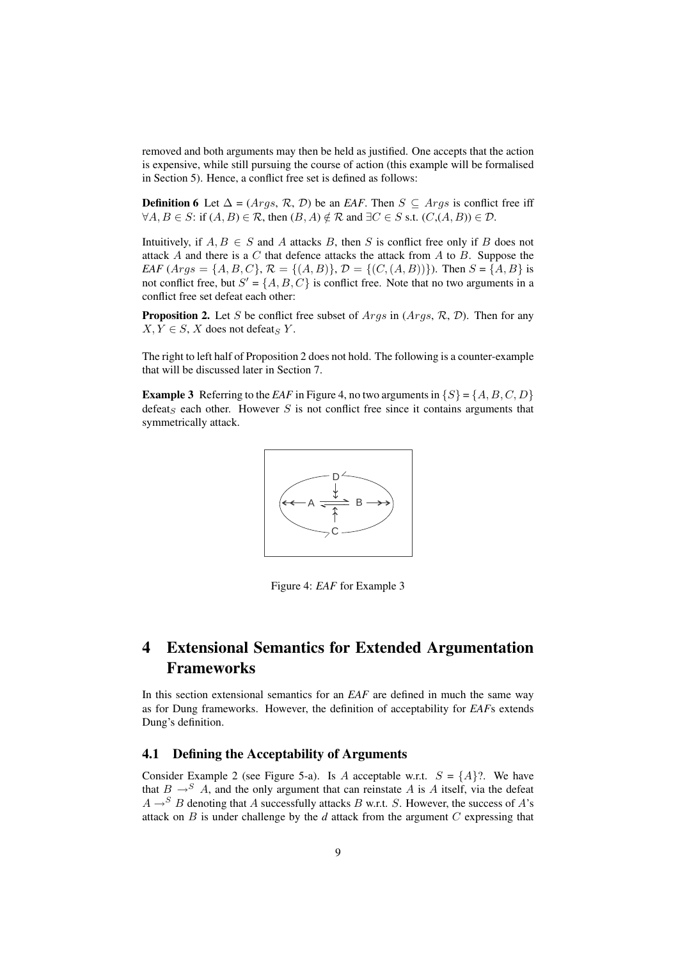removed and both arguments may then be held as justified. One accepts that the action is expensive, while still pursuing the course of action (this example will be formalised in Section 5). Hence, a conflict free set is defined as follows:

**Definition 6** Let  $\Delta = (Args, \mathcal{R}, \mathcal{D})$  be an *EAF*. Then  $S \subseteq Args$  is conflict free iff  $\forall A, B \in S$ : if  $(A, B) \in \mathcal{R}$ , then  $(B, A) \notin \mathcal{R}$  and  $\exists C \in S$  s.t.  $(C, (A, B)) \in \mathcal{D}$ .

Intuitively, if  $A, B \in S$  and A attacks B, then S is conflict free only if B does not attack  $A$  and there is a  $C$  that defence attacks the attack from  $A$  to  $B$ . Suppose the *EAF* (*Args* = { $A, B, C$ },  $\mathcal{R} = \{(A, B)\}\$ ,  $\mathcal{D} = \{(C, (A, B))\}\$ ). Then  $S = \{A, B\}$  is not conflict free, but  $S' = \{A, B, C\}$  is conflict free. Note that no two arguments in a conflict free set defeat each other:

**Proposition 2.** Let S be conflict free subset of  $Args$  in  $(Args, \mathcal{R}, \mathcal{D})$ . Then for any  $X, Y \in S$ , X does not defeat<sub>S</sub> Y.

The right to left half of Proposition 2 does not hold. The following is a counter-example that will be discussed later in Section 7.

**Example 3** Referring to the *EAF* in Figure 4, no two arguments in  $\{S\} = \{A, B, C, D\}$ defeat<sub>s</sub> each other. However S is not conflict free since it contains arguments that symmetrically attack.



Figure 4: *EAF* for Example 3

## 4 Extensional Semantics for Extended Argumentation Frameworks

In this section extensional semantics for an *EAF* are defined in much the same way as for Dung frameworks. However, the definition of acceptability for *EAF*s extends Dung's definition.

### 4.1 Defining the Acceptability of Arguments

Consider Example 2 (see Figure 5-a). Is A acceptable w.r.t.  $S = \{A\}$ ?. We have that  $B \rightarrow S A$ , and the only argument that can reinstate A is A itself, via the defeat  $A \rightarrow^{S} B$  denoting that A successfully attacks B w.r.t. S. However, the success of A's attack on B is under challenge by the *d* attack from the argument C expressing that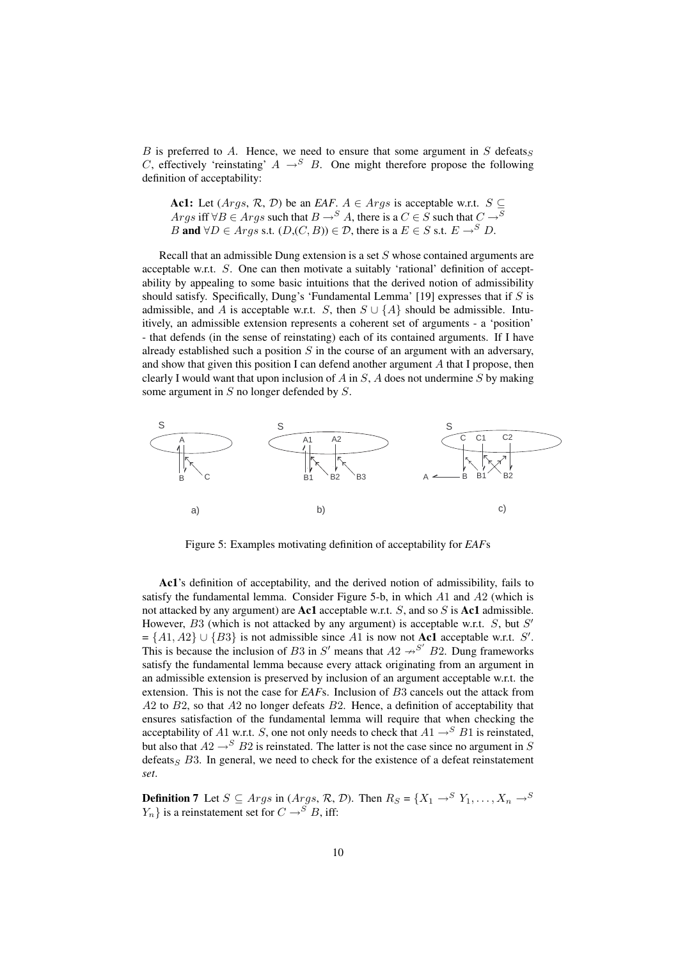$B$  is preferred to  $A$ . Hence, we need to ensure that some argument in  $S$  defeats $S$ C, effectively 'reinstating'  $A \rightarrow^{S} B$ . One might therefore propose the following definition of acceptability:

**Act:** Let 
$$
(Args, \mathcal{R}, \mathcal{D})
$$
 be an *EAF*.  $A \in Args$  is acceptable w.r.t.  $S \subseteq$   
Args iff  $\forall B \in Args$  such that  $B \rightarrow^S A$ , there is a  $C \in S$  such that  $C \rightarrow^S B$   
 $B$  and  $\forall D \in Args$  s.t.  $(D,(C, B)) \in \mathcal{D}$ , there is a  $E \in S$  s.t.  $E \rightarrow^S D$ .

Recall that an admissible Dung extension is a set S whose contained arguments are acceptable w.r.t. S. One can then motivate a suitably 'rational' definition of acceptability by appealing to some basic intuitions that the derived notion of admissibility should satisfy. Specifically, Dung's 'Fundamental Lemma' [19] expresses that if  $S$  is admissible, and A is acceptable w.r.t. S, then  $S \cup \{A\}$  should be admissible. Intuitively, an admissible extension represents a coherent set of arguments - a 'position' - that defends (in the sense of reinstating) each of its contained arguments. If I have already established such a position  $S$  in the course of an argument with an adversary, and show that given this position I can defend another argument  $A$  that I propose, then clearly I would want that upon inclusion of A in  $S$ , A does not undermine S by making some argument in  $S$  no longer defended by  $S$ .



Figure 5: Examples motivating definition of acceptability for *EAF*s

Ac1's definition of acceptability, and the derived notion of admissibility, fails to satisfy the fundamental lemma. Consider Figure 5-b, in which  $A1$  and  $A2$  (which is not attacked by any argument) are **Ac1** acceptable w.r.t.  $S$ , and so  $S$  is **Ac1** admissible. However,  $B3$  (which is not attacked by any argument) is acceptable w.r.t.  $S$ , but  $S'$  $= \{A1, A2\} \cup \{B3\}$  is not admissible since A1 is now not **Ac1** acceptable w.r.t. S'. This is because the inclusion of B3 in S' means that  $A2 \rightarrow S'$  B2. Dung frameworks satisfy the fundamental lemma because every attack originating from an argument in an admissible extension is preserved by inclusion of an argument acceptable w.r.t. the extension. This is not the case for *EAF*s. Inclusion of B3 cancels out the attack from  $A2$  to  $B2$ , so that  $A2$  no longer defeats  $B2$ . Hence, a definition of acceptability that ensures satisfaction of the fundamental lemma will require that when checking the acceptability of A1 w.r.t. S, one not only needs to check that  $A1 \rightarrow^{S} B1$  is reinstated, but also that  $A2 \rightarrow^{S} B2$  is reinstated. The latter is not the case since no argument in S defeats<sub>S</sub>  $B3$ . In general, we need to check for the existence of a defeat reinstatement *set*.

**Definition 7** Let  $S \subseteq \text{Args}$  in  $(\text{Args}, \mathcal{R}, \mathcal{D})$ . Then  $R_S = \{X_1 \rightarrow S \ Y_1, \dots, X_n \rightarrow S \}$  $Y_n$ } is a reinstatement set for  $C \rightarrow^{S} B$ , iff: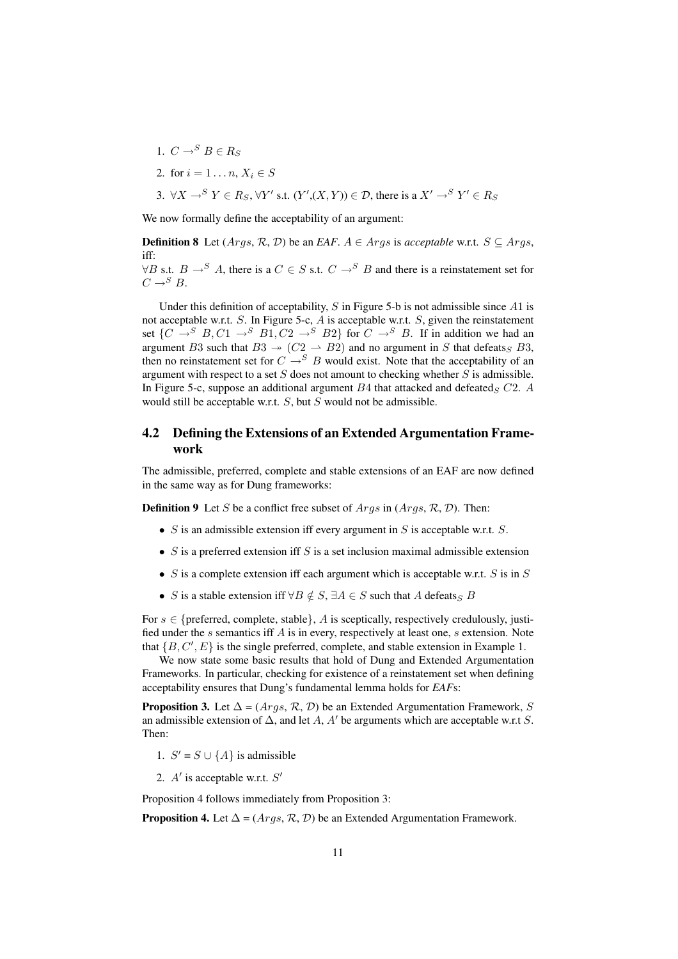- 1.  $C \rightarrow^S B \in R_S$
- 2. for  $i = 1...n, X_i \in S$

3. 
$$
\forall X \rightarrow^S Y \in R_S
$$
,  $\forall Y'$  s.t.  $(Y', (X, Y)) \in \mathcal{D}$ , there is a  $X' \rightarrow^S Y' \in R_S$ 

We now formally define the acceptability of an argument:

**Definition 8** Let  $(Args, R, D)$  be an *EAF*.  $A \in Args$  is *acceptable* w.r.t.  $S \subseteq Args$ , iff:

 $\forall B$  s.t.  $B \rightarrow^{S} A$ , there is a  $C \in S$  s.t.  $C \rightarrow^{S} B$  and there is a reinstatement set for  $C \rightarrow^{S} B$ .

Under this definition of acceptability,  $S$  in Figure 5-b is not admissible since  $A1$  is not acceptable w.r.t.  $S$ . In Figure 5-c,  $A$  is acceptable w.r.t.  $S$ , given the reinstatement set  $\{C \rightarrow^S B, C1 \rightarrow^S B1, C2 \rightarrow^S B2\}$  for  $C \rightarrow^S B$ . If in addition we had an argument B3 such that  $B3 \rightarrow (C2 \rightarrow B2)$  and no argument in S that defeats B3, then no reinstatement set for  $C \rightarrow^{S} B$  would exist. Note that the acceptability of an argument with respect to a set  $S$  does not amount to checking whether  $S$  is admissible. In Figure 5-c, suppose an additional argument  $B4$  that attacked and defeated<sub>S</sub>  $C2$ . A would still be acceptable w.r.t.  $S$ , but  $S$  would not be admissible.

### 4.2 Defining the Extensions of an Extended Argumentation Framework

The admissible, preferred, complete and stable extensions of an EAF are now defined in the same way as for Dung frameworks:

**Definition 9** Let S be a conflict free subset of  $Args$  in  $(Args, \mathcal{R}, \mathcal{D})$ . Then:

- $S$  is an admissible extension iff every argument in  $S$  is acceptable w.r.t.  $S$ .
- $S$  is a preferred extension iff  $S$  is a set inclusion maximal admissible extension
- S is a complete extension iff each argument which is acceptable w.r.t. S is in S
- S is a stable extension iff  $\forall B \notin S$ ,  $\exists A \in S$  such that A defeats B

For  $s \in \{$ preferred, complete, stable $\}$ , A is sceptically, respectively credulously, justified under the s semantics iff A is in every, respectively at least one, s extension. Note that  $\{B, C', E\}$  is the single preferred, complete, and stable extension in Example 1.

We now state some basic results that hold of Dung and Extended Argumentation Frameworks. In particular, checking for existence of a reinstatement set when defining acceptability ensures that Dung's fundamental lemma holds for *EAF*s:

**Proposition 3.** Let  $\Delta = (Args, R, D)$  be an Extended Argumentation Framework, S an admissible extension of  $\Delta$ , and let A, A' be arguments which are acceptable w.r.t S. Then:

- 1.  $S' = S \cup \{A\}$  is admissible
- 2.  $A'$  is acceptable w.r.t.  $S'$

Proposition 4 follows immediately from Proposition 3:

**Proposition 4.** Let  $\Delta = (Args, \mathcal{R}, \mathcal{D})$  be an Extended Argumentation Framework.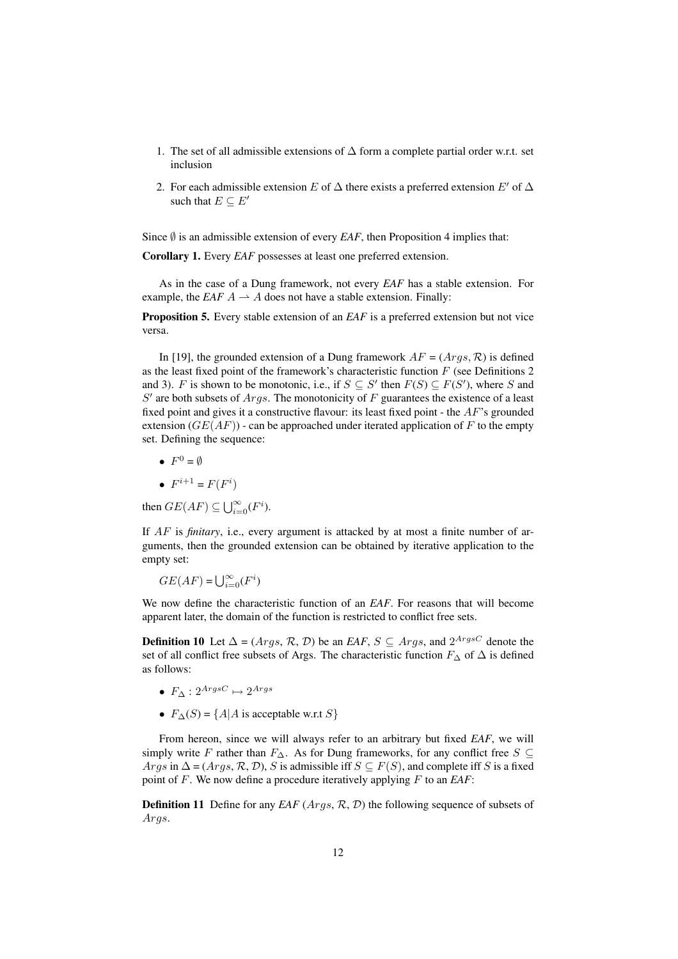- 1. The set of all admissible extensions of  $\Delta$  form a complete partial order w.r.t. set inclusion
- 2. For each admissible extension E of  $\Delta$  there exists a preferred extension E' of  $\Delta$ such that  $E \subseteq E'$

Since  $\emptyset$  is an admissible extension of every *EAF*, then Proposition 4 implies that:

Corollary 1. Every *EAF* possesses at least one preferred extension.

As in the case of a Dung framework, not every *EAF* has a stable extension. For example, the *EAF*  $A \rightarrow A$  does not have a stable extension. Finally:

**Proposition 5.** Every stable extension of an *EAF* is a preferred extension but not vice versa.

In [19], the grounded extension of a Dung framework  $AF = (Arg, \mathcal{R})$  is defined as the least fixed point of the framework's characteristic function  $F$  (see Definitions 2) and 3). F is shown to be monotonic, i.e., if  $S \subseteq S'$  then  $F(S) \subseteq F(S')$ , where S and  $S'$  are both subsets of  $Args$ . The monotonicity of F guarantees the existence of a least fixed point and gives it a constructive flavour: its least fixed point - the  $AF$ 's grounded extension  $(GE(AF))$  - can be approached under iterated application of F to the empty set. Defining the sequence:

- $F^0 = \emptyset$
- $F^{i+1} = F(F^i)$

then  $GE(AF) \subseteq \bigcup_{i=0}^{\infty} (F^i)$ .

If AF is *finitary*, i.e., every argument is attacked by at most a finite number of arguments, then the grounded extension can be obtained by iterative application to the empty set:

 $GE(AF) = \bigcup_{i=0}^{\infty} (F^i)$ 

We now define the characteristic function of an *EAF*. For reasons that will become apparent later, the domain of the function is restricted to conflict free sets.

**Definition 10** Let  $\Delta = (Args, R, D)$  be an *EAF*,  $S \subseteq Args$ , and  $2^{ArgsC}$  denote the set of all conflict free subsets of Args. The characteristic function  $F_{\Delta}$  of  $\Delta$  is defined as follows:

- $F_{\Delta}: 2^{ArgsC} \mapsto 2^{Args}$
- $F_{\Delta}(S) = \{A | A \text{ is acceptable w.r.t } S\}$

From hereon, since we will always refer to an arbitrary but fixed *EAF*, we will simply write F rather than  $F_{\Delta}$ . As for Dung frameworks, for any conflict free  $S \subseteq$ Args in  $\Delta = (Args, \mathcal{R}, \mathcal{D}), S$  is admissible iff  $S \subseteq F(S)$ , and complete iff S is a fixed point of F. We now define a procedure iteratively applying F to an *EAF*:

**Definition 11** Define for any *EAF* (*Args*, *R*, *D*) the following sequence of subsets of Args.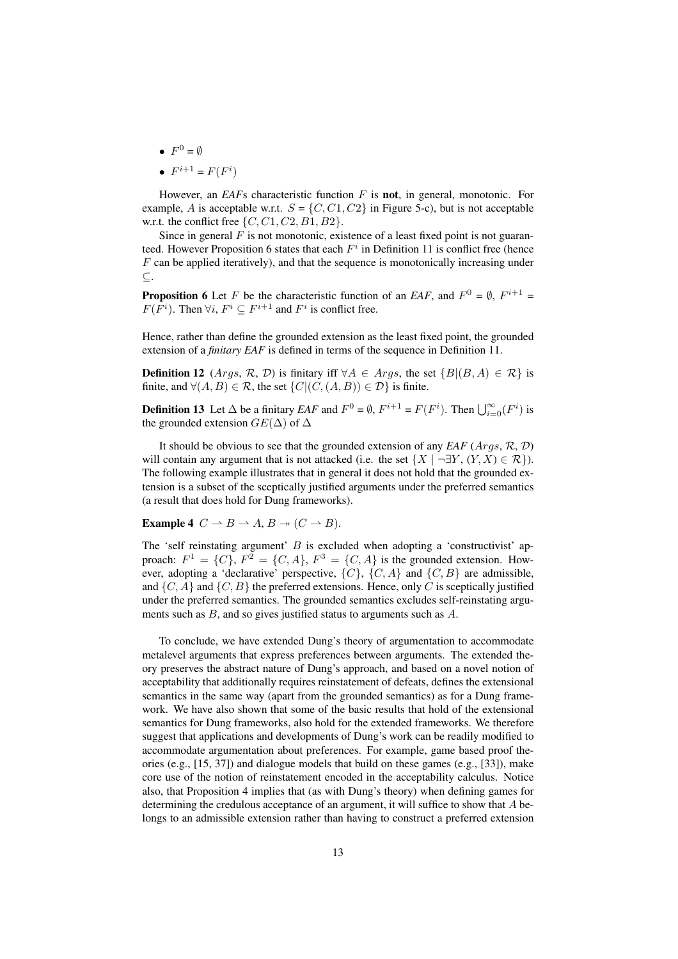- $F^0 = \emptyset$
- $F^{i+1} = F(F^i)$

However, an *EAF*s characteristic function F is not, in general, monotonic. For example, A is acceptable w.r.t.  $S = \{C, C1, C2\}$  in Figure 5-c), but is not acceptable w.r.t. the conflict free  $\{C, C1, C2, B1, B2\}.$ 

Since in general  $F$  is not monotonic, existence of a least fixed point is not guaranteed. However Proposition 6 states that each  $F^i$  in Definition 11 is conflict free (hence  $F$  can be applied iteratively), and that the sequence is monotonically increasing under ⊆.

**Proposition 6** Let F be the characteristic function of an *EAF*, and  $F^0 = \emptyset$ ,  $F^{i+1} =$  $F(F<sup>i</sup>)$ . Then  $\forall i, F<sup>i</sup> \subseteq F<sup>i+1</sup>$  and  $F<sup>i</sup>$  is conflict free.

Hence, rather than define the grounded extension as the least fixed point, the grounded extension of a *finitary EAF* is defined in terms of the sequence in Definition 11.

**Definition 12** (Args, R, D) is finitary iff  $\forall A \in \text{Args}$ , the set  $\{B | (B, A) \in \mathcal{R}\}\$ is finite, and  $\forall (A, B) \in \mathcal{R}$ , the set  $\{C | (C, (A, B)) \in \mathcal{D} \}$  is finite.

**Definition 13** Let  $\Delta$  be a finitary *EAF* and  $F^0 = \emptyset$ ,  $F^{i+1} = F(F^i)$ . Then  $\bigcup_{i=0}^{\infty} (F^i)$  is the grounded extension  $GE(\Delta)$  of  $\Delta$ 

It should be obvious to see that the grounded extension of any *EAF* (Args, R, D) will contain any argument that is not attacked (i.e. the set  $\{X \mid \neg \exists Y, (Y, X) \in \mathcal{R}\}\)$ . The following example illustrates that in general it does not hold that the grounded extension is a subset of the sceptically justified arguments under the preferred semantics (a result that does hold for Dung frameworks).

**Example 4** 
$$
C \rightarrow B \rightarrow A, B \rightarrow (C \rightarrow B)
$$
.

The 'self reinstating argument'  $B$  is excluded when adopting a 'constructivist' approach:  $F^1 = \{C\}$ ,  $F^2 = \{C, A\}$ ,  $F^3 = \{C, A\}$  is the grounded extension. However, adopting a 'declarative' perspective,  $\{C\}$ ,  $\{C, A\}$  and  $\{C, B\}$  are admissible, and  $\{C, A\}$  and  $\{C, B\}$  the preferred extensions. Hence, only C is sceptically justified under the preferred semantics. The grounded semantics excludes self-reinstating arguments such as  $B$ , and so gives justified status to arguments such as  $A$ .

To conclude, we have extended Dung's theory of argumentation to accommodate metalevel arguments that express preferences between arguments. The extended theory preserves the abstract nature of Dung's approach, and based on a novel notion of acceptability that additionally requires reinstatement of defeats, defines the extensional semantics in the same way (apart from the grounded semantics) as for a Dung framework. We have also shown that some of the basic results that hold of the extensional semantics for Dung frameworks, also hold for the extended frameworks. We therefore suggest that applications and developments of Dung's work can be readily modified to accommodate argumentation about preferences. For example, game based proof theories (e.g., [15, 37]) and dialogue models that build on these games (e.g., [33]), make core use of the notion of reinstatement encoded in the acceptability calculus. Notice also, that Proposition 4 implies that (as with Dung's theory) when defining games for determining the credulous acceptance of an argument, it will suffice to show that A belongs to an admissible extension rather than having to construct a preferred extension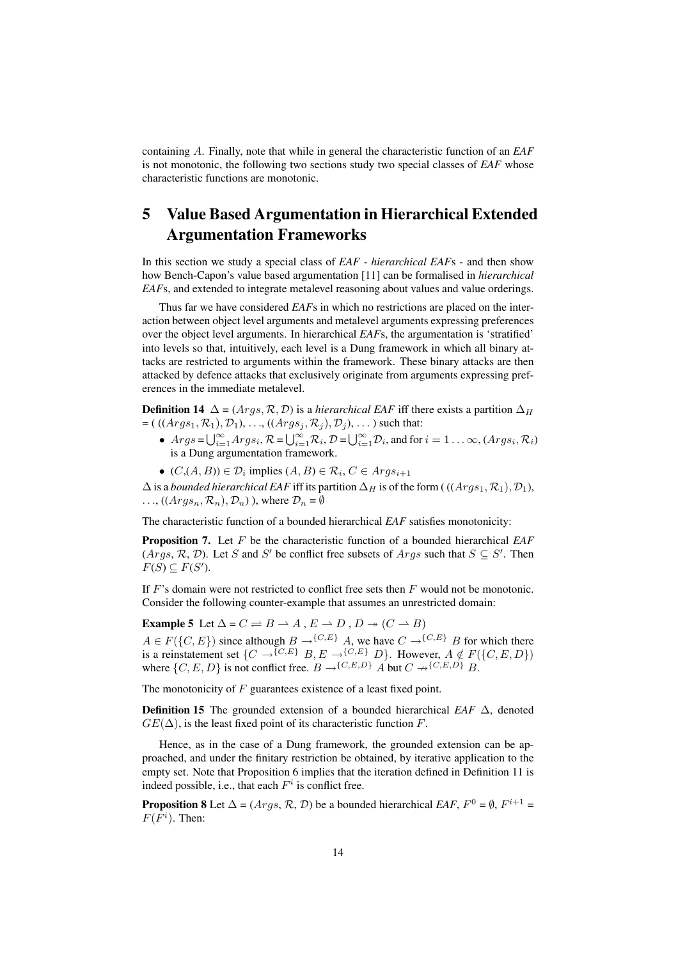containing A. Finally, note that while in general the characteristic function of an *EAF* is not monotonic, the following two sections study two special classes of *EAF* whose characteristic functions are monotonic.

## 5 Value Based Argumentation in Hierarchical Extended Argumentation Frameworks

In this section we study a special class of *EAF* - *hierarchical EAF*s - and then show how Bench-Capon's value based argumentation [11] can be formalised in *hierarchical EAF*s, and extended to integrate metalevel reasoning about values and value orderings.

Thus far we have considered *EAF*s in which no restrictions are placed on the interaction between object level arguments and metalevel arguments expressing preferences over the object level arguments. In hierarchical *EAF*s, the argumentation is 'stratified' into levels so that, intuitively, each level is a Dung framework in which all binary attacks are restricted to arguments within the framework. These binary attacks are then attacked by defence attacks that exclusively originate from arguments expressing preferences in the immediate metalevel.

**Definition 14**  $\Delta = (Arg \, R, \mathcal{D})$  is a *hierarchical EAF* iff there exists a partition  $\Delta_H$  $=$  (  $((Arg s_1, R_1), D_1), ..., ((Arg s_j, R_j), D_j), ...$  ) such that:

- $Args = \bigcup_{i=1}^{\infty} Args_i$ ,  $\mathcal{R} = \bigcup_{i=1}^{\infty} \mathcal{R}_i$ ,  $\mathcal{D} = \bigcup_{i=1}^{\infty} \mathcal{D}_i$ , and for  $i = 1 \dots \infty$ ,  $(Args_i, \mathcal{R}_i)$ is a Dung argumentation framework.
- $(C,(A, B)) \in \mathcal{D}_i$  implies  $(A, B) \in \mathcal{R}_i$ ,  $C \in \text{Arg}_{{\mathfrak{s}}_{i+1}}$

 $\Delta$  is a *bounded hierarchical EAF* iff its partition  $\Delta_H$  is of the form ( (( $Args_1, R_1$ ),  $\mathcal{D}_1$ ),  $\ldots$ ,  $(Args_n, \mathcal{R}_n), \mathcal{D}_n)$ , where  $\mathcal{D}_n = \emptyset$ 

The characteristic function of a bounded hierarchical *EAF* satisfies monotonicity:

Proposition 7. Let F be the characteristic function of a bounded hierarchical *EAF*  $(Args, R, D)$ . Let S and S' be conflict free subsets of  $Args$  such that  $S \subseteq S'$ . Then  $F(S) \subseteq F(S')$ .

If  $F$ 's domain were not restricted to conflict free sets then  $F$  would not be monotonic. Consider the following counter-example that assumes an unrestricted domain:

Example 5 Let  $\Delta = C \rightleftharpoons B \rightarrow A$ ,  $E \rightarrow D$ ,  $D \rightarrow (C \rightarrow B)$ 

 $A \in F({C, E})$  since although  $B \to {C, E}$  A, we have  $C \to {C, E}$  B for which there is a reinstatement set  $\{C \to \{C, E\} \mid B, E \to \{C, E\} \mid D\}$ . However,  $A \notin F(\{C, E, D\})$ where  $\{C, E, D\}$  is not conflict free.  $B \rightarrow \{C, E, D\}$  A but  $C \rightarrow \{C, E, D\}$  B.

The monotonicity of  $F$  guarantees existence of a least fixed point.

Definition 15 The grounded extension of a bounded hierarchical *EAF* ∆, denoted  $GE(\Delta)$ , is the least fixed point of its characteristic function F.

Hence, as in the case of a Dung framework, the grounded extension can be approached, and under the finitary restriction be obtained, by iterative application to the empty set. Note that Proposition 6 implies that the iteration defined in Definition 11 is indeed possible, i.e., that each  $F^i$  is conflict free.

**Proposition 8** Let  $\Delta = (Args, \mathcal{R}, \mathcal{D})$  be a bounded hierarchical *EAF*,  $F^0 = \emptyset$ ,  $F^{i+1} =$  $F(F<sup>i</sup>)$ . Then: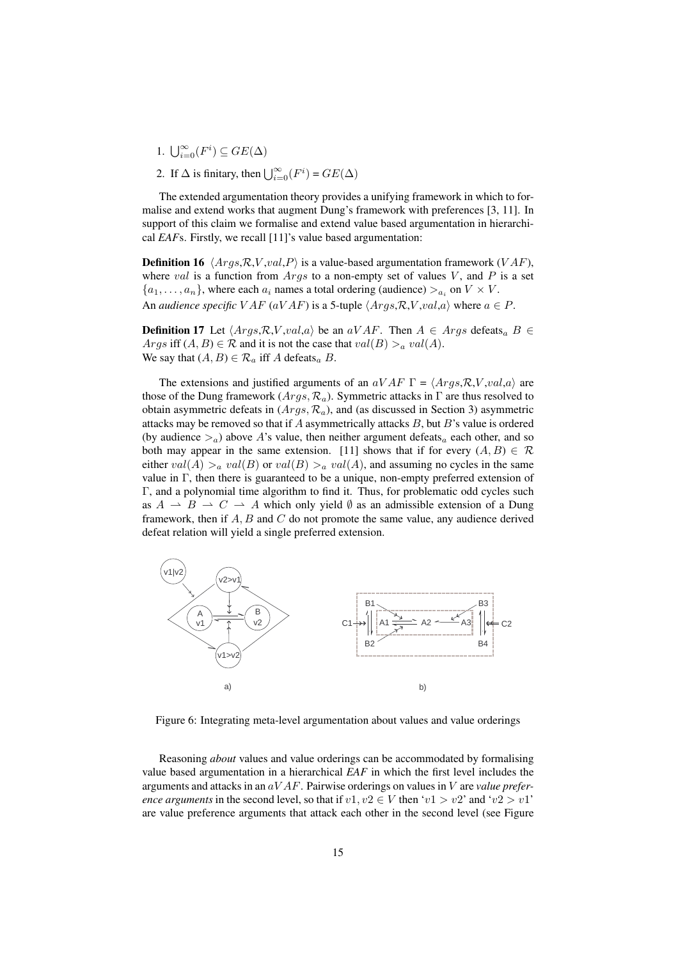- 1.  $\bigcup_{i=0}^{\infty}(F^i) \subseteq GE(\Delta)$
- 2. If  $\Delta$  is finitary, then  $\bigcup_{i=0}^{\infty}(F^i) = GE(\Delta)$

The extended argumentation theory provides a unifying framework in which to formalise and extend works that augment Dung's framework with preferences [3, 11]. In support of this claim we formalise and extend value based argumentation in hierarchical *EAF*s. Firstly, we recall [11]'s value based argumentation:

**Definition 16**  $\langle Args, R, V, val, P \rangle$  is a value-based argumentation framework (VAF), where val is a function from  $Args$  to a non-empty set of values V, and P is a set  $\{a_1, \ldots, a_n\}$ , where each  $a_i$  names a total ordering (audience)  $>a_i$  on  $V \times V$ . An *audience specific*  $VAF$  ( $aVAF$ ) is a 5-tuple  $\langle Args,R,V,val,a \rangle$  where  $a \in P$ .

**Definition 17** Let  $\langle Args, R, V, val, a \rangle$  be an  $aVAF$ . Then  $A \in Args$  defeats<sub>a</sub>  $B \in$ Args iff  $(A, B) \in \mathcal{R}$  and it is not the case that  $val(B) >_a val(A)$ . We say that  $(A, B) \in \mathcal{R}_a$  iff A defeats<sub>a</sub> B.

The extensions and justified arguments of an  $aVAR \Gamma = \langle Aras, R, V, val, a \rangle$  are those of the Dung framework ( $Args$ ,  $\mathcal{R}_a$ ). Symmetric attacks in  $\Gamma$  are thus resolved to obtain asymmetric defeats in  $(Args, R_a)$ , and (as discussed in Section 3) asymmetric attacks may be removed so that if  $A$  asymmetrically attacks  $B$ , but  $B$ 's value is ordered (by audience  $>_{a}$ ) above A's value, then neither argument defeats<sub>a</sub> each other, and so both may appear in the same extension. [11] shows that if for every  $(A, B) \in \mathcal{R}$ either  $val(A) >_a val(B)$  or  $val(B) >_a val(A)$ , and assuming no cycles in the same value in  $\Gamma$ , then there is guaranteed to be a unique, non-empty preferred extension of Γ, and a polynomial time algorithm to find it. Thus, for problematic odd cycles such as  $A \rightarrow B \rightarrow C \rightarrow A$  which only yield  $\emptyset$  as an admissible extension of a Dung framework, then if  $A, B$  and  $C$  do not promote the same value, any audience derived defeat relation will yield a single preferred extension.



Figure 6: Integrating meta-level argumentation about values and value orderings

Reasoning *about* values and value orderings can be accommodated by formalising value based argumentation in a hierarchical *EAF* in which the first level includes the arguments and attacks in an aV AF. Pairwise orderings on values in V are *value preference arguments* in the second level, so that if  $v1, v2 \in V$  then 'v1 > v2' and 'v2 > v1' are value preference arguments that attack each other in the second level (see Figure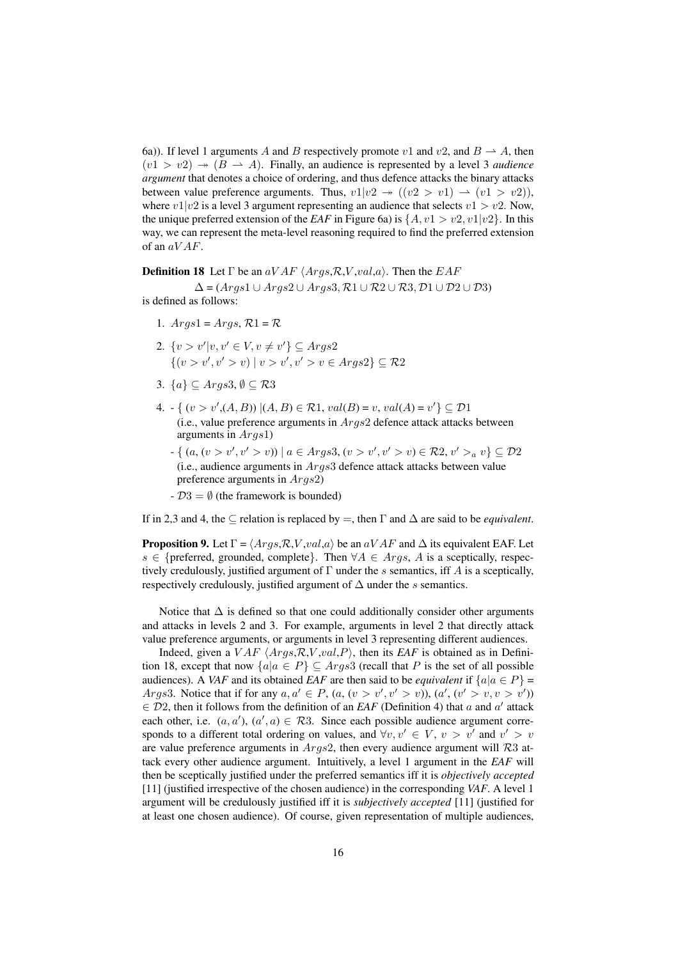6a)). If level 1 arguments A and B respectively promote v1 and v2, and  $B \rightharpoonup A$ , then  $(v1 > v2) \rightarrow (B \rightarrow A)$ . Finally, an audience is represented by a level 3 *audience argument* that denotes a choice of ordering, and thus defence attacks the binary attacks between value preference arguments. Thus,  $v1|v2 \rightarrow ((v2 > v1) \rightarrow (v1 > v2)),$ where  $v1|v2$  is a level 3 argument representing an audience that selects  $v1 > v2$ . Now, the unique preferred extension of the *EAF* in Figure 6a) is  $\{A, v1 > v2, v1|v2\}$ . In this way, we can represent the meta-level reasoning required to find the preferred extension of an  $aVAF$ .

**Definition 18** Let  $\Gamma$  be an  $aVAF \langle Args, R, V, val, a \rangle$ . Then the  $EAF$ 

 $\Delta = (Args1 \cup Args2 \cup Args3, R1 \cup R2 \cup R3, D1 \cup D2 \cup D3)$ is defined as follows:

- 1.  $Aras1 = Aras$ ,  $\mathcal{R}1 = \mathcal{R}$
- 2.  $\{v > v'|v, v' \in V, v \neq v'\} \subseteq \text{Args2}$  $\{(v > v', v' > v) | v > v', v' > v \in \text{Args2}\}\subseteq \mathcal{R}2$
- 3.  $\{a\} \subseteq \text{Args3}, \emptyset \subseteq \mathcal{R}3$
- 4.  $\text{-} \{ (v > v', (A, B)) | (A, B) \in \mathcal{R} \cup \{A, v a l(B) = v, \text{val}(A) = v' \} \subseteq \mathcal{D} \cup \{a, b\}$ (i.e., value preference arguments in  $Args2$  defence attack attacks between arguments in Args1)
	- $-\{ (a, (v > v', v' > v)) \mid a \in \text{A}rgs3, (v > v', v' > v) \in \mathcal{R}2, v' > a v \} \subseteq \mathcal{D}2$ (i.e., audience arguments in Args3 defence attack attacks between value preference arguments in Args2)
	- $D3 = \emptyset$  (the framework is bounded)

If in 2,3 and 4, the  $\subseteq$  relation is replaced by  $=$ , then  $\Gamma$  and  $\Delta$  are said to be *equivalent*.

**Proposition 9.** Let  $\Gamma = \langle \text{Args}, \mathcal{R}, V, \text{val}, a \rangle$  be an  $a \, V \, AF$  and  $\Delta$  its equivalent EAF. Let s ∈ {preferred, grounded, complete}. Then  $\forall A \in \text{Arg} s$ , A is a sceptically, respectively credulously, justified argument of  $\Gamma$  under the s semantics, iff A is a sceptically, respectively credulously, justified argument of  $\Delta$  under the s semantics.

Notice that  $\Delta$  is defined so that one could additionally consider other arguments and attacks in levels 2 and 3. For example, arguments in level 2 that directly attack value preference arguments, or arguments in level 3 representing different audiences.

Indeed, given a  $VAF \langle Args, R, V, val, P \rangle$ , then its *EAF* is obtained as in Definition 18, except that now  $\{a|a \in P\} \subseteq Args3$  (recall that P is the set of all possible audiences). A *VAF* and its obtained *EAF* are then said to be *equivalent* if  $\{a|a \in P\}$  = *Args3*. Notice that if for any  $a, a' \in P$ ,  $(a, (v > v', v' > v))$ ,  $(a', (v' > v, v > v'))$  $\in \mathcal{D}2$ , then it follows from the definition of an *EAF* (Definition 4) that a and a' attack each other, i.e.  $(a, a')$ ,  $(a', a) \in \mathcal{R}3$ . Since each possible audience argument corresponds to a different total ordering on values, and  $\forall v, v' \in V$ ,  $v > v'$  and  $v' > v$ are value preference arguments in  $Args2$ , then every audience argument will R3 attack every other audience argument. Intuitively, a level 1 argument in the *EAF* will then be sceptically justified under the preferred semantics iff it is *objectively accepted* [11] (justified irrespective of the chosen audience) in the corresponding *VAF*. A level 1 argument will be credulously justified iff it is *subjectively accepted* [11] (justified for at least one chosen audience). Of course, given representation of multiple audiences,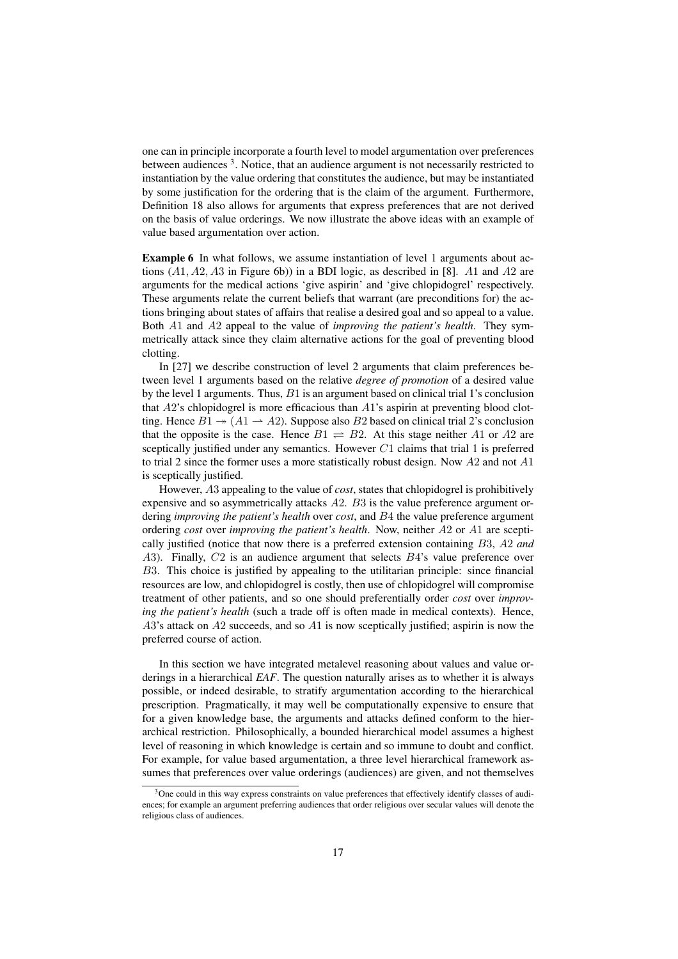one can in principle incorporate a fourth level to model argumentation over preferences between audiences <sup>3</sup>. Notice, that an audience argument is not necessarily restricted to instantiation by the value ordering that constitutes the audience, but may be instantiated by some justification for the ordering that is the claim of the argument. Furthermore, Definition 18 also allows for arguments that express preferences that are not derived on the basis of value orderings. We now illustrate the above ideas with an example of value based argumentation over action.

Example 6 In what follows, we assume instantiation of level 1 arguments about actions  $(A1, A2, A3$  in Figure 6b)) in a BDI logic, as described in [8]. A1 and A2 are arguments for the medical actions 'give aspirin' and 'give chlopidogrel' respectively. These arguments relate the current beliefs that warrant (are preconditions for) the actions bringing about states of affairs that realise a desired goal and so appeal to a value. Both A1 and A2 appeal to the value of *improving the patient's health*. They symmetrically attack since they claim alternative actions for the goal of preventing blood clotting.

In [27] we describe construction of level 2 arguments that claim preferences between level 1 arguments based on the relative *degree of promotion* of a desired value by the level 1 arguments. Thus,  $B1$  is an argument based on clinical trial 1's conclusion that  $A2$ 's chlopidogrel is more efficacious than  $A1$ 's aspirin at preventing blood clotting. Hence  $B1 \rightarrow (A1 \rightarrow A2)$ . Suppose also B2 based on clinical trial 2's conclusion that the opposite is the case. Hence  $B1 \rightleftharpoons B2$ . At this stage neither A1 or A2 are sceptically justified under any semantics. However  $C1$  claims that trial 1 is preferred to trial 2 since the former uses a more statistically robust design. Now  $A2$  and not  $A1$ is sceptically justified.

However, A3 appealing to the value of *cost*, states that chlopidogrel is prohibitively expensive and so asymmetrically attacks A2. B3 is the value preference argument ordering *improving the patient's health* over *cost*, and B4 the value preference argument ordering *cost* over *improving the patient's health*. Now, neither A2 or A1 are sceptically justified (notice that now there is a preferred extension containing B3, A2 *and* A3). Finally,  $C2$  is an audience argument that selects  $B4$ 's value preference over B3. This choice is justified by appealing to the utilitarian principle: since financial resources are low, and chlopidogrel is costly, then use of chlopidogrel will compromise treatment of other patients, and so one should preferentially order *cost* over *improving the patient's health* (such a trade off is often made in medical contexts). Hence,  $A3$ 's attack on  $A2$  succeeds, and so  $A1$  is now sceptically justified; aspirin is now the preferred course of action.

In this section we have integrated metalevel reasoning about values and value orderings in a hierarchical *EAF*. The question naturally arises as to whether it is always possible, or indeed desirable, to stratify argumentation according to the hierarchical prescription. Pragmatically, it may well be computationally expensive to ensure that for a given knowledge base, the arguments and attacks defined conform to the hierarchical restriction. Philosophically, a bounded hierarchical model assumes a highest level of reasoning in which knowledge is certain and so immune to doubt and conflict. For example, for value based argumentation, a three level hierarchical framework assumes that preferences over value orderings (audiences) are given, and not themselves

 $3$ One could in this way express constraints on value preferences that effectively identify classes of audiences; for example an argument preferring audiences that order religious over secular values will denote the religious class of audiences.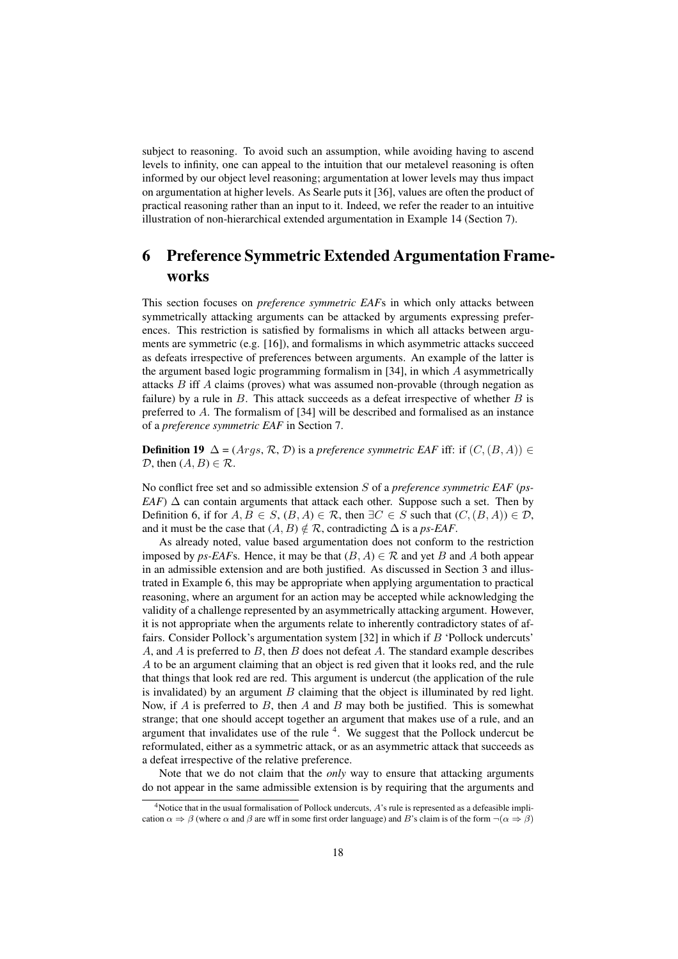subject to reasoning. To avoid such an assumption, while avoiding having to ascend levels to infinity, one can appeal to the intuition that our metalevel reasoning is often informed by our object level reasoning; argumentation at lower levels may thus impact on argumentation at higher levels. As Searle puts it [36], values are often the product of practical reasoning rather than an input to it. Indeed, we refer the reader to an intuitive illustration of non-hierarchical extended argumentation in Example 14 (Section 7).

## 6 Preference Symmetric Extended Argumentation Frameworks

This section focuses on *preference symmetric EAF*s in which only attacks between symmetrically attacking arguments can be attacked by arguments expressing preferences. This restriction is satisfied by formalisms in which all attacks between arguments are symmetric (e.g. [16]), and formalisms in which asymmetric attacks succeed as defeats irrespective of preferences between arguments. An example of the latter is the argument based logic programming formalism in [34], in which A asymmetrically attacks B iff A claims (proves) what was assumed non-provable (through negation as failure) by a rule in  $B$ . This attack succeeds as a defeat irrespective of whether  $B$  is preferred to A. The formalism of [34] will be described and formalised as an instance of a *preference symmetric EAF* in Section 7.

**Definition 19**  $\Delta$  = (*Args, R, D*) is a *preference symmetric EAF* iff: if (*C*, (*B, A*)) ∈  $D$ , then  $(A, B) \in \mathcal{R}$ .

No conflict free set and so admissible extension S of a *preference symmetric EAF* (*ps-EAF*)  $\Delta$  can contain arguments that attack each other. Suppose such a set. Then by Definition 6, if for  $A, B \in S$ ,  $(B, A) \in \mathcal{R}$ , then  $\exists C \in S$  such that  $(C, (B, A)) \in \mathcal{D}$ , and it must be the case that  $(A, B) \notin \mathcal{R}$ , contradicting  $\Delta$  is a *ps-EAF*.

As already noted, value based argumentation does not conform to the restriction imposed by *ps-EAF*s. Hence, it may be that  $(B, A) \in \mathcal{R}$  and yet B and A both appear in an admissible extension and are both justified. As discussed in Section 3 and illustrated in Example 6, this may be appropriate when applying argumentation to practical reasoning, where an argument for an action may be accepted while acknowledging the validity of a challenge represented by an asymmetrically attacking argument. However, it is not appropriate when the arguments relate to inherently contradictory states of affairs. Consider Pollock's argumentation system [32] in which if B 'Pollock undercuts' A, and A is preferred to B, then B does not defeat A. The standard example describes A to be an argument claiming that an object is red given that it looks red, and the rule that things that look red are red. This argument is undercut (the application of the rule is invalidated) by an argument  $B$  claiming that the object is illuminated by red light. Now, if A is preferred to B, then A and B may both be justified. This is somewhat strange; that one should accept together an argument that makes use of a rule, and an argument that invalidates use of the rule  $4$ . We suggest that the Pollock undercut be reformulated, either as a symmetric attack, or as an asymmetric attack that succeeds as a defeat irrespective of the relative preference.

Note that we do not claim that the *only* way to ensure that attacking arguments do not appear in the same admissible extension is by requiring that the arguments and

<sup>&</sup>lt;sup>4</sup>Notice that in the usual formalisation of Pollock undercuts, A's rule is represented as a defeasible implication  $\alpha \Rightarrow \beta$  (where  $\alpha$  and  $\beta$  are wff in some first order language) and B's claim is of the form  $\neg(\alpha \Rightarrow \beta)$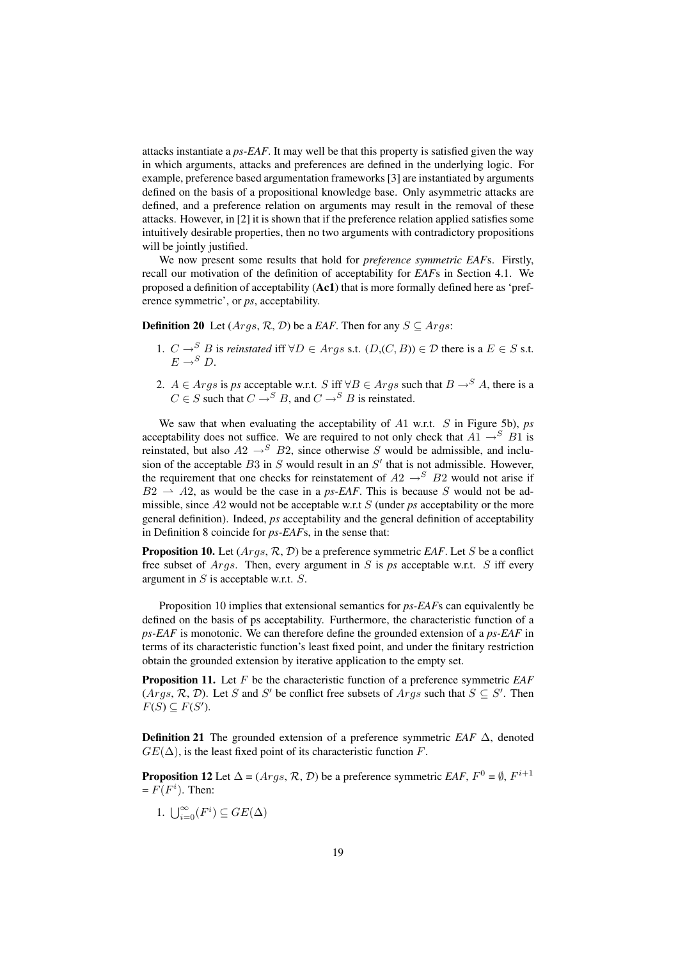attacks instantiate a *ps-EAF*. It may well be that this property is satisfied given the way in which arguments, attacks and preferences are defined in the underlying logic. For example, preference based argumentation frameworks [3] are instantiated by arguments defined on the basis of a propositional knowledge base. Only asymmetric attacks are defined, and a preference relation on arguments may result in the removal of these attacks. However, in [2] it is shown that if the preference relation applied satisfies some intuitively desirable properties, then no two arguments with contradictory propositions will be jointly justified.

We now present some results that hold for *preference symmetric EAF*s. Firstly, recall our motivation of the definition of acceptability for *EAF*s in Section 4.1. We proposed a definition of acceptability (Ac1) that is more formally defined here as 'preference symmetric', or *ps*, acceptability.

**Definition 20** Let  $(Args, \mathcal{R}, \mathcal{D})$  be a *EAF*. Then for any  $S \subseteq Args$ :

- 1.  $C \rightarrow^S B$  is *reinstated* iff  $\forall D \in \text{A}rgs$  s.t.  $(D,(C, B)) \in \mathcal{D}$  there is a  $E \in S$  s.t.  $E \rightarrow^S D$ .
- 2.  $A \in \text{Arg } s$  is *ps* acceptable w.r.t. S iff  $\forall B \in \text{Arg } s$  such that  $B \rightarrow^S A$ , there is a  $C \in S$  such that  $C \rightarrow^{S} B$ , and  $C \rightarrow^{S} B$  is reinstated.

We saw that when evaluating the acceptability of A1 w.r.t. S in Figure 5b), *ps* acceptability does not suffice. We are required to not only check that  $A1 \rightarrow^{S} B1$  is reinstated, but also  $A2 \rightarrow^{S} B2$ , since otherwise S would be admissible, and inclusion of the acceptable  $B3$  in S would result in an  $S'$  that is not admissible. However, the requirement that one checks for reinstatement of  $A2 \rightarrow^{S} B2$  would not arise if  $B2 \rightarrow A2$ , as would be the case in a *ps-EAF*. This is because S would not be admissible, since A2 would not be acceptable w.r.t S (under *ps* acceptability or the more general definition). Indeed, *ps* acceptability and the general definition of acceptability in Definition 8 coincide for *ps-EAF*s, in the sense that:

Proposition 10. Let (Args, R, D) be a preference symmetric *EAF*. Let S be a conflict free subset of Args. Then, every argument in S is *ps* acceptable w.r.t. S iff every argument in  $S$  is acceptable w.r.t.  $S$ .

Proposition 10 implies that extensional semantics for *ps-EAF*s can equivalently be defined on the basis of ps acceptability. Furthermore, the characteristic function of a *ps-EAF* is monotonic. We can therefore define the grounded extension of a *ps-EAF* in terms of its characteristic function's least fixed point, and under the finitary restriction obtain the grounded extension by iterative application to the empty set.

Proposition 11. Let F be the characteristic function of a preference symmetric *EAF*  $(Args, R, D)$ . Let S and S' be conflict free subsets of  $Args$  such that  $S \subseteq S'$ . Then  $F(S) \subseteq F(S')$ .

**Definition 21** The grounded extension of a preference symmetric *EAF*  $\Delta$ , denoted  $GE(\Delta)$ , is the least fixed point of its characteristic function F.

**Proposition 12** Let  $\Delta = (Args, \mathcal{R}, \mathcal{D})$  be a preference symmetric *EAF*,  $F^0 = \emptyset$ ,  $F^{i+1}$  $= F(F<sup>i</sup>)$ . Then:

1.  $\bigcup_{i=0}^{\infty}(F^i) \subseteq GE(\Delta)$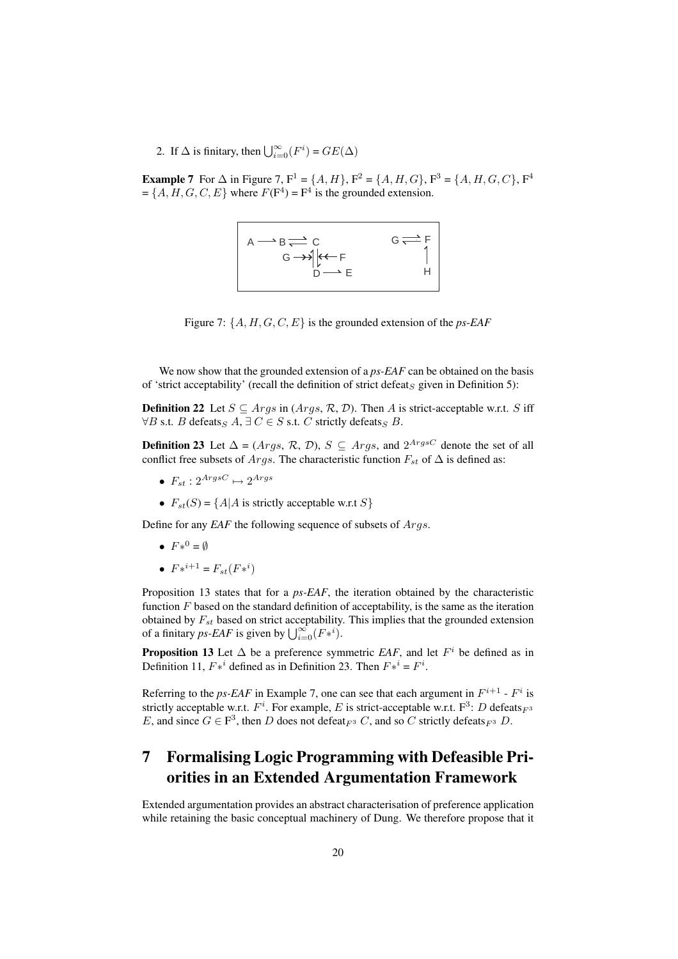2. If  $\Delta$  is finitary, then  $\bigcup_{i=0}^{\infty}(F^i) = GE(\Delta)$ 

**Example 7** For  $\Delta$  in Figure 7,  $F^1 = \{A, H\}$ ,  $F^2 = \{A, H, G\}$ ,  $F^3 = \{A, H, G, C\}$ ,  $F^4$  $=\{A, H, G, C, E\}$  where  $F(\mathbf{F}^4) = \mathbf{F}^4$  is the grounded extension.

$$
\begin{array}{|c|c|}\n & A \longrightarrow B \rightleftharpoons C & G \rightleftharpoons F \\
 & G \longrightarrow \left| \begin{matrix} & C \\ C & F \\ & D \end{matrix} \rightleftharpoons E & H\n\end{array}
$$

Figure 7: {A, H, G, C, E} is the grounded extension of the *ps*-*EAF*

We now show that the grounded extension of a *ps-EAF* can be obtained on the basis of 'strict acceptability' (recall the definition of strict defeat<sub>S</sub> given in Definition 5):

**Definition 22** Let  $S \subseteq \text{Arg } s$  in  $(\text{Arg } s, \mathcal{R}, \mathcal{D})$ . Then A is strict-acceptable w.r.t. S iff  $\forall B$  s.t. B defeats  $A, \exists C \in S$  s.t. C strictly defeats  $\subseteq B$ .

**Definition 23** Let  $\Delta = (Args, R, D), S \subseteq Args$ , and  $2^{ArgsC}$  denote the set of all conflict free subsets of Args. The characteristic function  $F_{st}$  of  $\Delta$  is defined as:

- $F_{st}: 2^{ArgsC} \mapsto 2^{Args}$
- $F_{st}(S) = \{A | A \text{ is strictly acceptable w.r.t } S\}$

Define for any *EAF* the following sequence of subsets of Args.

- $F*^0 = \emptyset$
- $F*^{i+1} = F_{st}(F*^{i})$

Proposition 13 states that for a *ps-EAF*, the iteration obtained by the characteristic function  $F$  based on the standard definition of acceptability, is the same as the iteration obtained by  $F_{st}$  based on strict acceptability. This implies that the grounded extension obtained by  $r_{st}$  based on strict acceptability<br>of a finitary *ps-EAF* is given by  $\bigcup_{i=0}^{\infty} (F *^i)$ .

**Proposition 13** Let  $\Delta$  be a preference symmetric *EAF*, and let  $F^i$  be defined as in Definition 11,  $F*^i$  defined as in Definition 23. Then  $F*^i = F^i$ .

Referring to the *ps-EAF* in Example 7, one can see that each argument in  $F^{i+1}$  -  $F^i$  is strictly acceptable w.r.t.  $F^i$ . For example, E is strict-acceptable w.r.t.  $F^3$ : D defeats  $_{F^3}$ E, and since  $G \in \mathbb{F}^3$ , then D does not defeat  $F^3$  C, and so C strictly defeats  $F^3$  D.

## 7 Formalising Logic Programming with Defeasible Priorities in an Extended Argumentation Framework

Extended argumentation provides an abstract characterisation of preference application while retaining the basic conceptual machinery of Dung. We therefore propose that it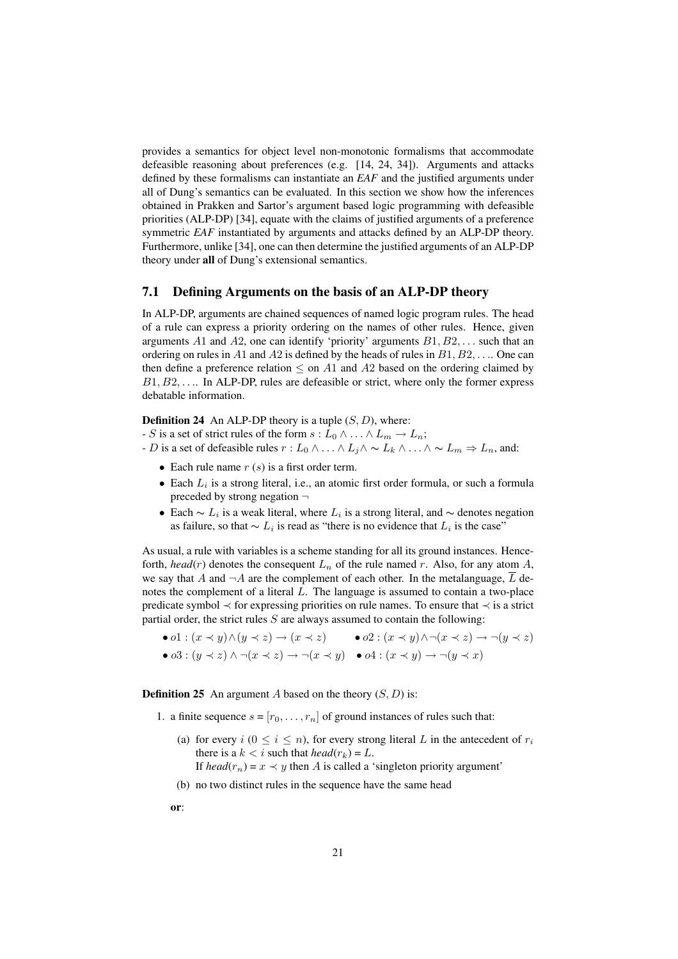provides a semantics for object level non-monotonic formalisms that accommodate defeasible reasoning about preferences (e.g. [14, 24, 34]). Arguments and attacks defined by these formalisms can instantiate an *EAF* and the justified arguments under all of Dung's semantics can be evaluated. In this section we show how the inferences obtained in Prakken and Sartor's argument based logic programming with defeasible priorities (ALP-DP) [34], equate with the claims of justified arguments of a preference symmetric *EAF* instantiated by arguments and attacks defined by an ALP-DP theory. Furthermore, unlike [34], one can then determine the justified arguments of an ALP-DP theory under all of Dung's extensional semantics.

### 7.1 Defining Arguments on the basis of an ALP-DP theory

In ALP-DP, arguments are chained sequences of named logic program rules. The head of a rule can express a priority ordering on the names of other rules. Hence, given arguments A1 and A2, one can identify 'priority' arguments  $B1, B2, \ldots$  such that an ordering on rules in A1 and A2 is defined by the heads of rules in  $B1, B2, \ldots$ . One can then define a preference relation  $\leq$  on A1 and A2 based on the ordering claimed by  $B1, B2, \ldots$  In ALP-DP, rules are defeasible or strict, where only the former express debatable information.

**Definition 24** An ALP-DP theory is a tuple  $(S, D)$ , where:

- S is a set of strict rules of the form  $s: L_0 \wedge ... \wedge L_m \rightarrow L_n$ ;

- D is a set of defeasible rules  $r : L_0 \wedge ... \wedge L_j \wedge \sim L_k \wedge ... \wedge \sim L_m \Rightarrow L_n$ , and:
	- Each rule name  $r(s)$  is a first order term.
	- Each  $L_i$  is a strong literal, i.e., an atomic first order formula, or such a formula preceded by strong negation  $\neg$
	- Each  $\sim L_i$  is a weak literal, where  $L_i$  is a strong literal, and  $\sim$  denotes negation as failure, so that  $\sim L_i$  is read as "there is no evidence that  $L_i$  is the case"

As usual, a rule with variables is a scheme standing for all its ground instances. Henceforth, *head*( $r$ ) denotes the consequent  $L_n$  of the rule named  $r$ . Also, for any atom  $A$ , we say that A and  $\neg A$  are the complement of each other. In the metalanguage,  $\overline{L}$  denotes the complement of a literal  $L$ . The language is assumed to contain a two-place predicate symbol ≺ for expressing priorities on rule names. To ensure that ≺ is a strict partial order, the strict rules  $S$  are always assumed to contain the following:

- o1 :  $(x \prec y) \land (y \prec z) \rightarrow (x \prec z)$  o2 :  $(x \prec y) \land \neg(x \prec z) \rightarrow \neg(y \prec z)$
- $\bullet$   $\omega$ 3 :  $(y \prec z) \land \neg(x \prec z) \rightarrow \neg(x \prec y)$   $\bullet$   $\omega$ 4 :  $(x \prec y) \rightarrow \neg(y \prec x)$

**Definition 25** An argument A based on the theory  $(S, D)$  is:

- 1. a finite sequence  $s = [r_0, \ldots, r_n]$  of ground instances of rules such that:
	- (a) for every  $i$  ( $0 \le i \le n$ ), for every strong literal L in the antecedent of  $r_i$ there is a  $k < i$  such that  $head(r_k) = L$ .
		- If  $head(r_n) = x \prec y$  then A is called a 'singleton priority argument'
	- (b) no two distinct rules in the sequence have the same head

or: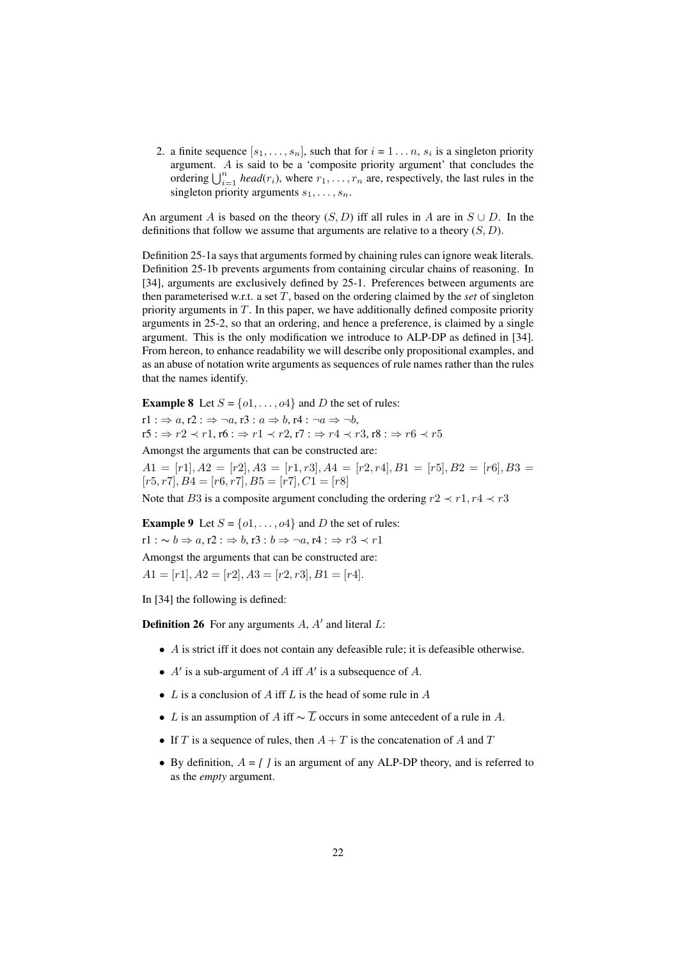2. a finite sequence  $[s_1, \ldots, s_n]$ , such that for  $i = 1 \ldots n$ ,  $s_i$  is a singleton priority argument. A is said to be a 'composite priority argument' that concludes the argument. A is said to be a composite priority argument that concludes the ordering  $\bigcup_{i=1}^n$  *head*( $r_i$ ), where  $r_1, \ldots, r_n$  are, respectively, the last rules in the singleton priority arguments  $s_1, \ldots, s_n$ .

An argument A is based on the theory  $(S, D)$  iff all rules in A are in  $S \cup D$ . In the definitions that follow we assume that arguments are relative to a theory  $(S, D)$ .

Definition 25-1a says that arguments formed by chaining rules can ignore weak literals. Definition 25-1b prevents arguments from containing circular chains of reasoning. In [34], arguments are exclusively defined by 25-1. Preferences between arguments are then parameterised w.r.t. a set T, based on the ordering claimed by the *set* of singleton priority arguments in  $T$ . In this paper, we have additionally defined composite priority arguments in 25-2, so that an ordering, and hence a preference, is claimed by a single argument. This is the only modification we introduce to ALP-DP as defined in [34]. From hereon, to enhance readability we will describe only propositional examples, and as an abuse of notation write arguments as sequences of rule names rather than the rules that the names identify.

**Example 8** Let  $S = \{0, \ldots, 0, 4\}$  and D the set of rules:

 $r1: \Rightarrow a, r2: \Rightarrow \neg a, r3: a \Rightarrow b, r4: \neg a \Rightarrow \neg b,$  $r5 : \Rightarrow r2 \prec r1$ ,  $r6 : \Rightarrow r1 \prec r2$ ,  $r7 : \Rightarrow r4 \prec r3$ ,  $r8 : \Rightarrow r6 \prec r5$ 

Amongst the arguments that can be constructed are:

 $A1 = [r1], A2 = [r2], A3 = [r1, r3], A4 = [r2, r4], B1 = [r5], B2 = [r6], B3 =$  $[r5, r7], B4 = [r6, r7], B5 = [r7], C1 = [r8]$ 

Note that B3 is a composite argument concluding the ordering  $r2 \prec r1$ ,  $r4 \prec r3$ 

**Example 9** Let  $S = \{0, \ldots, 0, 4\}$  and D the set of rules:  $r1 : \sim b \Rightarrow a, r2 : \Rightarrow b, r3 : b \Rightarrow \neg a, r4 : \Rightarrow r3 \prec r1$ Amongst the arguments that can be constructed are:  $A1 = [r1], A2 = [r2], A3 = [r2, r3], B1 = [r4].$ 

In [34] the following is defined:

**Definition 26** For any arguments  $A$ ,  $A'$  and literal  $L$ :

- A is strict iff it does not contain any defeasible rule; it is defeasible otherwise.
- $A'$  is a sub-argument of A iff  $A'$  is a subsequence of A.
- $L$  is a conclusion of  $A$  iff  $L$  is the head of some rule in  $A$
- L is an assumption of A iff  $\sim \overline{L}$  occurs in some antecedent of a rule in A.
- If T is a sequence of rules, then  $A + T$  is the concatenation of A and T
- By definition,  $A = \iint_S f$  is an argument of any ALP-DP theory, and is referred to as the *empty* argument.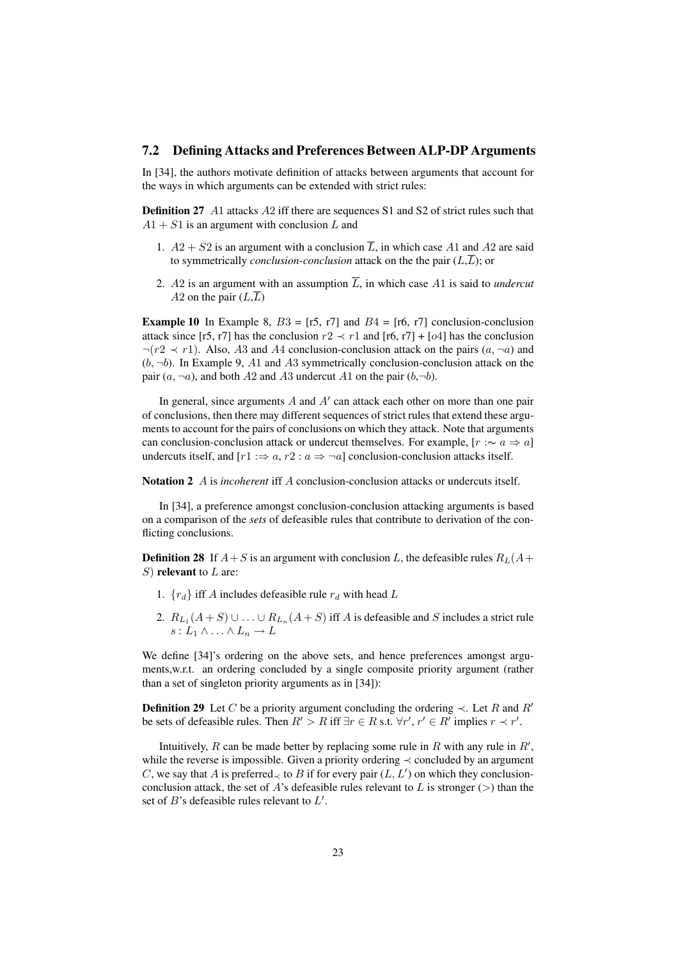### 7.2 Defining Attacks and Preferences Between ALP-DP Arguments

In [34], the authors motivate definition of attacks between arguments that account for the ways in which arguments can be extended with strict rules:

Definition 27 A1 attacks A2 iff there are sequences S1 and S2 of strict rules such that  $A1 + S1$  is an argument with conclusion L and

- 1.  $A2 + S2$  is an argument with a conclusion  $\overline{L}$ , in which case A1 and A2 are said to symmetrically *conclusion-conclusion* attack on the the pair  $(L,\overline{L})$ ; or
- 2. A2 is an argument with an assumption  $\overline{L}$ , in which case A1 is said to *undercut* A2 on the pair  $(L,\overline{L})$

**Example 10** In Example 8,  $B3 = [r5, r7]$  and  $B4 = [r6, r7]$  conclusion-conclusion attack since [r5, r7] has the conclusion  $r2 \prec r1$  and [r6, r7] + [o4] has the conclusion  $\neg (r2 \prec r1)$ . Also, A3 and A4 conclusion-conclusion attack on the pairs  $(a, \neg a)$  and  $(b, \neg b)$ . In Example 9, A1 and A3 symmetrically conclusion-conclusion attack on the pair  $(a, \neg a)$ , and both A2 and A3 undercut A1 on the pair  $(b, \neg b)$ .

In general, since arguments  $A$  and  $A'$  can attack each other on more than one pair of conclusions, then there may different sequences of strict rules that extend these arguments to account for the pairs of conclusions on which they attack. Note that arguments can conclusion-conclusion attack or undercut themselves. For example,  $[r \sim a \Rightarrow a]$ undercuts itself, and  $[r_1] := a, r_2 : a \Rightarrow \neg a$  conclusion-conclusion attacks itself.

Notation 2 A is *incoherent* iff A conclusion-conclusion attacks or undercuts itself.

In [34], a preference amongst conclusion-conclusion attacking arguments is based on a comparison of the *sets* of defeasible rules that contribute to derivation of the conflicting conclusions.

**Definition 28** If  $A + S$  is an argument with conclusion L, the defeasible rules  $R_L(A + S)$ S) relevant to  $L$  are:

- 1.  $\{r_d\}$  iff A includes defeasible rule  $r_d$  with head L
- 2.  $R_{L_1}(A+S) \cup ... \cup R_{L_n}(A+S)$  iff A is defeasible and S includes a strict rule  $s: L_1 \wedge \ldots \wedge L_n \to L$

We define [34]'s ordering on the above sets, and hence preferences amongst arguments,w.r.t. an ordering concluded by a single composite priority argument (rather than a set of singleton priority arguments as in [34]):

**Definition 29** Let C be a priority argument concluding the ordering  $\prec$ . Let R and R' be sets of defeasible rules. Then  $R' > R$  iff  $\exists r \in R$  s.t.  $\forall r', r' \in R'$  implies  $r \prec r'$ .

Intuitively, R can be made better by replacing some rule in R with any rule in  $R'$ , while the reverse is impossible. Given a priority ordering  $\prec$  concluded by an argument C, we say that A is preferred  $\prec$  to B if for every pair  $(L, L')$  on which they conclusionconclusion attack, the set of A's defeasible rules relevant to L is stronger ( $>$ ) than the set of  $B$ 's defeasible rules relevant to  $L'$ .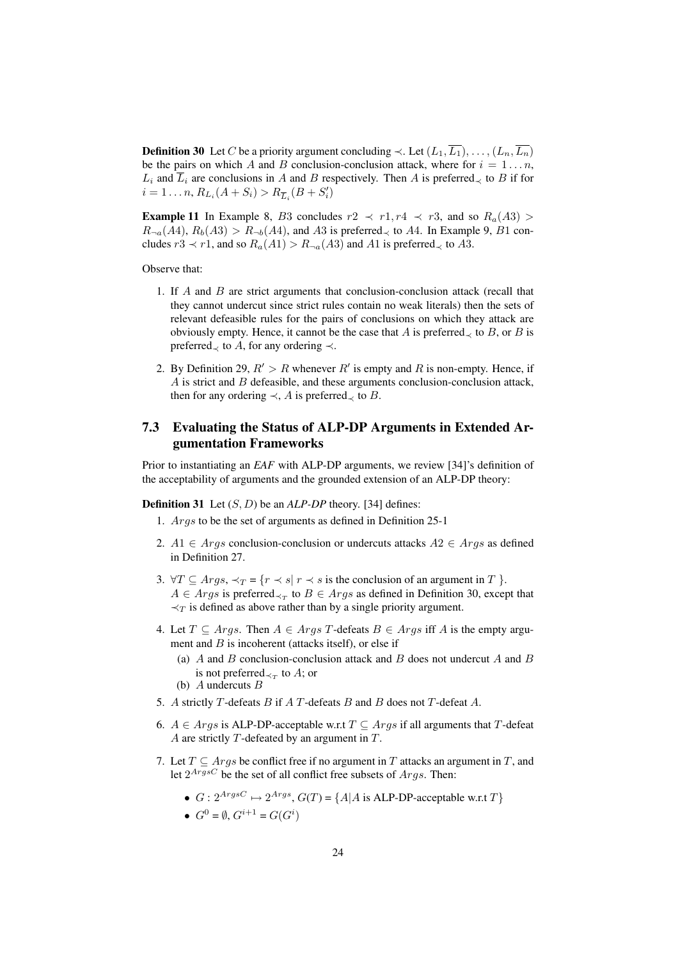**Definition 30** Let C be a priority argument concluding  $\prec$ . Let  $(L_1, \overline{L_1}), \ldots, (L_n, \overline{L_n})$ be the pairs on which A and B conclusion-conclusion attack, where for  $i = 1...n$ ,  $L_i$  and  $\overline{L}_i$  are conclusions in A and B respectively. Then A is preferred<sub> $\prec$ </sub> to B if for  $i = 1 \dots n$ ,  $R_{L_i}(A + S_i) > R_{\overline{L}_i}(B + S'_i)$ 

**Example 11** In Example 8, B3 concludes  $r2 \prec r1, r4 \prec r3$ , and so  $R_a(A3)$  $R_{\neg a}(A4), R_b(A3) > R_{\neg b}(A4)$ , and A3 is preferred<sub> $\prec$ </sub> to A4. In Example 9, B1 concludes  $r3 \prec r1$ , and so  $R_a(A1) > R_{\neg a}(A3)$  and A1 is preferred<sub> $\prec$ </sub> to A3.

Observe that:

- 1. If  $A$  and  $B$  are strict arguments that conclusion-conclusion attack (recall that they cannot undercut since strict rules contain no weak literals) then the sets of relevant defeasible rules for the pairs of conclusions on which they attack are obviously empty. Hence, it cannot be the case that A is preferred<sub> $\prec$ </sub> to B, or B is preferred $\prec$  to A, for any ordering  $\prec$ .
- 2. By Definition 29,  $R' > R$  whenever  $R'$  is empty and R is non-empty. Hence, if  $\overline{A}$  is strict and  $\overline{B}$  defeasible, and these arguments conclusion-conclusion attack, then for any ordering  $\prec$ , A is preferred<sub> $\prec$ </sub> to B.

### 7.3 Evaluating the Status of ALP-DP Arguments in Extended Argumentation Frameworks

Prior to instantiating an *EAF* with ALP-DP arguments, we review [34]'s definition of the acceptability of arguments and the grounded extension of an ALP-DP theory:

Definition 31 Let (S, D) be an *ALP-DP* theory. [34] defines:

- 1. Args to be the set of arguments as defined in Definition 25-1
- 2.  $A1 \in \text{Arg}$  conclusion-conclusion or undercuts attacks  $A2 \in \text{Arg}$  as defined in Definition 27.
- 3.  $\forall T \subseteq \text{Arg } s, \prec_T = \{r \prec s | r \prec s \text{ is the conclusion of an argument in } T \}.$  $A \in \text{Arg } s$  is preferred $\prec_{\text{T}}$  to  $B \in \text{Arg } s$  as defined in Definition 30, except that  $\prec_T$  is defined as above rather than by a single priority argument.
- 4. Let  $T \subseteq \text{Arg}$ . Then  $A \in \text{Arg}$  T-defeats  $B \in \text{Arg}$  iff A is the empty argument and  $B$  is incoherent (attacks itself), or else if
	- (a) A and B conclusion-conclusion attack and B does not undercut A and B is not preferred $\prec_T$  to A; or
	- (b)  $A$  undercuts  $B$
- 5. A strictly T-defeats B if A T-defeats B and B does not T-defeat A.
- 6. *A* ∈ *Args* is ALP-DP-acceptable w.r.t  $T \subseteq \text{Arg } s$  if all arguments that T-defeat A are strictly  $T$ -defeated by an argument in  $T$ .
- 7. Let  $T \subseteq \text{Arg } s$  be conflict free if no argument in T attacks an argument in T, and let  $2^{ArgsC}$  be the set of all conflict free subsets of  $Args$ . Then:
	- $G: 2^{ArgsC} \mapsto 2^{Args}$ ,  $G(T) = \{A | A \text{ is ALP-DP-acceptable w.r.t } T\}$
	- $G^0 = \emptyset$ ,  $G^{i+1} = G(G^i)$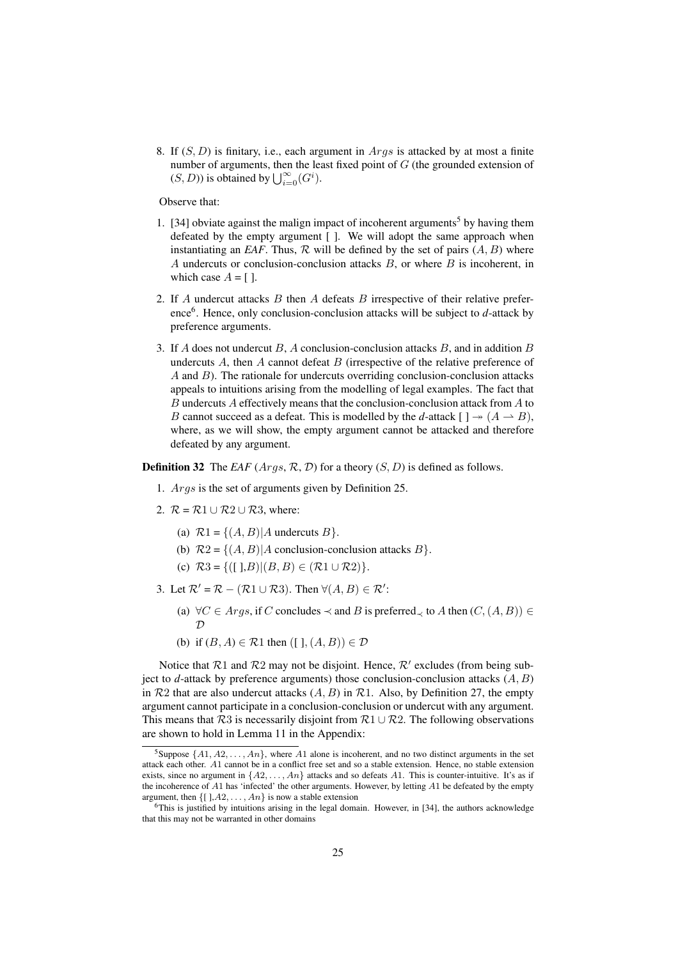8. If  $(S, D)$  is finitary, i.e., each argument in  $Args$  is attacked by at most a finite number of arguments, then the least fixed point of G (the grounded extension of number of arguments, then the leads  $(S, D)$  is obtained by  $\bigcup_{i=0}^{\infty} (G^i)$ .

Observe that:

- 1. [34] obviate against the malign impact of incoherent arguments<sup>5</sup> by having them defeated by the empty argument [ ]. We will adopt the same approach when instantiating an *EAF*. Thus,  $R$  will be defined by the set of pairs  $(A, B)$  where A undercuts or conclusion-conclusion attacks  $B$ , or where  $B$  is incoherent, in which case  $A = [$ ].
- 2. If A undercut attacks  $B$  then A defeats  $B$  irrespective of their relative preference<sup>6</sup>. Hence, only conclusion-conclusion attacks will be subject to *d*-attack by preference arguments.
- 3. If A does not undercut B, A conclusion-conclusion attacks B, and in addition B undercuts  $A$ , then  $A$  cannot defeat  $B$  (irrespective of the relative preference of  $A$  and  $B$ ). The rationale for undercuts overriding conclusion-conclusion attacks appeals to intuitions arising from the modelling of legal examples. The fact that B undercuts A effectively means that the conclusion-conclusion attack from  $A$  to B cannot succeed as a defeat. This is modelled by the *d*-attack  $[ \ ] \rightarrow (A \rightarrow B)$ , where, as we will show, the empty argument cannot be attacked and therefore defeated by any argument.

**Definition 32** The *EAF* ( $Args$ ,  $R$ ,  $D$ ) for a theory ( $S$ ,  $D$ ) is defined as follows.

- 1. Args is the set of arguments given by Definition 25.
- 2.  $\mathcal{R} = \mathcal{R}1 \cup \mathcal{R}2 \cup \mathcal{R}3$ , where:
	- (a)  $\mathcal{R}1 = \{(A, B) | A \text{ undercuts } B\}.$
	- (b)  $R2 = \{(A, B) | A \text{ conclusion-conclusion attacks } B\}.$
	- (c)  $R3 = \{([],B)|(B,B) \in (R1 \cup R2)\}.$
- 3. Let  $\mathcal{R}' = \mathcal{R} (\mathcal{R}1 \cup \mathcal{R}3)$ . Then  $\forall (A, B) \in \mathcal{R}'$ :
	- (a)  $\forall C \in \text{Arg } s$ , if C concludes  $\prec$  and B is preferred<sub> $\prec$ </sub> to A then  $(C, (A, B)) \in$  $\mathcal{D}$
	- (b) if  $(B, A) \in \mathcal{R}1$  then  $( [ \, ], (A, B)) \in \mathcal{D}$

Notice that  $\mathcal{R}1$  and  $\mathcal{R}2$  may not be disjoint. Hence,  $\mathcal{R}'$  excludes (from being subject to  $d$ -attack by preference arguments) those conclusion-conclusion attacks  $(A, B)$ in  $R2$  that are also undercut attacks  $(A, B)$  in  $R1$ . Also, by Definition 27, the empty argument cannot participate in a conclusion-conclusion or undercut with any argument. This means that R3 is necessarily disjoint from  $\mathcal{R}1 \cup \mathcal{R}2$ . The following observations are shown to hold in Lemma 11 in the Appendix:

<sup>&</sup>lt;sup>5</sup>Suppose  $\{A1, A2, \ldots, An\}$ , where A1 alone is incoherent, and no two distinct arguments in the set attack each other. A1 cannot be in a conflict free set and so a stable extension. Hence, no stable extension exists, since no argument in  $\{A2, \ldots, An\}$  attacks and so defeats A1. This is counter-intuitive. It's as if the incoherence of  $A1$  has 'infected' the other arguments. However, by letting  $A1$  be defeated by the empty argument, then  $\{[ \, ]$ ,  $A2, \ldots, An\}$  is now a stable extension

<sup>6</sup>This is justified by intuitions arising in the legal domain. However, in [34], the authors acknowledge that this may not be warranted in other domains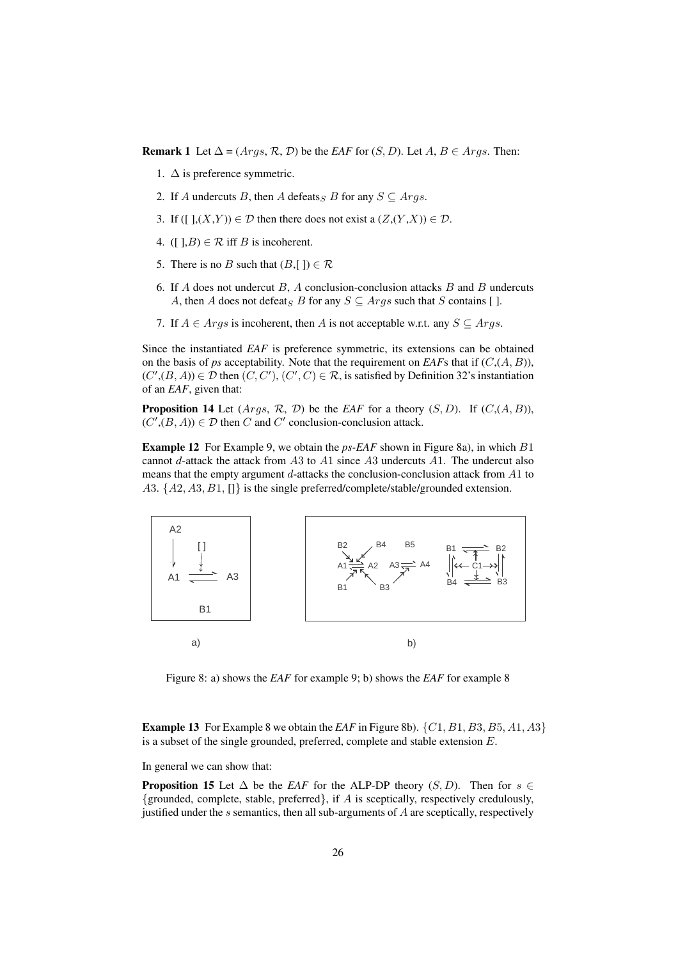**Remark 1** Let  $\Delta = (Args, \mathcal{R}, \mathcal{D})$  be the *EAF* for  $(S, D)$ . Let  $A, B \in \text{Arg}s$ . Then:

- 1.  $\Delta$  is preference symmetric.
- 2. If A undercuts B, then A defeats<sub>S</sub> B for any  $S \subseteq Args$ .
- 3. If ([ $\exists$ ,(X,Y))  $\in \mathcal{D}$  then there does not exist a ( $Z$ ,(Y,X))  $\in \mathcal{D}$ .
- 4. ([ $\exists$ , $B$ )  $\in \mathcal{R}$  iff  $B$  is incoherent.
- 5. There is no B such that  $(B, []) \in \mathcal{R}$
- 6. If A does not undercut  $B$ , A conclusion-conclusion attacks  $B$  and  $B$  undercuts A, then A does not defeat<sub>S</sub> B for any  $S \subseteq \text{Arg } s$  such that S contains [ ].
- 7. If  $A \in \text{Arg } s$  is incoherent, then A is not acceptable w.r.t. any  $S \subseteq \text{Arg } s$ .

Since the instantiated *EAF* is preference symmetric, its extensions can be obtained on the basis of *ps* acceptability. Note that the requirement on *EAF*s that if  $(C, (A, B))$ ,  $(C', (B, A)) \in \mathcal{D}$  then  $(C, C'), (C', C) \in \mathcal{R}$ , is satisfied by Definition 32's instantiation of an *EAF*, given that:

**Proposition 14** Let  $(Args, \mathcal{R}, \mathcal{D})$  be the *EAF* for a theory  $(S, D)$ . If  $(C, (A, B))$ ,  $(C', (B, A)) \in \mathcal{D}$  then C and C' conclusion-conclusion attack.

Example 12 For Example 9, we obtain the *ps-EAF* shown in Figure 8a), in which B1 cannot *d*-attack the attack from A3 to A1 since A3 undercuts A1. The undercut also means that the empty argument d-attacks the conclusion-conclusion attack from A1 to A3.  $\{A2, A3, B1, []\}$  is the single preferred/complete/stable/grounded extension.



Figure 8: a) shows the *EAF* for example 9; b) shows the *EAF* for example 8

**Example 13** For Example 8 we obtain the *EAF* in Figure 8b).  $\{C1, B1, B3, B5, A1, A3\}$ is a subset of the single grounded, preferred, complete and stable extension E.

In general we can show that:

**Proposition 15** Let  $\Delta$  be the *EAF* for the ALP-DP theory  $(S, D)$ . Then for  $s \in$ {grounded, complete, stable, preferred}, if A is sceptically, respectively credulously, justified under the  $s$  semantics, then all sub-arguments of  $A$  are sceptically, respectively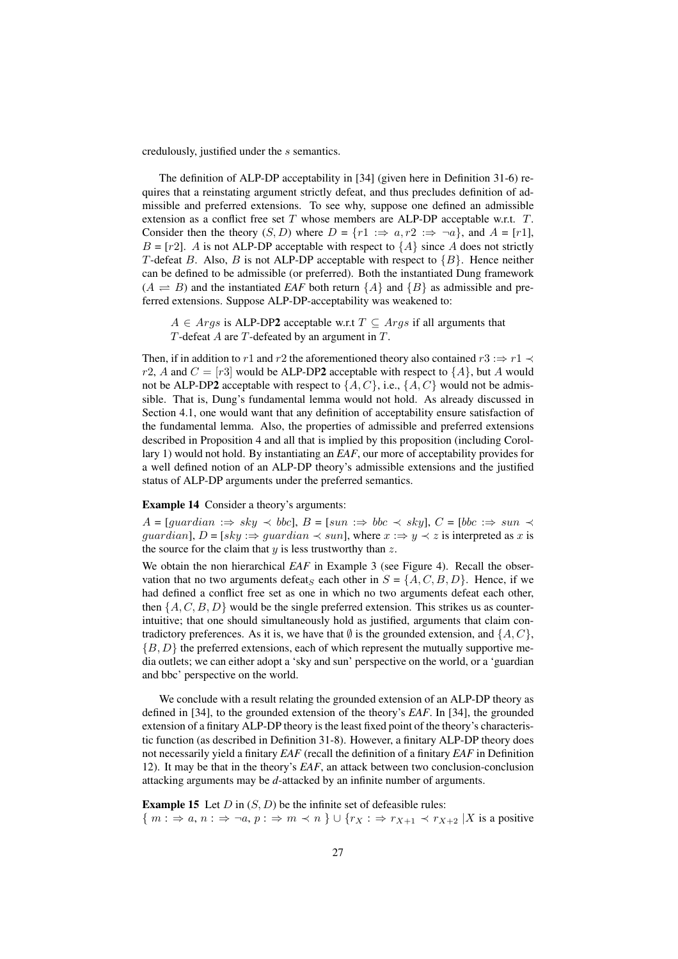credulously, justified under the s semantics.

The definition of ALP-DP acceptability in [34] (given here in Definition 31-6) requires that a reinstating argument strictly defeat, and thus precludes definition of admissible and preferred extensions. To see why, suppose one defined an admissible extension as a conflict free set  $T$  whose members are ALP-DP acceptable w.r.t.  $T$ . Consider then the theory  $(S, D)$  where  $D = \{r1 \implies a, r2 \implies \neg a\}$ , and  $A = [r1]$ ,  $B = [r2]$ . A is not ALP-DP acceptable with respect to  $\{A\}$  since A does not strictly T-defeat B. Also, B is not ALP-DP acceptable with respect to  ${B}$ . Hence neither can be defined to be admissible (or preferred). Both the instantiated Dung framework  $(A \rightleftharpoons B)$  and the instantiated *EAF* both return  $\{A\}$  and  $\{B\}$  as admissible and preferred extensions. Suppose ALP-DP-acceptability was weakened to:

 $A \in \text{Aras}$  is ALP-DP2 acceptable w.r.t  $T \subseteq \text{Aras}$  if all arguments that  $T$ -defeat  $A$  are  $T$ -defeated by an argument in  $T$ .

Then, if in addition to r1 and r2 the aforementioned theory also contained r3 : $\Rightarrow$  r1  $\prec$ r2, A and  $C = [r3]$  would be ALP-DP2 acceptable with respect to  $\{A\}$ , but A would not be ALP-DP2 acceptable with respect to  $\{A, C\}$ , i.e.,  $\{A, C\}$  would not be admissible. That is, Dung's fundamental lemma would not hold. As already discussed in Section 4.1, one would want that any definition of acceptability ensure satisfaction of the fundamental lemma. Also, the properties of admissible and preferred extensions described in Proposition 4 and all that is implied by this proposition (including Corollary 1) would not hold. By instantiating an *EAF*, our more of acceptability provides for a well defined notion of an ALP-DP theory's admissible extensions and the justified status of ALP-DP arguments under the preferred semantics.

#### Example 14 Consider a theory's arguments:

 $A = [quardian \Rightarrow sky \prec bbc], B = [sun \Rightarrow bbc \prec sky], C = [bbc \Rightarrow sun \prec$ quardian],  $D = [sky : \Rightarrow$  quardian  $\prec$  sun], where  $x : \Rightarrow y \prec z$  is interpreted as x is the source for the claim that  $y$  is less trustworthy than  $z$ .

We obtain the non hierarchical *EAF* in Example 3 (see Figure 4). Recall the observation that no two arguments defeat<sub>S</sub> each other in  $S = \{A, C, B, D\}$ . Hence, if we had defined a conflict free set as one in which no two arguments defeat each other, then  $\{A, C, B, D\}$  would be the single preferred extension. This strikes us as counterintuitive; that one should simultaneously hold as justified, arguments that claim contradictory preferences. As it is, we have that  $\emptyset$  is the grounded extension, and  $\{A, C\}$ ,  ${B, D}$  the preferred extensions, each of which represent the mutually supportive media outlets; we can either adopt a 'sky and sun' perspective on the world, or a 'guardian and bbc' perspective on the world.

We conclude with a result relating the grounded extension of an ALP-DP theory as defined in [34], to the grounded extension of the theory's *EAF*. In [34], the grounded extension of a finitary ALP-DP theory is the least fixed point of the theory's characteristic function (as described in Definition 31-8). However, a finitary ALP-DP theory does not necessarily yield a finitary *EAF* (recall the definition of a finitary *EAF* in Definition 12). It may be that in the theory's *EAF*, an attack between two conclusion-conclusion attacking arguments may be *d*-attacked by an infinite number of arguments.

**Example 15** Let  $D$  in  $(S, D)$  be the infinite set of defeasible rules:  $\{m : \Rightarrow a, n : \Rightarrow \neg a, p : \Rightarrow m \prec n\} \cup \{r_X : \Rightarrow r_{X+1} \prec r_{X+2} | X \text{ is a positive}\}$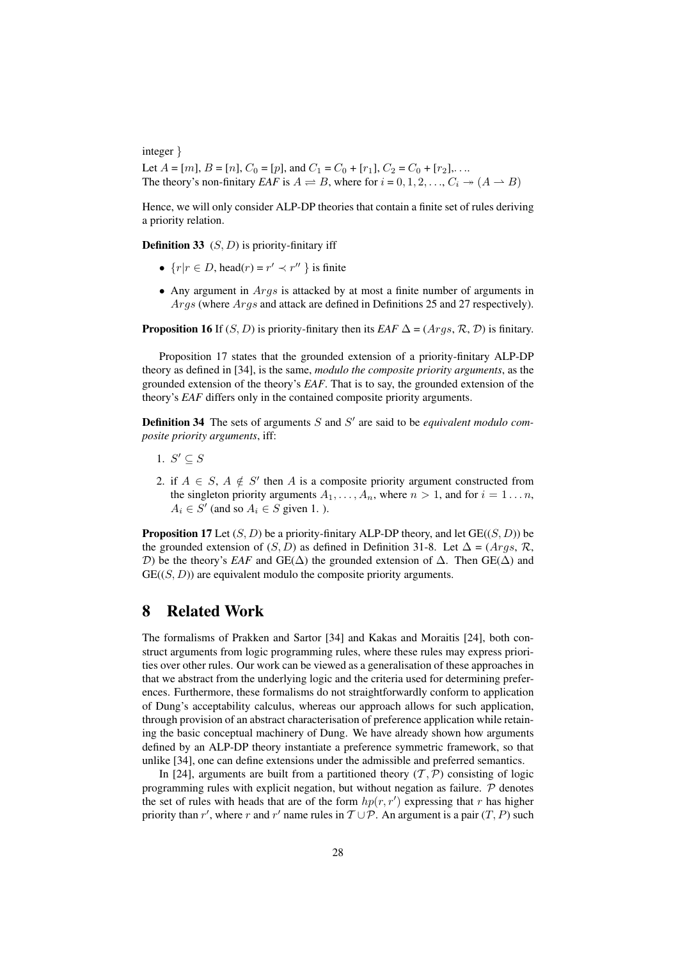integer }

Let  $A = [m]$ ,  $B = [n]$ ,  $C_0 = [p]$ , and  $C_1 = C_0 + [r_1]$ ,  $C_2 = C_0 + [r_2]$ ,... The theory's non-finitary *EAF* is  $A \rightleftharpoons B$ , where for  $i = 0, 1, 2, ..., C_i \rightarrow (A \rightarrow B)$ 

Hence, we will only consider ALP-DP theories that contain a finite set of rules deriving a priority relation.

**Definition 33**  $(S, D)$  is priority-finitary iff

- $\{r | r \in D, \text{head}(r) = r' \prec r'' \}$  is finite
- Any argument in *Args* is attacked by at most a finite number of arguments in Args (where Args and attack are defined in Definitions 25 and 27 respectively).

**Proposition 16** If  $(S, D)$  is priority-finitary then its *EAF*  $\Delta = (Args, R, D)$  is finitary.

Proposition 17 states that the grounded extension of a priority-finitary ALP-DP theory as defined in [34], is the same, *modulo the composite priority arguments*, as the grounded extension of the theory's *EAF*. That is to say, the grounded extension of the theory's *EAF* differs only in the contained composite priority arguments.

**Definition 34** The sets of arguments  $S$  and  $S'$  are said to be *equivalent modulo composite priority arguments*, iff:

- 1.  $S' \subseteq S$
- 2. if  $A \in S$ ,  $A \notin S'$  then A is a composite priority argument constructed from the singleton priority arguments  $A_1, \ldots, A_n$ , where  $n > 1$ , and for  $i = 1 \ldots n$ ,  $A_i \in S'$  (and so  $A_i \in S$  given 1.).

**Proposition 17** Let  $(S, D)$  be a priority-finitary ALP-DP theory, and let  $GE((S, D))$  be the grounded extension of  $(S, D)$  as defined in Definition 31-8. Let  $\Delta = (Args, \mathcal{R},$ D) be the theory's *EAF* and GE( $\Delta$ ) the grounded extension of  $\Delta$ . Then GE( $\Delta$ ) and  $GE((S, D))$  are equivalent modulo the composite priority arguments.

### 8 Related Work

The formalisms of Prakken and Sartor [34] and Kakas and Moraitis [24], both construct arguments from logic programming rules, where these rules may express priorities over other rules. Our work can be viewed as a generalisation of these approaches in that we abstract from the underlying logic and the criteria used for determining preferences. Furthermore, these formalisms do not straightforwardly conform to application of Dung's acceptability calculus, whereas our approach allows for such application, through provision of an abstract characterisation of preference application while retaining the basic conceptual machinery of Dung. We have already shown how arguments defined by an ALP-DP theory instantiate a preference symmetric framework, so that unlike [34], one can define extensions under the admissible and preferred semantics.

In [24], arguments are built from a partitioned theory  $(\mathcal{T}, \mathcal{P})$  consisting of logic programming rules with explicit negation, but without negation as failure.  $\mathcal P$  denotes the set of rules with heads that are of the form  $hp(r, r')$  expressing that r has higher priority than r', where r and r' name rules in  $T \cup \mathcal{P}$ . An argument is a pair  $(T, P)$  such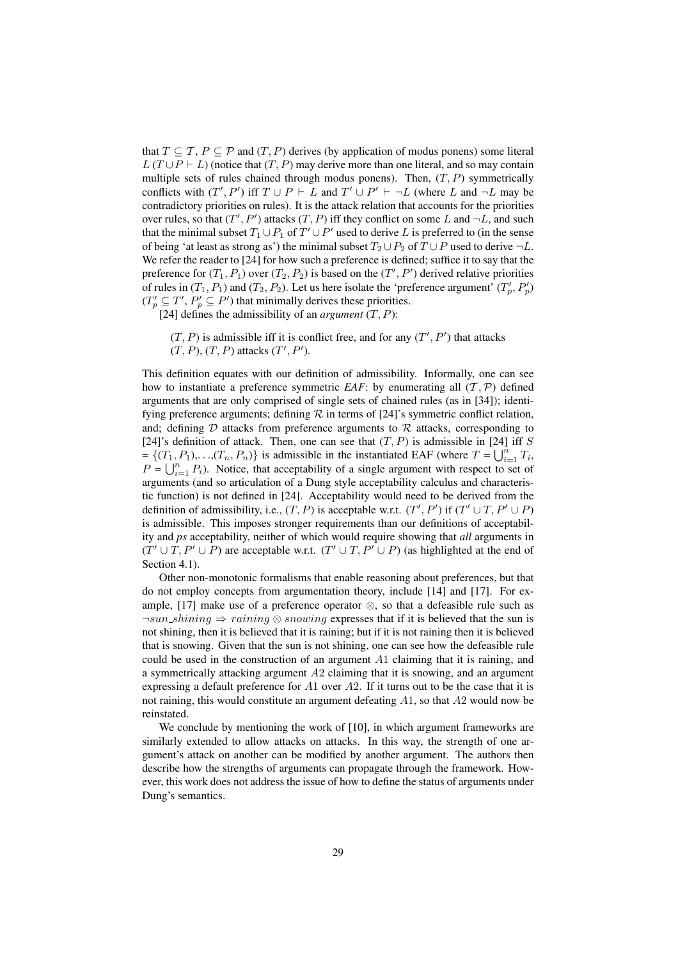that  $T \subseteq T$ ,  $P \subseteq \mathcal{P}$  and  $(T, P)$  derives (by application of modus ponens) some literal  $L(T \cup P \vdash L)$  (notice that  $(T, P)$  may derive more than one literal, and so may contain multiple sets of rules chained through modus ponens). Then,  $(T, P)$  symmetrically conflicts with  $(T', P')$  iff  $T \cup P \vdash L$  and  $T' \cup P' \vdash \neg L$  (where L and  $\neg L$  may be contradictory priorities on rules). It is the attack relation that accounts for the priorities over rules, so that  $(T', P')$  attacks  $(T, P)$  iff they conflict on some L and  $\neg L$ , and such that the minimal subset  $T_1 \cup P_1$  of  $T' \cup P'$  used to derive L is preferred to (in the sense of being 'at least as strong as') the minimal subset  $T_2 \cup P_2$  of  $T \cup P$  used to derive  $\neg L$ . We refer the reader to [24] for how such a preference is defined; suffice it to say that the preference for  $(T_1, P_1)$  over  $(T_2, P_2)$  is based on the  $(T', P')$  derived relative priorities of rules in  $(T_1, P_1)$  and  $(T_2, P_2)$ . Let us here isolate the 'preference argument'  $(T_p', P_p')$  $(T'_p \subseteq T', P'_p \subseteq P')$  that minimally derives these priorities.

- [24] defines the admissibility of an *argument*  $(T, P)$ :
	- $(T, P)$  is admissible iff it is conflict free, and for any  $(T', P')$  that attacks  $(T, P), (T, P)$  attacks  $(T', P')$ .

This definition equates with our definition of admissibility. Informally, one can see how to instantiate a preference symmetric *EAF*: by enumerating all  $(T, P)$  defined arguments that are only comprised of single sets of chained rules (as in [34]); identifying preference arguments; defining  $R$  in terms of [24]'s symmetric conflict relation, and; defining  $D$  attacks from preference arguments to  $R$  attacks, corresponding to [24]'s definition of attack. Then, one can see that  $(T, P)$  is admissible in [24] iff S [24] S definition of attack. Then, one can see that  $(T, P)$  is admissible in [24] in S<br>=  $\{(T_1, P_1), \dots, (T_n, P_n)\}$  is admissible in the instantiated EAF (where  $T = \bigcup_{i=1}^n T_i$ ,  $P = \bigcup_{i=1}^{n} P_i$ ). Notice, that acceptability of a single argument with respect to set of arguments (and so articulation of a Dung style acceptability calculus and characteristic function) is not defined in [24]. Acceptability would need to be derived from the definition of admissibility, i.e.,  $(T, P)$  is acceptable w.r.t.  $(T', P')$  if  $(T' \cup T, P' \cup P)$ is admissible. This imposes stronger requirements than our definitions of acceptability and *ps* acceptability, neither of which would require showing that *all* arguments in  $(T' \cup T, P' \cup P)$  are acceptable w.r.t.  $(T' \cup T, P' \cup P)$  (as highlighted at the end of Section 4.1).

Other non-monotonic formalisms that enable reasoning about preferences, but that do not employ concepts from argumentation theory, include [14] and [17]. For example, [17] make use of a preference operator  $\otimes$ , so that a defeasible rule such as  $\neg sum\_shining \Rightarrow raining \otimes snowing$  expresses that if it is believed that the sun is not shining, then it is believed that it is raining; but if it is not raining then it is believed that is snowing. Given that the sun is not shining, one can see how the defeasible rule could be used in the construction of an argument A1 claiming that it is raining, and a symmetrically attacking argument A2 claiming that it is snowing, and an argument expressing a default preference for A1 over A2. If it turns out to be the case that it is not raining, this would constitute an argument defeating  $A1$ , so that  $A2$  would now be reinstated.

We conclude by mentioning the work of [10], in which argument frameworks are similarly extended to allow attacks on attacks. In this way, the strength of one argument's attack on another can be modified by another argument. The authors then describe how the strengths of arguments can propagate through the framework. However, this work does not address the issue of how to define the status of arguments under Dung's semantics.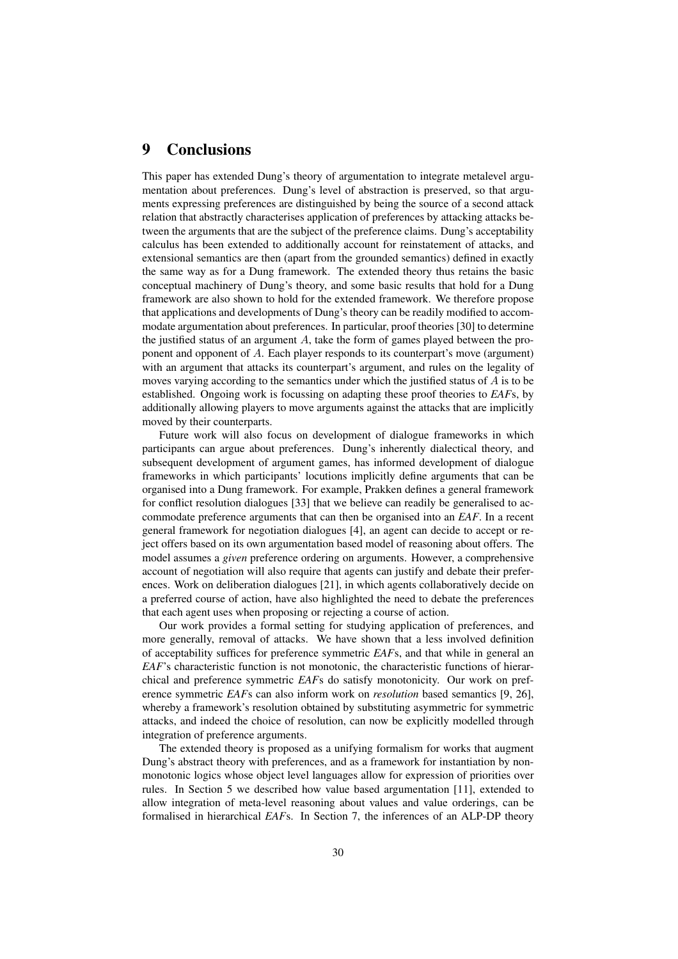### 9 Conclusions

This paper has extended Dung's theory of argumentation to integrate metalevel argumentation about preferences. Dung's level of abstraction is preserved, so that arguments expressing preferences are distinguished by being the source of a second attack relation that abstractly characterises application of preferences by attacking attacks between the arguments that are the subject of the preference claims. Dung's acceptability calculus has been extended to additionally account for reinstatement of attacks, and extensional semantics are then (apart from the grounded semantics) defined in exactly the same way as for a Dung framework. The extended theory thus retains the basic conceptual machinery of Dung's theory, and some basic results that hold for a Dung framework are also shown to hold for the extended framework. We therefore propose that applications and developments of Dung's theory can be readily modified to accommodate argumentation about preferences. In particular, proof theories [30] to determine the justified status of an argument  $A$ , take the form of games played between the proponent and opponent of A. Each player responds to its counterpart's move (argument) with an argument that attacks its counterpart's argument, and rules on the legality of moves varying according to the semantics under which the justified status of  $A$  is to be established. Ongoing work is focussing on adapting these proof theories to *EAF*s, by additionally allowing players to move arguments against the attacks that are implicitly moved by their counterparts.

Future work will also focus on development of dialogue frameworks in which participants can argue about preferences. Dung's inherently dialectical theory, and subsequent development of argument games, has informed development of dialogue frameworks in which participants' locutions implicitly define arguments that can be organised into a Dung framework. For example, Prakken defines a general framework for conflict resolution dialogues [33] that we believe can readily be generalised to accommodate preference arguments that can then be organised into an *EAF*. In a recent general framework for negotiation dialogues [4], an agent can decide to accept or reject offers based on its own argumentation based model of reasoning about offers. The model assumes a *given* preference ordering on arguments. However, a comprehensive account of negotiation will also require that agents can justify and debate their preferences. Work on deliberation dialogues [21], in which agents collaboratively decide on a preferred course of action, have also highlighted the need to debate the preferences that each agent uses when proposing or rejecting a course of action.

Our work provides a formal setting for studying application of preferences, and more generally, removal of attacks. We have shown that a less involved definition of acceptability suffices for preference symmetric *EAF*s, and that while in general an *EAF*'s characteristic function is not monotonic, the characteristic functions of hierarchical and preference symmetric *EAF*s do satisfy monotonicity. Our work on preference symmetric *EAF*s can also inform work on *resolution* based semantics [9, 26], whereby a framework's resolution obtained by substituting asymmetric for symmetric attacks, and indeed the choice of resolution, can now be explicitly modelled through integration of preference arguments.

The extended theory is proposed as a unifying formalism for works that augment Dung's abstract theory with preferences, and as a framework for instantiation by nonmonotonic logics whose object level languages allow for expression of priorities over rules. In Section 5 we described how value based argumentation [11], extended to allow integration of meta-level reasoning about values and value orderings, can be formalised in hierarchical *EAF*s. In Section 7, the inferences of an ALP-DP theory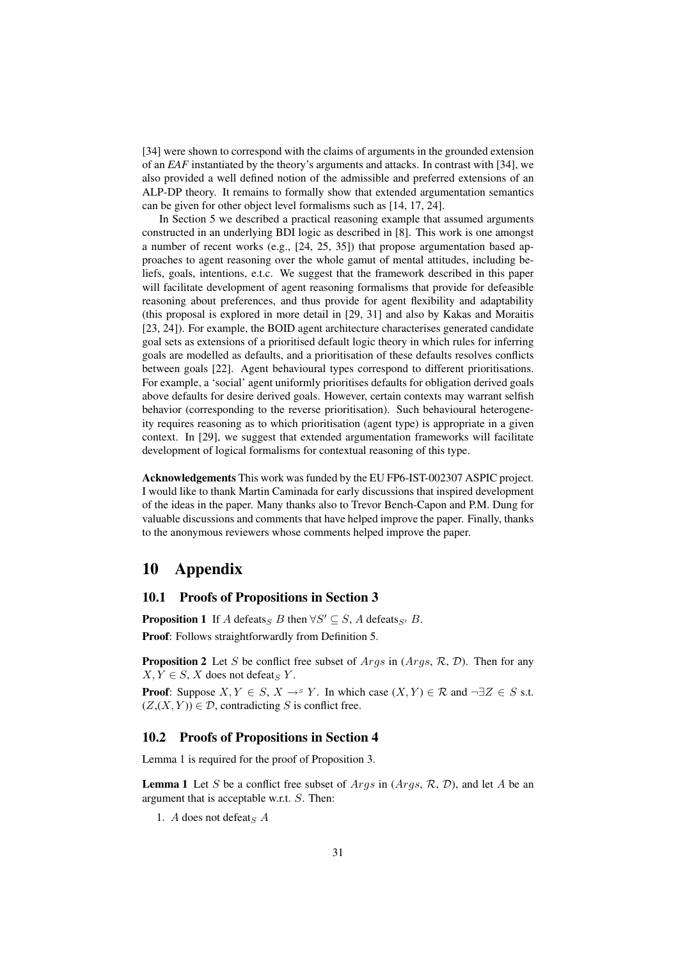[34] were shown to correspond with the claims of arguments in the grounded extension of an *EAF* instantiated by the theory's arguments and attacks. In contrast with [34], we also provided a well defined notion of the admissible and preferred extensions of an ALP-DP theory. It remains to formally show that extended argumentation semantics can be given for other object level formalisms such as [14, 17, 24].

In Section 5 we described a practical reasoning example that assumed arguments constructed in an underlying BDI logic as described in [8]. This work is one amongst a number of recent works (e.g., [24, 25, 35]) that propose argumentation based approaches to agent reasoning over the whole gamut of mental attitudes, including beliefs, goals, intentions, e.t.c. We suggest that the framework described in this paper will facilitate development of agent reasoning formalisms that provide for defeasible reasoning about preferences, and thus provide for agent flexibility and adaptability (this proposal is explored in more detail in [29, 31] and also by Kakas and Moraitis [23, 24]). For example, the BOID agent architecture characterises generated candidate goal sets as extensions of a prioritised default logic theory in which rules for inferring goals are modelled as defaults, and a prioritisation of these defaults resolves conflicts between goals [22]. Agent behavioural types correspond to different prioritisations. For example, a 'social' agent uniformly prioritises defaults for obligation derived goals above defaults for desire derived goals. However, certain contexts may warrant selfish behavior (corresponding to the reverse prioritisation). Such behavioural heterogeneity requires reasoning as to which prioritisation (agent type) is appropriate in a given context. In [29], we suggest that extended argumentation frameworks will facilitate development of logical formalisms for contextual reasoning of this type.

Acknowledgements This work was funded by the EU FP6-IST-002307 ASPIC project. I would like to thank Martin Caminada for early discussions that inspired development of the ideas in the paper. Many thanks also to Trevor Bench-Capon and P.M. Dung for valuable discussions and comments that have helped improve the paper. Finally, thanks to the anonymous reviewers whose comments helped improve the paper.

### 10 Appendix

### 10.1 Proofs of Propositions in Section 3

**Proposition 1** If A defeats<sub>S</sub> B then  $\forall S' \subseteq S$ , A defeats<sub>S'</sub> B. Proof: Follows straightforwardly from Definition 5.

**Proposition 2** Let S be conflict free subset of  $Args$  in  $(Args, \mathcal{R}, \mathcal{D})$ . Then for any  $X, Y \in S$ , X does not defeat<sub>S</sub> Y.

**Proof:** Suppose  $X, Y \in S$ ,  $X \to^s Y$ . In which case  $(X, Y) \in \mathcal{R}$  and  $\neg \exists Z \in S$  s.t.  $(Z,(X, Y)) \in \mathcal{D}$ , contradicting S is conflict free.

### 10.2 Proofs of Propositions in Section 4

Lemma 1 is required for the proof of Proposition 3.

**Lemma 1** Let S be a conflict free subset of  $Args$  in  $(Args, R, D)$ , and let A be an argument that is acceptable w.r.t. S. Then:

1. A does not defeats  $A$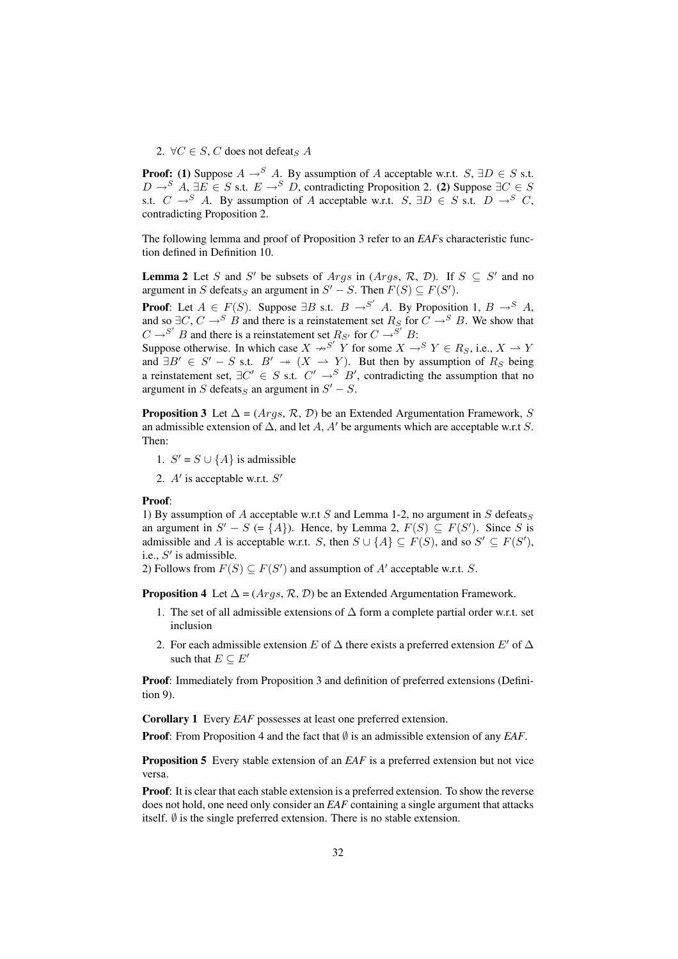2.  $\forall C \in S$ , C does not defeats A

**Proof:** (1) Suppose  $A \rightarrow^{S} A$ . By assumption of A acceptable w.r.t.  $S, \exists D \in S$  s.t.  $D \rightarrow^S A$ ,  $\exists E \in S$  s.t.  $E \rightarrow^S D$ , contradicting Proposition 2. (2) Suppose  $\exists C \in S$ s.t.  $C \rightarrow^S A$ . By assumption of A acceptable w.r.t.  $S$ ,  $\exists D \in S$  s.t.  $D \rightarrow^S C$ , contradicting Proposition 2.

The following lemma and proof of Proposition 3 refer to an *EAF*s characteristic function defined in Definition 10.

**Lemma 2** Let S and S' be subsets of Args in (Args, R, D). If  $S \subseteq S'$  and no argument in S defeats<sub>S</sub> an argument in  $S' - S$ . Then  $F(S) \subseteq F(S')$ .

**Proof:** Let  $A \in F(S)$ . Suppose  $\exists B$  s.t.  $B \rightarrow^{S'} A$ . By Proposition 1,  $B \rightarrow^{S'} A$ , and so  $\exists C, C \rightarrow^{S} B$  and there is a reinstatement set  $R_S$  for  $C \rightarrow^{S} B$ . We show that  $C \rightarrow S'$  B and there is a reinstatement set  $R_{S'}$  for  $C \rightarrow S'$  B:

Suppose otherwise. In which case  $X \nrightarrow^{S'} Y$  for some  $X \rightarrow^S Y \in R_S$ , i.e.,  $X \rightarrow Y$ and  $\exists B' \in S' - S$  s.t.  $B' \rightarrow (X \rightarrow Y)$ . But then by assumption of  $R_S$  being a reinstatement set,  $\exists C' \in S$  s.t.  $C' \rightarrow^S B'$ , contradicting the assumption that no argument in S defeats<sub>S</sub> an argument in  $S' - S$ .

**Proposition 3** Let  $\Delta = (Args, \mathcal{R}, \mathcal{D})$  be an Extended Argumentation Framework, S an admissible extension of  $\Delta$ , and let A, A' be arguments which are acceptable w.r.t S. Then:

1.  $S' = S \cup \{A\}$  is admissible

2.  $A'$  is acceptable w.r.t.  $S'$ 

#### Proof:

1) By assumption of A acceptable w.r.t S and Lemma 1-2, no argument in S defeats  $\varsigma$ an argument in  $S' - S$  (= {A}). Hence, by Lemma 2,  $F(S) \subseteq F(S')$ . Since S is admissible and A is acceptable w.r.t. S, then  $S \cup \{A\} \subseteq F(S)$ , and so  $S' \subseteq F(S')$ , i.e.,  $S'$  is admissible.

2) Follows from  $F(S) \subseteq F(S')$  and assumption of A' acceptable w.r.t. S.

**Proposition 4** Let  $\Delta = (Args, \mathcal{R}, \mathcal{D})$  be an Extended Argumentation Framework.

- 1. The set of all admissible extensions of  $\Delta$  form a complete partial order w.r.t. set inclusion
- 2. For each admissible extension E of  $\Delta$  there exists a preferred extension E' of  $\Delta$ such that  $E \subseteq E'$

Proof: Immediately from Proposition 3 and definition of preferred extensions (Definition 9).

Corollary 1 Every *EAF* possesses at least one preferred extension.

Proof: From Proposition 4 and the fact that ∅ is an admissible extension of any *EAF*.

**Proposition 5** Every stable extension of an *EAF* is a preferred extension but not vice versa.

Proof: It is clear that each stable extension is a preferred extension. To show the reverse does not hold, one need only consider an *EAF* containing a single argument that attacks itself.  $\emptyset$  is the single preferred extension. There is no stable extension.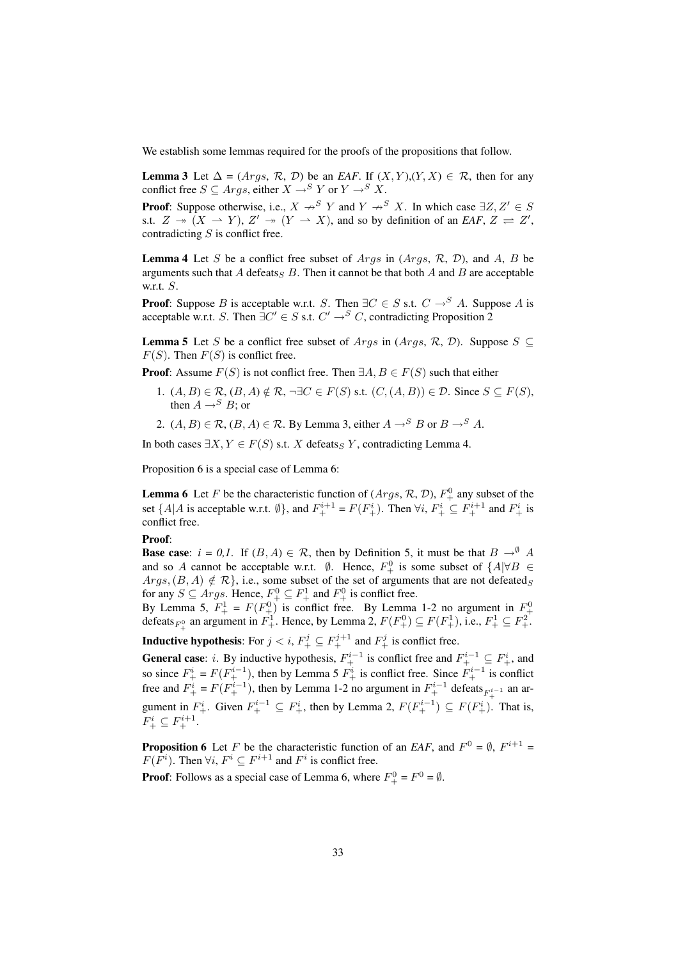We establish some lemmas required for the proofs of the propositions that follow.

**Lemma 3** Let  $\Delta = (Args, R, D)$  be an *EAF*. If  $(X, Y), (Y, X) \in R$ , then for any conflict free  $S \subseteq \text{Arg}$ , either  $X \to^S Y$  or  $Y \to^S X$ .

**Proof:** Suppose otherwise, i.e.,  $X \nrightarrow^S Y$  and  $Y \nrightarrow^S X$ . In which case  $\exists Z, Z' \in S$ s.t.  $Z \rightarrow (X \rightarrow Y), Z' \rightarrow (Y \rightarrow X)$ , and so by definition of an *EAF*,  $Z \rightleftharpoons Z'$ , contradicting  $S$  is conflict free.

**Lemma 4** Let S be a conflict free subset of Args in (Args,  $\mathcal{R}$ ,  $\mathcal{D}$ ), and A, B be arguments such that A defeats  $\overline{B}$ . Then it cannot be that both A and B are acceptable w.r.t.  $S$ .

**Proof:** Suppose B is acceptable w.r.t. S. Then  $\exists C \in S$  s.t.  $C \rightarrow^S A$ . Suppose A is acceptable w.r.t. S. Then  $\exists C' \in S$  s.t.  $C' \rightarrow^S C$ , contradicting Proposition 2

**Lemma 5** Let S be a conflict free subset of Args in (Args, R, D). Suppose  $S \subseteq$  $F(S)$ . Then  $F(S)$  is conflict free.

**Proof:** Assume  $F(S)$  is not conflict free. Then  $\exists A, B \in F(S)$  such that either

- 1.  $(A, B) \in \mathcal{R}$ ,  $(B, A) \notin \mathcal{R}$ ,  $\neg \exists C \in F(S)$  s.t.  $(C, (A, B)) \in \mathcal{D}$ . Since  $S \subseteq F(S)$ , then  $A \rightarrow^{S} B$ ; or
- 2.  $(A, B) \in \mathcal{R}$ ,  $(B, A) \in \mathcal{R}$ . By Lemma 3, either  $A \rightarrow^{S} B$  or  $B \rightarrow^{S} A$ .

In both cases  $\exists X, Y \in F(S)$  s.t. X defeats  $\subseteq Y$ , contradicting Lemma 4.

Proposition 6 is a special case of Lemma 6:

**Lemma 6** Let F be the characteristic function of  $(Args, R, D)$ ,  $F^0_+$  any subset of the set  $\{A|A \text{ is acceptable w.r.t. } \emptyset\}$ , and  $F_+^{i+1} = F(F_+^i)$ . Then  $\forall i$ ,  $F_+^i \subseteq F_+^{i+1}$  and  $F_+^i$  is conflict free.

#### Proof:

**Base case:**  $i = 0, 1$ . If  $(B, A) \in \mathcal{R}$ , then by Definition 5, it must be that  $B \to^{\emptyset} A$ and so A cannot be acceptable w.r.t.  $\emptyset$ . Hence,  $F^0_+$  is some subset of  $\{A|\forall B \in$  $Args, (B, A) \notin \mathcal{R}$ , i.e., some subset of the set of arguments that are not defeateds for any  $S \subseteq \text{Args}$ . Hence,  $F_+^0 \subseteq F_+^1$  and  $F_+^0$  is conflict free.

By Lemma 5,  $F_+^1 = F(F_+^0)$  is conflict free. By Lemma 1-2 no argument in  $F_+^0$  defeats  $_{F_+^0}$  an argument in  $F_+^1$ . Hence, by Lemma 2,  $F(F_+^0) \subseteq F(F_+^1)$ , i.e.,  $F_+^1 \subseteq F_+^2$ .

**Inductive hypothesis:** For  $j < i$ ,  $F_+^j \subseteq F_+^{j+1}$  and  $F_+^j$  is conflict free.

**General case**: *i*. By inductive hypothesis,  $F_+^{i-1}$  is conflict free and  $F_+^{i-1} \subseteq F_+^i$ , and so since  $F^i_+ = F(F^{i-1}_+)$ , then by Lemma 5  $F^i_+$  is conflict free. Since  $F^{i-1}_+$  is conflict free and  $F^i_+ = F(F^{i-1}_+)$ , then by Lemma 1-2 no argument in  $F^{i-1}_+$  defeats  $F^{i-1}_+$  an argument in  $F^i_+$ . Given  $F^{i-1}_+ \subseteq F^i_+$ , then by Lemma 2,  $F(F^{i-1}_+) \subseteq F(F^i_+)$ . That is,  $F^i_+\subseteq F^{i+1}_+.$ 

**Proposition 6** Let F be the characteristic function of an *EAF*, and  $F^0 = \emptyset$ ,  $F^{i+1} =$  $F(F<sup>i</sup>)$ . Then  $\forall i$ ,  $F<sup>i</sup> \subseteq F<sup>i+1</sup>$  and  $F<sup>i</sup>$  is conflict free.

**Proof**: Follows as a special case of Lemma 6, where  $F_+^0 = F^0 = \emptyset$ .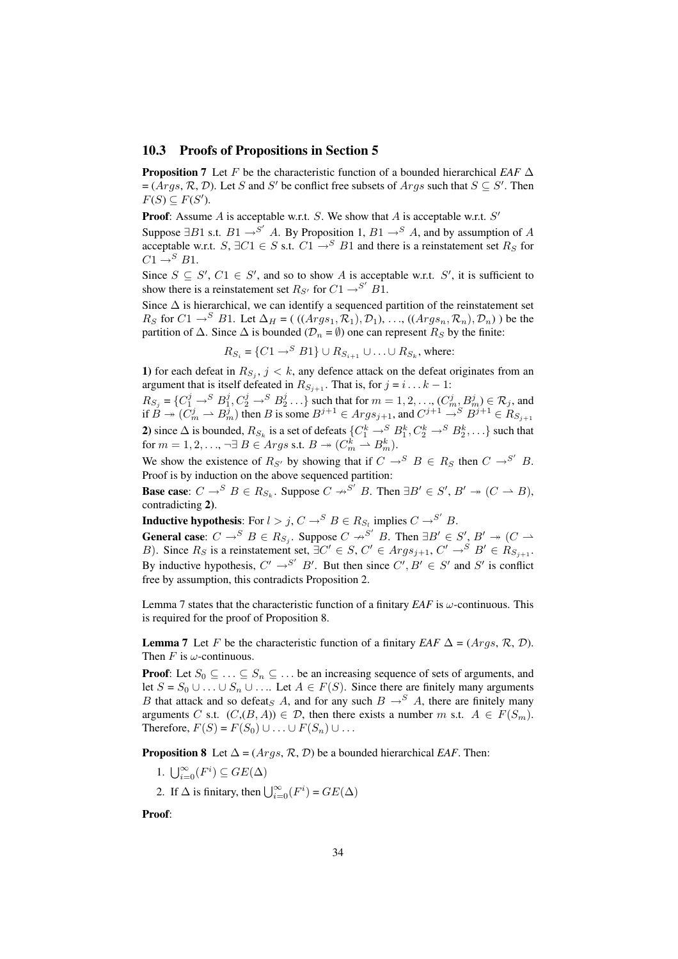### 10.3 Proofs of Propositions in Section 5

**Proposition 7** Let F be the characteristic function of a bounded hierarchical *EAF*  $\Delta$  $=(Args, \mathcal{R}, \mathcal{D})$ . Let S and S' be conflict free subsets of  $Args$  such that  $S \subseteq S'$ . Then  $F(S) \subseteq F(S')$ .

**Proof:** Assume A is acceptable w.r.t. S. We show that A is acceptable w.r.t.  $S'$ 

Suppose  $\exists B1$  s.t.  $B1 \rightarrow S'$  A. By Proposition 1,  $B1 \rightarrow S'$  A, and by assumption of A acceptable w.r.t. S,  $\exists C1 \in S$  s.t.  $C1 \rightarrow^{S} B1$  and there is a reinstatement set  $R_S$  for  $C1 \rightarrow^{S} B1$ .

Since  $S \subseteq S'$ ,  $C1 \in S'$ , and so to show A is acceptable w.r.t. S', it is sufficient to show there is a reinstatement set  $R_{S'}$  for  $C1 \rightarrow S'$   $B1$ .

Since  $\Delta$  is hierarchical, we can identify a sequenced partition of the reinstatement set  $R_S$  for  $C1 \rightarrow^S B1$ . Let  $\Delta_H = ((Arg s_1, R_1), \mathcal{D}_1), \ldots, ((Arg s_n, R_n), \mathcal{D}_n)$  be the partition of  $\Delta$ . Since  $\Delta$  is bounded ( $\mathcal{D}_n = \emptyset$ ) one can represent  $R_S$  by the finite:

 $R_{S_i} = \{C1 \rightarrow^S B1\} \cup R_{S_{i+1}} \cup \ldots \cup R_{S_k}$ , where:

1) for each defeat in  $R_{S_j}$ ,  $j < k$ , any defence attack on the defeat originates from an argument that is itself defeated in  $R_{S_{i+1}}$ . That is, for  $j = i \dots k - 1$ :

 $R_{S_j} = \{C_1^j \rightarrow^S B_1^j, C_2^j \rightarrow^S B_2^j \dots\}$  such that for  $m = 1, 2, \dots, (C_m^j, B_m^j) \in \mathcal{R}_j$ , and if  $B \to (C_m^j \to B_m^j)$  then B is some  $B^{j+1} \in Args_{j+1}$ , and  $C^{j+1} \to^S B^{j+1} \in R_{S_{j+1}}$ 2) since  $\Delta$  is bounded,  $R_{S_k}$  is a set of defeats  $\{C_1^k \to S^S B_1^k, C_2^k \to S^S B_2^k, \ldots\}$  such that for  $m = 1, 2, ..., \neg \exists B \in \text{A}rgs$  s.t.  $B \twoheadrightarrow (C_m^k \rightharpoonup B_m^k)$ .

We show the existence of  $R_{S'}$  by showing that if  $C \rightarrow^{S'} B \in R_S$  then  $C \rightarrow^{S'} B$ . Proof is by induction on the above sequenced partition:

**Base case:**  $C \to^S B \in R_{S_k}$ . Suppose  $C \to^{S'} B$ . Then  $\exists B' \in S', B' \twoheadrightarrow (C \to B)$ , contradicting 2).

**Inductive hypothesis:** For  $l > j$ ,  $C \rightarrow^{S} B \in R_{S_l}$  implies  $C \rightarrow^{S'} B$ .

**General case:**  $C \to^S B \in R_{S_j}$ . Suppose  $C \to^{S'} B$ . Then  $\exists B' \in S'$ ,  $B' \to (C \to^S B \cup C')$ B). Since  $R_S$  is a reinstatement set,  $\exists C' \in S$ ,  $C' \in Args_{j+1}$ ,  $C' \rightarrow^S B' \in R_{S_{j+1}}$ . By inductive hypothesis,  $C' \rightarrow^{S'} B'$ . But then since  $C', B' \in S'$  and  $S'$  is conflict free by assumption, this contradicts Proposition 2.

Lemma 7 states that the characteristic function of a finitary *EAF* is  $\omega$ -continuous. This is required for the proof of Proposition 8.

**Lemma 7** Let F be the characteristic function of a finitary *EAF*  $\Delta = (A \, \text{rgs}, \, R, \, D)$ . Then  $F$  is  $\omega$ -continuous.

**Proof:** Let  $S_0 \subseteq \ldots \subseteq S_n \subseteq \ldots$  be an increasing sequence of sets of arguments, and let  $S = S_0 \cup ... \cup S_n \cup ...$  Let  $A \in F(S)$ . Since there are finitely many arguments B that attack and so defeat<sub>S</sub> A, and for any such  $B \rightarrow S A$ , there are finitely many arguments C s.t.  $(C,(B, A)) \in \mathcal{D}$ , then there exists a number m s.t.  $A \in F(S_m)$ . Therefore,  $F(S) = F(S_0) \cup \ldots \cup F(S_n) \cup \ldots$ 

**Proposition 8** Let  $\Delta = (Args, \mathcal{R}, \mathcal{D})$  be a bounded hierarchical *EAF*. Then:

- 1.  $\bigcup_{i=0}^{\infty}(F^i) \subseteq GE(\Delta)$
- 2. If  $\Delta$  is finitary, then  $\bigcup_{i=0}^{\infty} (F^i) = GE(\Delta)$

Proof: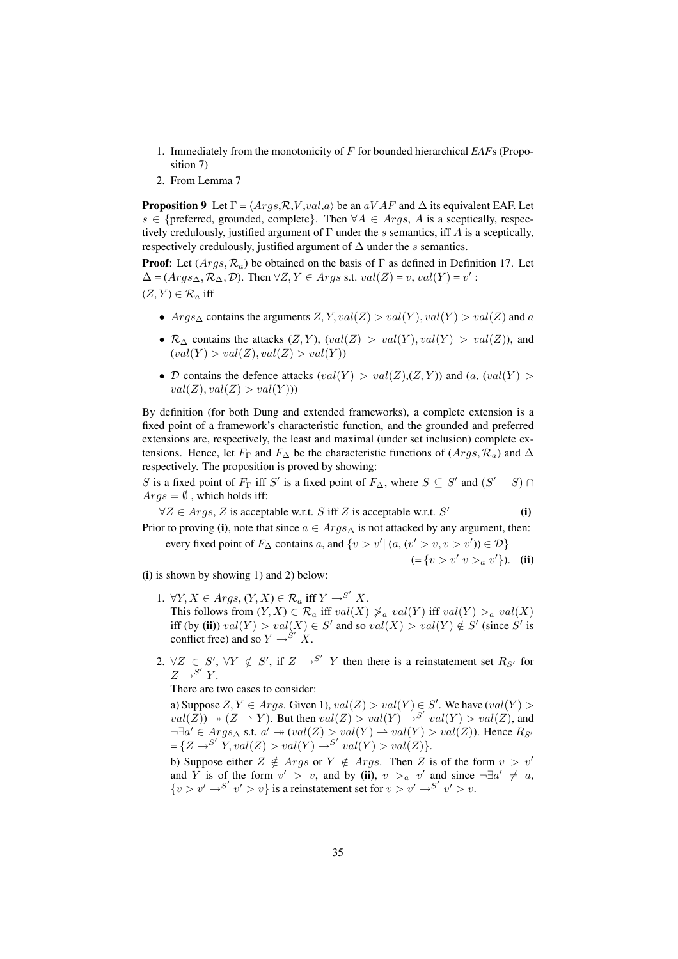- 1. Immediately from the monotonicity of F for bounded hierarchical *EAF*s (Proposition 7)
- 2. From Lemma 7

**Proposition 9** Let  $\Gamma = \langle Args, R, V, val, a \rangle$  be an  $aVAF$  and  $\Delta$  its equivalent EAF. Let s ∈ {preferred, grounded, complete}. Then  $\forall A \in \text{Arg}$ , A is a sceptically, respectively credulously, justified argument of  $\Gamma$  under the s semantics, iff A is a sceptically, respectively credulously, justified argument of  $\Delta$  under the s semantics.

**Proof:** Let  $(Args, \mathcal{R}_a)$  be obtained on the basis of  $\Gamma$  as defined in Definition 17. Let  $\Delta = (Arg s_{\Delta}, R_{\Delta}, \mathcal{D})$ . Then  $\forall Z, Y \in Args$  s.t.  $val(Z) = v$ ,  $val(Y) = v'$ :  $(Z, Y) \in \mathcal{R}_a$  iff

- $Args_\Delta$  contains the arguments  $Z, Y, val(Z) > val(Y), val(Y) > val(Z)$  and a
- $\mathcal{R}_{\Delta}$  contains the attacks  $(Z, Y)$ ,  $\text{val}(Z) > \text{val}(Y)$ ,  $\text{val}(Y) > \text{val}(Z)$ ), and  $\operatorname{val}(Y) > \operatorname{val}(Z), \operatorname{val}(Z) > \operatorname{val}(Y)$
- D contains the defence attacks  $\langle val(Y) \rangle$   $\langle val(Z), (Z, Y) \rangle$  and  $\langle a, \langle val(Y) \rangle$  $val(Z), val(Z) > val(Y))$

By definition (for both Dung and extended frameworks), a complete extension is a fixed point of a framework's characteristic function, and the grounded and preferred extensions are, respectively, the least and maximal (under set inclusion) complete extensions. Hence, let  $F_{\Gamma}$  and  $F_{\Delta}$  be the characteristic functions of  $(Args, R_a)$  and  $\Delta$ respectively. The proposition is proved by showing:

S is a fixed point of  $F_{\Gamma}$  iff S' is a fixed point of  $F_{\Delta}$ , where  $S \subseteq S'$  and  $(S' - S) \cap$  $Args = \emptyset$ , which holds iff:

 $\forall Z \in \text{Arg } s, Z$  is acceptable w.r.t. S iff Z is acceptable w.r.t. S' (i) Prior to proving (i), note that since  $a \in Arg s_{\Delta}$  is not attacked by any argument, then: every fixed point of  $F_{\Delta}$  contains a, and  $\{v > v' | (a, (v' > v, v > v')) \in \mathcal{D}\}\$ 

 $(=\{v > v'|v >_a v'\}).$  (ii)

(i) is shown by showing 1) and 2) below:

- 1.  $\forall Y, X \in \text{A}rgs, (Y, X) \in \mathcal{R}_a$  iff  $Y \rightarrow^{S'} X$ . This follows from  $(Y, X) \in \mathcal{R}_a$  iff  $val(X) \ngeq a val(Y)$  iff  $val(Y) >_a val(X)$ iff (by (ii))  $val(Y) > val(X) \in S'$  and so  $val(X) > val(Y) \notin S'$  (since S' is conflict free) and so  $Y \rightarrow S' X$ .
- 2.  $\forall Z \in S'$ ,  $\forall Y \notin S'$ , if  $Z \rightarrow S'$  Y then there is a reinstatement set  $R_{S'}$  for  $Z \rightarrow^{S'} Y$ .

There are two cases to consider:

a) Suppose  $Z, Y \in \text{Args}$ . Given 1),  $\text{val}(Z) > \text{val}(Y) \in S'$ . We have  $(\text{val}(Y) >$  $val(Z) \rightarrow (Z \rightarrow Y)$ . But then  $val(Z) > val(Y) \rightarrow S' val(Y) > val(Z)$ , and  $\neg \exists a' \in \text{Args}_{\Delta} \text{ s.t. } a' \rightarrow \text{val}(Z) > \text{val}(Y) \rightarrow \text{val}(Y) > \text{val}(Z)$ . Hence  $R_{S'}$  $= \{Z \rightarrow S' \mid Y, val(Z) > val(Y) \rightarrow S' \text{ } val(Y) > val(Z) \}.$ 

b) Suppose either  $Z \notin \text{Args or } Y \notin \text{Args. Then } Z \text{ is of the form } v > v'$ and Y is of the form  $v' > v$ , and by (ii),  $v >_a v'$  and since  $\neg \exists a' \neq a$ ,  $\{v > v' \rightarrow S' \mid v' > v\}$  is a reinstatement set for  $v > v' \rightarrow S' \mid v' > v$ .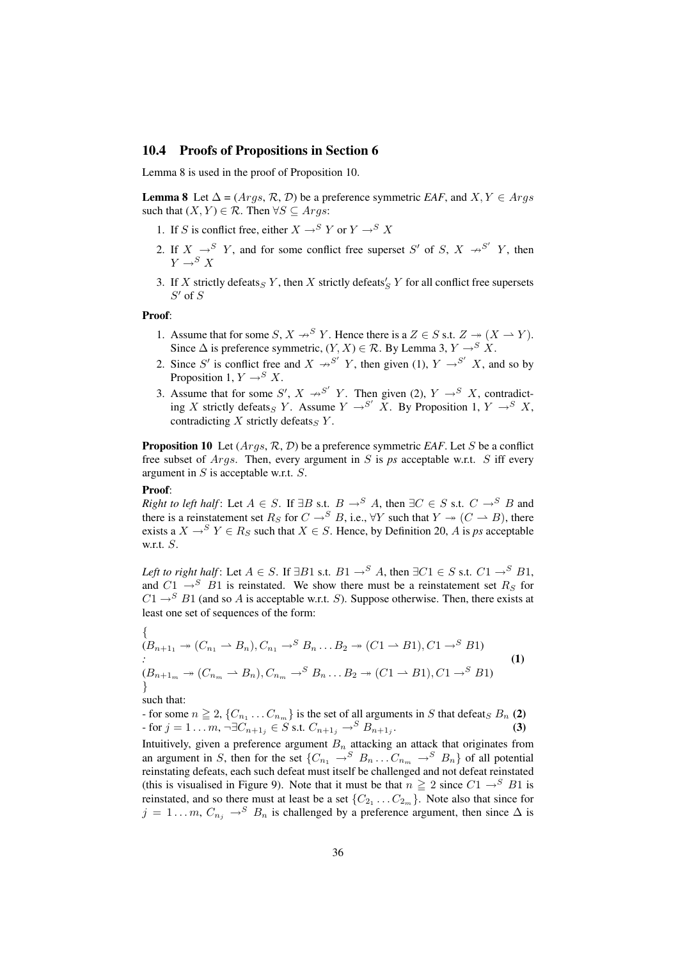### 10.4 Proofs of Propositions in Section 6

Lemma 8 is used in the proof of Proposition 10.

**Lemma 8** Let  $\Delta = (Args, \mathcal{R}, \mathcal{D})$  be a preference symmetric *EAF*, and  $X, Y \in Args$ such that  $(X, Y) \in \mathcal{R}$ . Then  $\forall S \subseteq \text{Aras}:$ 

- 1. If S is conflict free, either  $X \rightarrow^S Y$  or  $Y \rightarrow^S X$
- 2. If  $X \rightarrow^{S} Y$ , and for some conflict free superset S' of S,  $X \rightarrow^{S'} Y$ , then  $Y \rightarrow^S X$
- 3. If X strictly defeats  $Y$ , then X strictly defeats  $'_{S}$  Y for all conflict free supersets  $S'$  of  $S$

#### Proof:

- 1. Assume that for some  $S, X \nrightarrow^S Y$ . Hence there is a  $Z \in S$  s.t.  $Z \rightarrow (X \rightarrow Y)$ . Since  $\Delta$  is preference symmetric,  $(Y, X) \in \mathcal{R}$ . By Lemma 3,  $Y \rightarrow^S X$ .
- 2. Since S' is conflict free and  $X \rightarrow S' Y$ , then given (1),  $Y \rightarrow S' X$ , and so by Proposition 1,  $Y \rightarrow^{S} X$ .
- 3. Assume that for some S',  $X \rightarrow S'$  Y. Then given (2),  $Y \rightarrow S X$ , contradicting X strictly defeats<sub>S</sub> Y. Assume  $Y \rightarrow S'$  X. By Proposition 1,  $Y \rightarrow S'$  X, contradicting X strictly defeats<sub>S</sub> Y.

**Proposition 10** Let  $(Args, \mathcal{R}, \mathcal{D})$  be a preference symmetric *EAF*. Let S be a conflict free subset of  $Args$ . Then, every argument in S is  $ps$  acceptable w.r.t. S iff every argument in S is acceptable w.r.t. S.

#### Proof:

*Right to left half*: Let  $A \in S$ . If  $\exists B$  s.t.  $B \rightarrow^{S} A$ , then  $\exists C \in S$  s.t.  $C \rightarrow^{S} B$  and there is a reinstatement set  $R_S$  for  $C \rightarrow^S B$ , i.e.,  $\forall Y$  such that  $Y \twoheadrightarrow (C \rightarrow B)$ , there exists a  $X \rightarrow^{S} Y \in R_S$  such that  $X \in S$ . Hence, by Definition 20, A is *ps* acceptable w.r.t.  $S$ .

*Left to right half*: Let  $A \in S$ . If  $\exists B1$  s.t.  $B1 \rightarrow^S A$ , then  $\exists C1 \in S$  s.t.  $C1 \rightarrow^S B1$ , and  $C1 \rightarrow^{S} B1$  is reinstated. We show there must be a reinstatement set  $R_S$  for  $C1 \rightarrow^{S} B1$  (and so A is acceptable w.r.t. S). Suppose otherwise. Then, there exists at least one set of sequences of the form:

$$
\begin{cases}\n(B_{n+1_1} \twoheadrightarrow (C_{n_1} \rightharpoonup B_n), C_{n_1} \rightharpoonup^S B_n \dots B_2 \twoheadrightarrow (C_1 \rightharpoonup B_1), C_1 \rightharpoonup^S B_1) \\
\vdots \\
(B_{n+1_m} \twoheadrightarrow (C_{n_m} \rightharpoonup B_n), C_{n_m} \rightharpoonup^S B_n \dots B_2 \twoheadrightarrow (C_1 \rightharpoonup B_1), C_1 \rightharpoonup^S B_1)\n\end{cases}\n\tag{1}
$$

such that:

- for some 
$$
n \ge 2
$$
,  $\{C_{n_1} \dots C_{n_m}\}$  is the set of all arguments in *S* that defeat<sub>S</sub>  $B_n$  (2)  
- for  $j = 1 \dots m$ ,  $\neg \exists C_{n+1_j} \in S$  s.t.  $C_{n+1_j} \rightarrow^S B_{n+1_j}$ . (3)

Intuitively, given a preference argument  $B_n$  attacking an attack that originates from an argument in S, then for the set  $\{C_{n_1} \to S \mid B_n \dots C_{n_m} \to S \mid B_n\}$  of all potential reinstating defeats, each such defeat must itself be challenged and not defeat reinstated (this is visualised in Figure 9). Note that it must be that  $n \ge 2$  since  $C1 \rightarrow^{S} B1$  is reinstated, and so there must at least be a set  $\{C_{2_1} \dots C_{2_m}\}$ . Note also that since for  $j = 1...m$ ,  $C_{n_j} \rightarrow^S B_n$  is challenged by a preference argument, then since  $\Delta$  is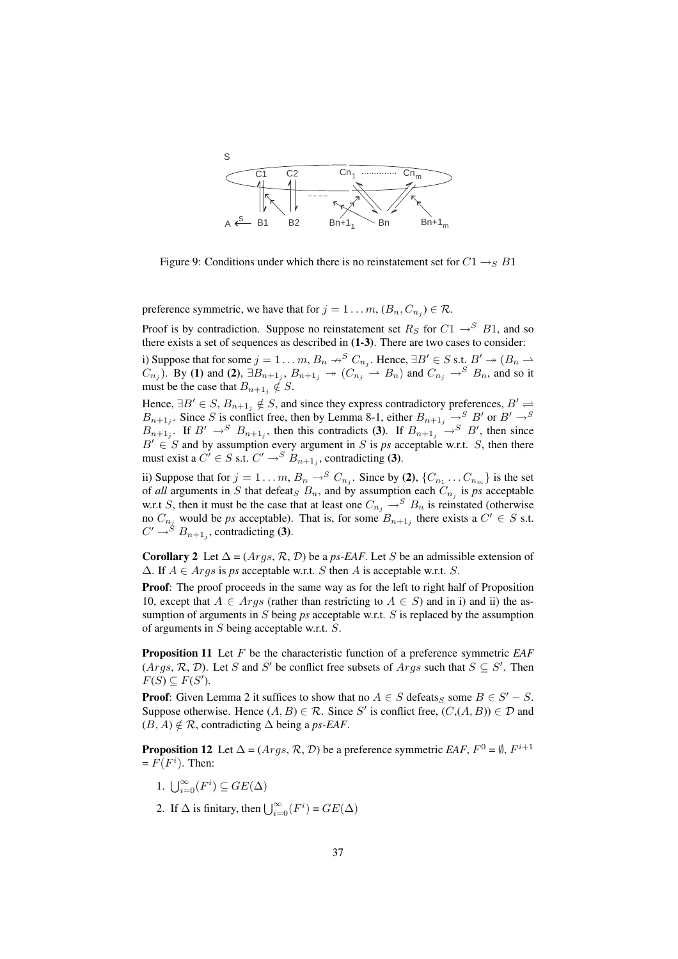

Figure 9: Conditions under which there is no reinstatement set for  $C1 \rightarrow_{S} B1$ 

preference symmetric, we have that for  $j = 1 \dots m$ ,  $(B_n, C_{n_j}) \in \mathcal{R}$ .

Proof is by contradiction. Suppose no reinstatement set  $R<sub>S</sub>$  for  $C1 \rightarrow^{S} B1$ , and so there exists a set of sequences as described in (1-3). There are two cases to consider:

i) Suppose that for some  $j = 1 \ldots m$ ,  $B_n \nrightarrow^S C_{n_j}$ . Hence,  $\exists B' \in S$  s.t.  $B' \rightarrow (B_n \rightarrow S)$  $(C_{n_j})$ . By (1) and (2),  $\exists B_{n+1_j}, B_{n+1_j} \rightarrow (C_{n_j} \rightarrow B_n)$  and  $C_{n_j} \rightarrow^S B_n$ , and so it must be the case that  $B_{n+1,j} \notin S$ .

Hence,  $\exists B' \in S$ ,  $B_{n+1_j} \notin S$ , and since they express contradictory preferences,  $B' \rightleftharpoons$  $B_{n+1,j}$ . Since S is conflict free, then by Lemma 8-1, either  $B_{n+1,j} \to^S B'$  or  $B' \to^S B'$  $B_{n+1,j}$ . If  $B' \to^S B_{n+1,j}$ , then this contradicts (3). If  $B_{n+1,j} \to^S B'$ , then since  $B' \in S$  and by assumption every argument in S is ps acceptable w.r.t. S, then there must exist a  $C' \in S$  s.t.  $C' \rightarrow^{S} B_{n+1,j}$ , contradicting (3).

ii) Suppose that for  $j = 1...m$ ,  $B_n \rightarrow^S C_{n_j}$ . Since by (2),  $\{C_{n_1}...C_{n_m}\}$  is the set of *all* arguments in S that defeat<sub>S</sub>  $B_n$ , and by assumption each  $C_{n_j}$  is ps acceptable w.r.t S, then it must be the case that at least one  $C_{n_j} \rightarrow^S B_n$  is reinstated (otherwise no  $C_{n_j}$  would be *ps* acceptable). That is, for some  $B_{n+1_j}$  there exists a  $C' \in S$  s.t.  $C' \rightarrow$ <sup>S</sup>  $B_{n+1}$ , contradicting (3).

**Corollary 2** Let  $\Delta = (Aras, \mathcal{R}, \mathcal{D})$  be a *ps-EAF*. Let S be an admissible extension of  $\Delta$ . If  $A \in \text{Arg } s$  is *ps* acceptable w.r.t. S then A is acceptable w.r.t. S.

Proof: The proof proceeds in the same way as for the left to right half of Proposition 10, except that  $A \in \text{Arg}$  (rather than restricting to  $A \in S$ ) and in i) and ii) the assumption of arguments in S being *ps* acceptable w.r.t. S is replaced by the assumption of arguments in S being acceptable w.r.t. S.

Proposition 11 Let F be the characteristic function of a preference symmetric *EAF*  $(Args, R, D)$ . Let S and S' be conflict free subsets of  $Args$  such that  $S \subseteq S'$ . Then  $F(S) \subseteq F(S')$ .

**Proof:** Given Lemma 2 it suffices to show that no  $A \in S$  defeats<sub>S</sub> some  $B \in S' - S$ . Suppose otherwise. Hence  $(A, B) \in \mathcal{R}$ . Since S' is conflict free,  $(C, (A, B)) \in \mathcal{D}$  and  $(B, A) \notin \mathcal{R}$ , contradicting  $\Delta$  being a *ps-EAF*.

**Proposition 12** Let  $\Delta = (Args, \mathcal{R}, \mathcal{D})$  be a preference symmetric *EAF*,  $F^0 = \emptyset$ ,  $F^{i+1}$  $= F(F<sup>i</sup>)$ . Then:

- 1.  $\bigcup_{i=0}^{\infty}(F^i) \subseteq GE(\Delta)$
- 2. If  $\Delta$  is finitary, then  $\bigcup_{i=0}^{\infty}(F^i) = GE(\Delta)$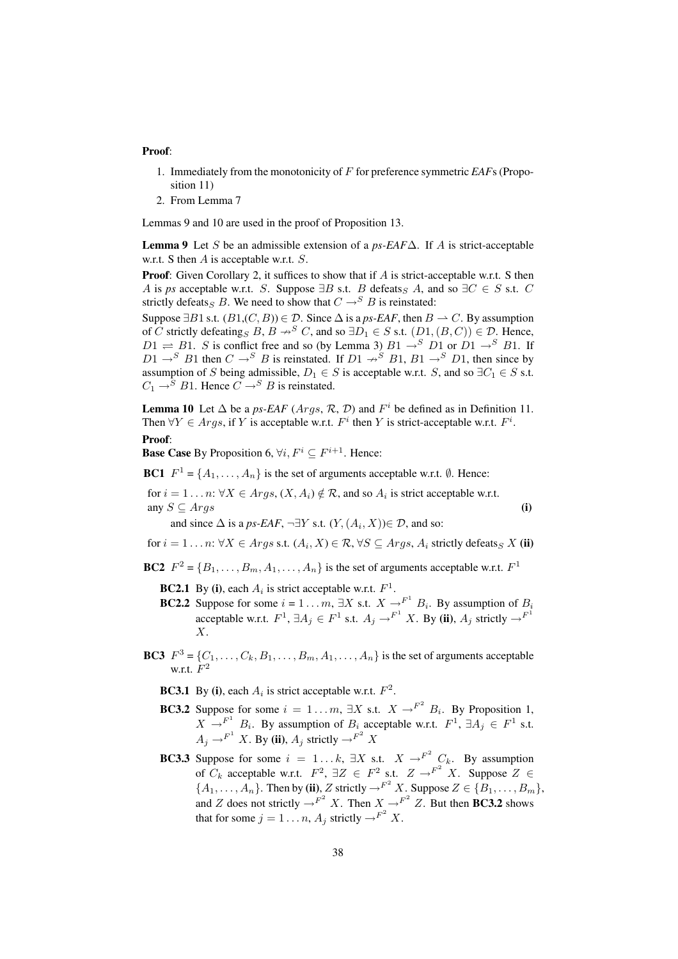#### Proof:

- 1. Immediately from the monotonicity of F for preference symmetric *EAF*s (Proposition 11)
- 2. From Lemma 7

Lemmas 9 and 10 are used in the proof of Proposition 13.

Lemma 9 Let S be an admissible extension of a *ps-EAF*∆. If A is strict-acceptable w.r.t. S then A is acceptable w.r.t. S.

**Proof:** Given Corollary 2, it suffices to show that if A is strict-acceptable w.r.t. S then A is *ps* acceptable w.r.t. S. Suppose  $\exists B$  s.t. B defeats<sub>S</sub> A, and so  $\exists C \in S$  s.t. C strictly defeats<sub>S</sub> B. We need to show that  $C \rightarrow^{S} B$  is reinstated:

Suppose  $\exists B1$  s.t.  $(B1,(C, B)) \in \mathcal{D}$ . Since  $\Delta$  is a *ps-EAF*, then  $B \to C$ . By assumption of C strictly defeating<sub>S</sub>  $B, B \rightarrow^{S} C$ , and so  $\exists D_1 \in S$  s.t.  $(D1, (B, C)) \in \mathcal{D}$ . Hence,  $D1 \rightleftharpoons B1$ . S is conflict free and so (by Lemma 3)  $B1 \rightarrow^{S} D1$  or  $D1 \rightarrow^{S} B1$ . If  $D1 \rightarrow^{S} B1$  then  $C \rightarrow^{S} B$  is reinstated. If  $D1 \rightarrow^{S} B1$ ,  $B1 \rightarrow^{S} D1$ , then since by assumption of S being admissible,  $D_1 \in S$  is acceptable w.r.t. S, and so  $\exists C_1 \in S$  s.t.  $C_1 \rightarrow^S B1$ . Hence  $C \rightarrow^S B$  is reinstated.

**Lemma 10** Let  $\Delta$  be a *ps-EAF* (*Args*,  $\mathcal{R}$ ,  $\mathcal{D}$ ) and  $F^i$  be defined as in Definition 11. Then  $\forall Y \in \text{Arg } s$ , if Y is acceptable w.r.t.  $F^i$  then Y is strict-acceptable w.r.t.  $F^i$ .

### Proof:

**Base Case** By Proposition 6,  $\forall i, F^i \subseteq F^{i+1}$ . Hence:

**BC1**  $F^1 = \{A_1, \ldots, A_n\}$  is the set of arguments acceptable w.r.t.  $\emptyset$ . Hence:

for  $i = 1 \dots n$ :  $\forall X \in \text{Args}, (X, A_i) \notin \mathcal{R}$ , and so  $A_i$  is strict acceptable w.r.t. any  $S \subseteq \text{Arg}s$  (i)

and since  $\Delta$  is a *ps-EAF*,  $\neg \exists Y \text{ s.t. } (Y, (A_i, X)) \in \mathcal{D}$ , and so:

for  $i = 1 \dots n$ :  $\forall X \in \text{A}rgs$  s.t.  $(A_i, X) \in \mathcal{R}, \forall S \subseteq \text{A}rgs$ ,  $A_i$  strictly defeats  $X$  (ii)

BC2  $F^2 = \{B_1, \ldots, B_m, A_1, \ldots, A_n\}$  is the set of arguments acceptable w.r.t.  $F^1$ 

**BC2.1** By (i), each  $A_i$  is strict acceptable w.r.t.  $F^1$ .

- **BC2.2** Suppose for some  $i = 1...m$ ,  $\exists X$  s.t.  $X \rightarrow^{F^1} B_i$ . By assumption of  $B_i$ acceptable w.r.t.  $F^1$ ,  $\exists A_j \in F^1$  s.t.  $A_j \rightarrow F^1 X$ . By (ii),  $A_j$  strictly  $\rightarrow F^1$ X.
- **BC3**  $F^3 = \{C_1, \ldots, C_k, B_1, \ldots, B_m, A_1, \ldots, A_n\}$  is the set of arguments acceptable w.r.t.  $F^2$

**BC3.1** By (i), each  $A_i$  is strict acceptable w.r.t.  $F^2$ .

- **BC3.2** Suppose for some  $i = 1...m$ ,  $\exists X$  s.t.  $X \rightarrow^{F^2} B_i$ . By Proposition 1,  $X \rightarrow^{F^1} B_i$ . By assumption of  $B_i$  acceptable w.r.t.  $F^1$ ,  $\exists A_j \in F^1$  s.t.  $A_j \rightarrow^{F^1} X$ . By (ii),  $A_j$  strictly  $\rightarrow^{F^2} X$
- **BC3.3** Suppose for some  $i = 1...k$ ,  $\exists X$  s.t.  $X \rightarrow^{F^2} C_k$ . By assumption of  $C_k$  acceptable w.r.t.  $F^2$ ,  $\exists Z \in F^2$  s.t.  $Z \to^{F^2} X$ . Suppose  $Z \in$  $\{A_1, \ldots, A_n\}$ . Then by (ii), Z strictly  $\rightarrow^{F^2} X$ . Suppose  $Z \in \{B_1, \ldots, B_m\}$ , and Z does not strictly  $\rightarrow^{F^2} X$ . Then  $X \rightarrow^{F^2} Z$ . But then **BC3.2** shows that for some  $j = 1 \dots n$ ,  $A_j$  strictly  $\rightarrow^{F^2} X$ .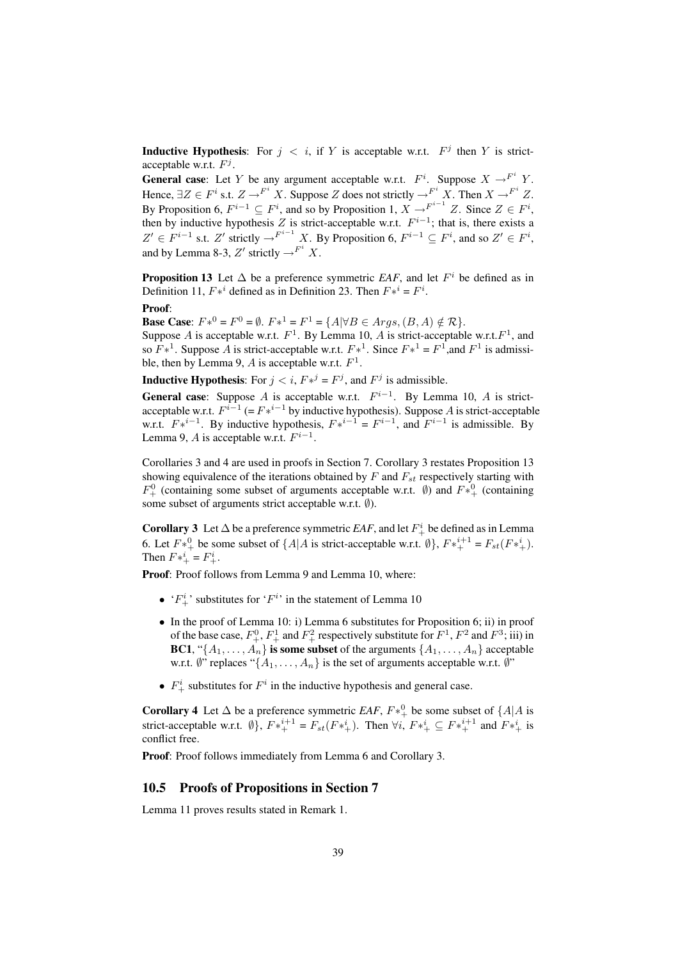**Inductive Hypothesis:** For  $j \lt i$ , if Y is acceptable w.r.t.  $F^j$  then Y is strictacceptable w.r.t.  $F^j$ .

**General case:** Let Y be any argument acceptable w.r.t.  $F^i$ . Suppose  $X \rightarrow^{F^i} Y$ . Hence,  $\exists Z \in F^i$  s.t.  $Z \to^{F^i} X$ . Suppose Z does not strictly  $\to^{F^i} X$ . Then  $X \to^{F^i} Z$ . By Proposition 6,  $F^{i-1} \subseteq F^i$ , and so by Proposition 1,  $X \rightarrow^{F^{i-1}} Z$ . Since  $Z \in F^i$ , then by inductive hypothesis Z is strict-acceptable w.r.t.  $F^{i-1}$ ; that is, there exists a  $Z' \in F^{i-1}$  s.t.  $Z'$  strictly  $\rightarrow^{F^{i-1}} X$ . By Proposition 6,  $F^{i-1} \subseteq F^i$ , and so  $Z' \in F^i$ , and by Lemma 8-3, Z' strictly  $\rightarrow^{F^i} X$ .

**Proposition 13** Let  $\Delta$  be a preference symmetric *EAF*, and let  $F^i$  be defined as in Definition 11,  $F*^i$  defined as in Definition 23. Then  $F*^i = F^i$ .

#### Proof:

**Base Case:**  $F*^0 = F^0 = \emptyset$ .  $F*^1 = F^1 = \{A | \forall B \in \text{A}rgs, (B, A) \notin \mathcal{R} \}.$ Suppose A is acceptable w.r.t.  $F^1$ . By Lemma 10, A is strict-acceptable w.r.t.  $F^1$ , and so  $F*^1$ . Suppose A is strict-acceptable w.r.t.  $F*^1$ . Since  $F*^1 = F^1$ , and  $F^1$  is admissible, then by Lemma 9, A is acceptable w.r.t.  $F^1$ .

**Inductive Hypothesis:** For  $j < i$ ,  $F*^j = F^j$ , and  $F^j$  is admissible.

**General case:** Suppose A is acceptable w.r.t.  $F^{i-1}$ . By Lemma 10, A is strictacceptable w.r.t.  $F^{i-1}$  (=  $F^{i-1}$  by inductive hypothesis). Suppose A is strict-acceptable w.r.t.  $F*^{i-1}$ . By inductive hypothesis,  $F*^{i-1} = F^{i-1}$ , and  $F^{i-1}$  is admissible. By Lemma 9, A is acceptable w.r.t.  $F^{i-1}$ .

Corollaries 3 and 4 are used in proofs in Section 7. Corollary 3 restates Proposition 13 showing equivalence of the iterations obtained by  $F$  and  $F_{st}$  respectively starting with  $F^0_+$  (containing some subset of arguments acceptable w.r.t.  $\emptyset$ ) and  $F^{*0}_{+}$  (containing some subset of arguments strict acceptable w.r.t. Ø).

**Corollary 3** Let  $\Delta$  be a preference symmetric *EAF*, and let  $F^i_+$  be defined as in Lemma 6. Let  $F^*\,^0_+$  be some subset of  $\{A|A \text{ is strict-acceptable w.r.t. } \emptyset\}$ ,  $F^*\,^{i+1}_+ = F_{st}(F^*\,^i_+).$ Then  $F*_{+}^{i} = F_{+}^{i}$ .

Proof: Proof follows from Lemma 9 and Lemma 10, where:

- ' $F_{+}^{i}$ ' substitutes for ' $F^{i}$ ' in the statement of Lemma 10
- In the proof of Lemma 10: i) Lemma 6 substitutes for Proposition 6; ii) in proof of the base case,  $F_+^0$ ,  $F_+^1$  and  $F_+^2$  respectively substitute for  $F_+^1$ ,  $F_+^2$  and  $F_+^3$ ; iii) in BC1, "{ $A_1, \ldots, A_n$ } is some subset of the arguments { $A_1, \ldots, A_n$ } acceptable w.r.t.  $\emptyset$ " replaces "{ $A_1, \ldots, A_n$ } is the set of arguments acceptable w.r.t.  $\emptyset$ "
- $F^i_+$  substitutes for  $F^i$  in the inductive hypothesis and general case.

**Corollary 4** Let  $\Delta$  be a preference symmetric *EAF*,  $F *^0_+$  be some subset of  $\{A | A$  is strict-acceptable w.r.t.  $\emptyset$ ,  $F *^{i+1}_{+} = F_{st}(F *^{i}_{+})$ . Then  $\forall i$ ,  $F *^{i}_{+} \subseteq F *^{i+1}_{+}$  and  $F *^{i}_{+}$  is conflict free.

Proof: Proof follows immediately from Lemma 6 and Corollary 3.

### 10.5 Proofs of Propositions in Section 7

Lemma 11 proves results stated in Remark 1.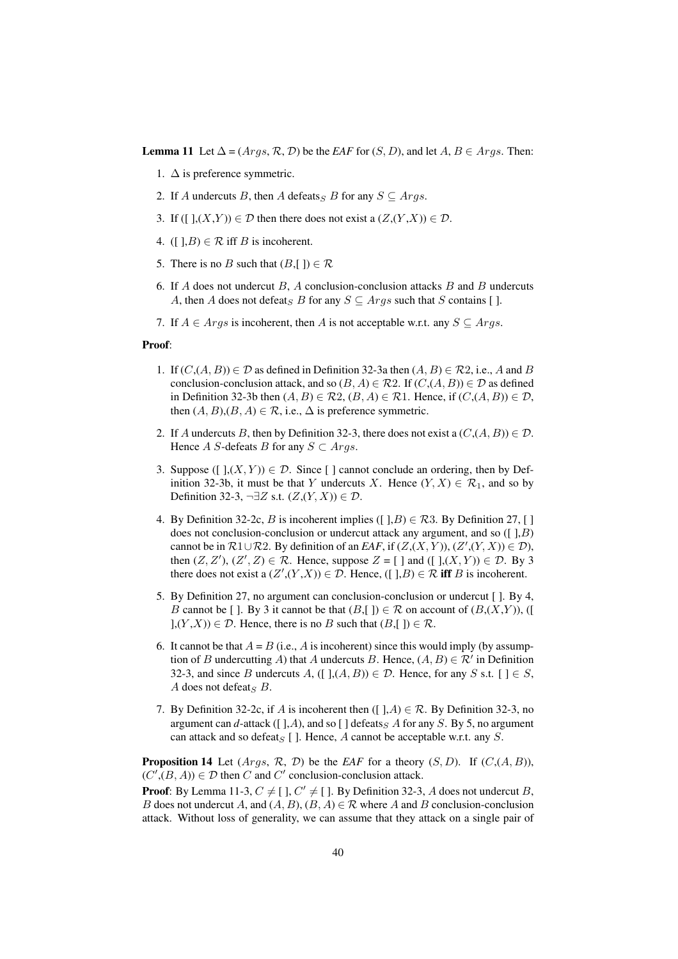**Lemma 11** Let  $\Delta = (Args, \mathcal{R}, \mathcal{D})$  be the *EAF* for  $(S, D)$ , and let  $A, B \in Args$ . Then:

- 1.  $\Delta$  is preference symmetric.
- 2. If A undercuts B, then A defeats<sub>S</sub> B for any  $S \subseteq \text{Arg} s$ .
- 3. If ([ $\exists$ ,  $(X,Y)$ )  $\in \mathcal{D}$  then there does not exist a  $(Z,(Y,X)) \in \mathcal{D}$ .
- 4. ([ $\exists$ , $B$ )  $\in \mathcal{R}$  iff  $B$  is incoherent.
- 5. There is no B such that  $(B, []) \in \mathcal{R}$
- 6. If A does not undercut  $B$ , A conclusion-conclusion attacks  $B$  and  $B$  undercuts A, then A does not defeat<sub>S</sub> B for any  $S \subseteq \text{Arg } s$  such that S contains [ ].
- 7. If  $A \in \text{Arg } s$  is incoherent, then A is not acceptable w.r.t. any  $S \subseteq \text{Arg } s$ .

### Proof:

- 1. If  $(C, (A, B)) \in \mathcal{D}$  as defined in Definition 32-3a then  $(A, B) \in \mathcal{R}2$ , i.e., A and B conclusion-conclusion attack, and so  $(B, A) \in \mathcal{R}2$ . If  $(C, (A, B)) \in \mathcal{D}$  as defined in Definition 32-3b then  $(A, B) \in \mathcal{R}2$ ,  $(B, A) \in \mathcal{R}1$ . Hence, if  $(C, (A, B)) \in \mathcal{D}$ , then  $(A, B), (B, A) \in \mathcal{R}$ , i.e.,  $\Delta$  is preference symmetric.
- 2. If A undercuts B, then by Definition 32-3, there does not exist a  $(C, (A, B)) \in \mathcal{D}$ . Hence A S-defeats B for any  $S \subset \text{Arg} s$ .
- 3. Suppose ( $[ \, ],(X,Y)) \in \mathcal{D}$ . Since  $[ \, ]$  cannot conclude an ordering, then by Definition 32-3b, it must be that Y undercuts X. Hence  $(Y, X) \in \mathcal{R}_1$ , and so by Definition 32-3,  $\neg \exists Z \text{ s.t. } (Z,(Y,X)) \in \mathcal{D}$ .
- 4. By Definition 32-2c, B is incoherent implies ([ $, B$ )  $\in \mathcal{R}$ 3. By Definition 27, [] does not conclusion-conclusion or undercut attack any argument, and so  $([1, B)$ cannot be in  $\mathcal{R}1 \cup \mathcal{R}2$ . By definition of an *EAF*, if  $(Z,(X,Y)), (Z',(Y,X)) \in \mathcal{D}$ , then  $(Z, Z')$ ,  $(Z', Z) \in \mathcal{R}$ . Hence, suppose  $Z = [ \ ]$  and  $([ \ ],(X, Y)) \in \mathcal{D}$ . By 3 there does not exist a  $(Z', (Y, X)) \in \mathcal{D}$ . Hence,  $([ \ ], B) \in \mathcal{R}$  iff B is incoherent.
- 5. By Definition 27, no argument can conclusion-conclusion or undercut [ ]. By 4, B cannot be [ ]. By 3 it cannot be that  $(B, []) \in \mathcal{R}$  on account of  $(B, (X, Y)),$  ([  $(1, (Y, X)) \in \mathcal{D}$ . Hence, there is no B such that  $(B, []) \in \mathcal{R}$ .
- 6. It cannot be that  $A = B$  (i.e., A is incoherent) since this would imply (by assumption of B undercutting A) that A undercuts B. Hence,  $(A, B) \in \mathcal{R}'$  in Definition 32-3, and since B undercuts A,  $([ \, ](A, B)) \in \mathcal{D}$ . Hence, for any S s.t.  $[ \, ] \in S$ , A does not defeat<sub>S</sub>  $B$ .
- 7. By Definition 32-2c, if A is incoherent then ([ $\exists$ , $A$ )  $\in \mathcal{R}$ . By Definition 32-3, no argument can  $d$ -attack ([ $\,$ ], $A$ ), and so [ $\,$ ] defeats<sub>S</sub>  $A$  for any  $S$ . By 5, no argument can attack and so defeat<sub>S</sub> [ ]. Hence, A cannot be acceptable w.r.t. any S.

**Proposition 14** Let  $(Args, \mathcal{R}, \mathcal{D})$  be the *EAF* for a theory  $(S, D)$ . If  $(C, (A, B))$ ,  $(C', (B, A)) \in \mathcal{D}$  then C and C' conclusion-conclusion attack.

**Proof:** By Lemma 11-3,  $C \neq [$  ],  $C' \neq [$  ]. By Definition 32-3, A does not undercut B, B does not undercut A, and  $(A, B)$ ,  $(B, A) \in \mathcal{R}$  where A and B conclusion-conclusion attack. Without loss of generality, we can assume that they attack on a single pair of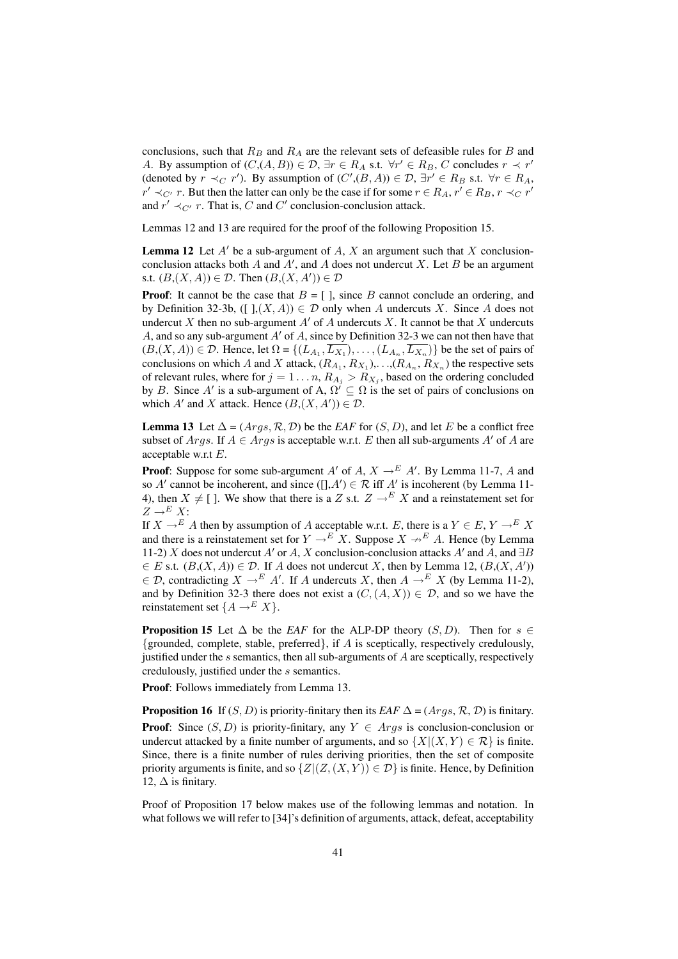conclusions, such that  $R_B$  and  $R_A$  are the relevant sets of defeasible rules for B and A. By assumption of  $(C, (A, B)) \in \mathcal{D}$ ,  $\exists r \in R_A \text{ s.t. } \forall r' \in R_B$ , C concludes  $r \prec r'$ (denoted by  $r \prec_C r'$ ). By assumption of  $(C', (B, A)) \in \mathcal{D}$ ,  $\exists r' \in R_B$  s.t.  $\forall r \in R_A$ ,  $r' \prec_{C'} r$ . But then the latter can only be the case if for some  $r \in R_A$ ,  $r' \in R_B$ ,  $r \prec_C r'$ and  $r' \prec_{C'} r$ . That is, C and C' conclusion-conclusion attack.

Lemmas 12 and 13 are required for the proof of the following Proposition 15.

**Lemma 12** Let  $A'$  be a sub-argument of A, X an argument such that X conclusionconclusion attacks both  $A$  and  $A'$ , and  $A$  does not undercut  $X$ . Let  $B$  be an argument s.t.  $(B,(X,A)) \in \mathcal{D}$ . Then  $(B,(X,A')) \in \mathcal{D}$ 

**Proof:** It cannot be the case that  $B = \lceil \cdot \rceil$ , since B cannot conclude an ordering, and by Definition 32-3b, ([ $\vert \cdot \vert, (X, A) \rangle \in \mathcal{D}$  only when A undercuts X. Since A does not undercut X then no sub-argument A' of A undercuts X. It cannot be that X undercuts A, and so any sub-argument  $A'$  of A, since by Definition 32-3 we can not then have that  $(B,(X,A)) \in \mathcal{D}$ . Hence, let  $\Omega = \{(L_{A_1}, \overline{L_{X_1}}), \ldots, (L_{A_n}, \overline{L_{X_n}})\}\$  be the set of pairs of conclusions on which A and X attack,  $(R_{A_1}, R_{X_1}), \ldots, (R_{A_n}, R_{X_n})$  the respective sets of relevant rules, where for  $j = 1 \dots n$ ,  $R_{A_j} > R_{X_j}$ , based on the ordering concluded by B. Since A' is a sub-argument of A,  $\Omega' \subseteq \Omega$  is the set of pairs of conclusions on which A' and X attack. Hence  $(B,(X, A')) \in \mathcal{D}$ .

**Lemma 13** Let  $\Delta = (Args, \mathcal{R}, \mathcal{D})$  be the *EAF* for  $(S, D)$ , and let *E* be a conflict free subset of Args. If  $A \in \text{Arg } s$  is acceptable w.r.t. E then all sub-arguments A' of A are acceptable w.r.t E.

**Proof:** Suppose for some sub-argument A' of A,  $X \rightarrow^{E} A'$ . By Lemma 11-7, A and so A' cannot be incoherent, and since  $([, A') \in \mathcal{R}$  iff A' is incoherent (by Lemma 11-4), then  $X \neq [ ]$ . We show that there is a Z s.t.  $Z \rightarrow^{E} X$  and a reinstatement set for  $Z \rightarrow^{E} X$ :

If  $X \to^E A$  then by assumption of A acceptable w.r.t. E, there is a  $Y \in E$ ,  $Y \to^E X$ and there is a reinstatement set for  $Y \rightarrow^{E} X$ . Suppose  $X \rightarrow^{E} A$ . Hence (by Lemma 11-2) X does not undercut A' or A, X conclusion-conclusion attacks A' and A, and  $\exists B$  $\in E$  s.t.  $(B,(X, A)) \in \mathcal{D}$ . If A does not undercut X, then by Lemma 12,  $(B,(X, A'))$  $\in \mathcal{D}$ , contradicting  $X \to^E A'$ . If A undercuts X, then  $A \to^E X$  (by Lemma 11-2), and by Definition 32-3 there does not exist a  $(C, (A, X)) \in \mathcal{D}$ , and so we have the reinstatement set  $\{A \rightarrow^{E} X\}$ .

**Proposition 15** Let  $\Delta$  be the *EAF* for the ALP-DP theory (S, D). Then for  $s \in \mathbb{R}$ {grounded, complete, stable, preferred}, if  $A$  is sceptically, respectively credulously, justified under the  $s$  semantics, then all sub-arguments of  $A$  are sceptically, respectively credulously, justified under the s semantics.

Proof: Follows immediately from Lemma 13.

**Proposition 16** If  $(S, D)$  is priority-finitary then its *EAF*  $\Delta = (Args, R, D)$  is finitary. **Proof:** Since  $(S, D)$  is priority-finitary, any  $Y \in \text{Arg } s$  is conclusion-conclusion or undercut attacked by a finite number of arguments, and so  $\{X | (X, Y) \in \mathcal{R}\}\$ is finite. Since, there is a finite number of rules deriving priorities, then the set of composite priority arguments is finite, and so  $\{Z|(Z,(X,Y)) \in \mathcal{D}\}\$ is finite. Hence, by Definition 12,  $\Delta$  is finitary.

Proof of Proposition 17 below makes use of the following lemmas and notation. In what follows we will refer to [34]'s definition of arguments, attack, defeat, acceptability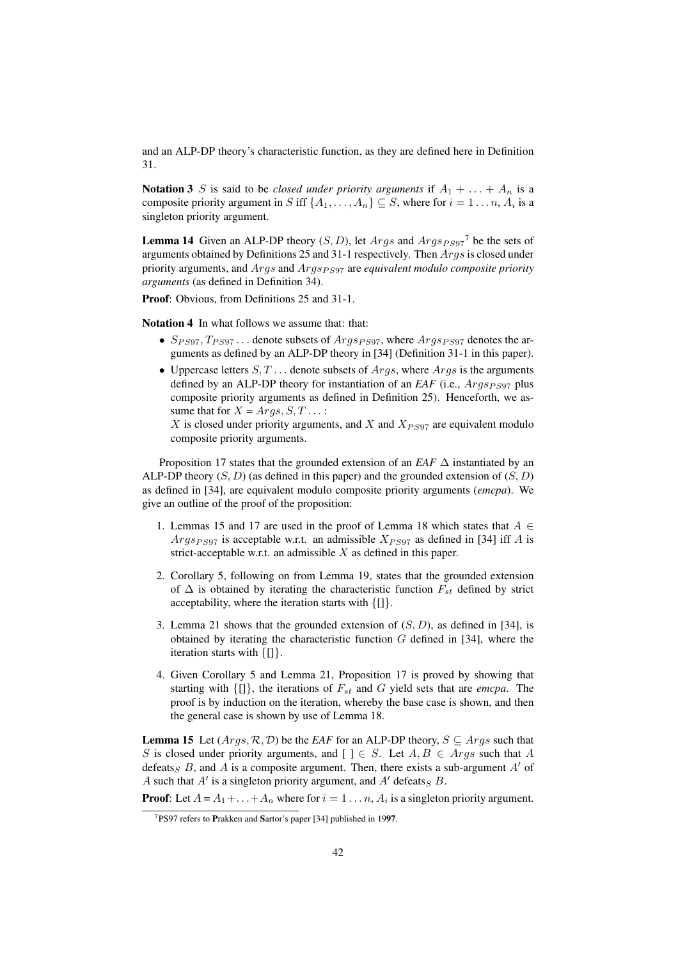and an ALP-DP theory's characteristic function, as they are defined here in Definition 31.

**Notation 3** S is said to be *closed under priority arguments* if  $A_1 + \ldots + A_n$  is a composite priority argument in S iff  $\{A_1, \ldots, A_n\} \subseteq S$ , where for  $i = 1 \ldots n$ ,  $A_i$  is a singleton priority argument.

**Lemma 14** Given an ALP-DP theory  $(S, D)$ , let  $Args$  and  $Args_{PS97}$ <sup>7</sup> be the sets of arguments obtained by Definitions 25 and 31-1 respectively. Then Args is closed under priority arguments, and *Args* and *Args*<sub>PS97</sub> are *equivalent modulo composite priority arguments* (as defined in Definition 34).

Proof: Obvious, from Definitions 25 and 31-1.

Notation 4 In what follows we assume that: that:

- $S_{PS97}, T_{PS97}$ ... denote subsets of  $Args_{PS97}$ , where  $Args_{PS97}$  denotes the arguments as defined by an ALP-DP theory in [34] (Definition 31-1 in this paper).
- Uppercase letters  $S, T, \ldots$  denote subsets of  $A_{Tqs}$ , where  $A_{Tqs}$  is the arguments defined by an ALP-DP theory for instantiation of an *EAF* (i.e.,  $Args_{PS97}$  plus composite priority arguments as defined in Definition 25). Henceforth, we assume that for  $X = Args, S, T...$ :

X is closed under priority arguments, and X and  $X_{PS97}$  are equivalent modulo composite priority arguments.

Proposition 17 states that the grounded extension of an *EAF* ∆ instantiated by an ALP-DP theory  $(S, D)$  (as defined in this paper) and the grounded extension of  $(S, D)$ as defined in [34], are equivalent modulo composite priority arguments (*emcpa*). We give an outline of the proof of the proposition:

- 1. Lemmas 15 and 17 are used in the proof of Lemma 18 which states that  $A \in$ *Args<sub>PS97</sub>* is acceptable w.r.t. an admissible  $X_{PSS7}$  as defined in [34] iff A is strict-acceptable w.r.t. an admissible  $X$  as defined in this paper.
- 2. Corollary 5, following on from Lemma 19, states that the grounded extension of  $\Delta$  is obtained by iterating the characteristic function  $F_{st}$  defined by strict acceptability, where the iteration starts with  $\{[] \}.$
- 3. Lemma 21 shows that the grounded extension of  $(S, D)$ , as defined in [34], is obtained by iterating the characteristic function  $G$  defined in [34], where the iteration starts with {[]}.
- 4. Given Corollary 5 and Lemma 21, Proposition 17 is proved by showing that starting with  $\{[] \}$ , the iterations of  $F_{st}$  and G yield sets that are *emcpa*. The proof is by induction on the iteration, whereby the base case is shown, and then the general case is shown by use of Lemma 18.

**Lemma 15** Let  $(Args, R, D)$  be the *EAF* for an ALP-DP theory,  $S \subseteq Args$  such that S is closed under priority arguments, and  $[$   $] \in S$ . Let  $A, B \in \text{Arg } s$  such that A defeats<sub>S</sub> B, and A is a composite argument. Then, there exists a sub-argument A' of A such that  $A'$  is a singleton priority argument, and  $A'$  defeats  $_B$   $B$ .

**Proof**: Let  $A = A_1 + ... + A_n$  where for  $i = 1 ... n$ ,  $A_i$  is a singleton priority argument.

<sup>7</sup>PS97 refers to Prakken and Sartor's paper [34] published in 1997.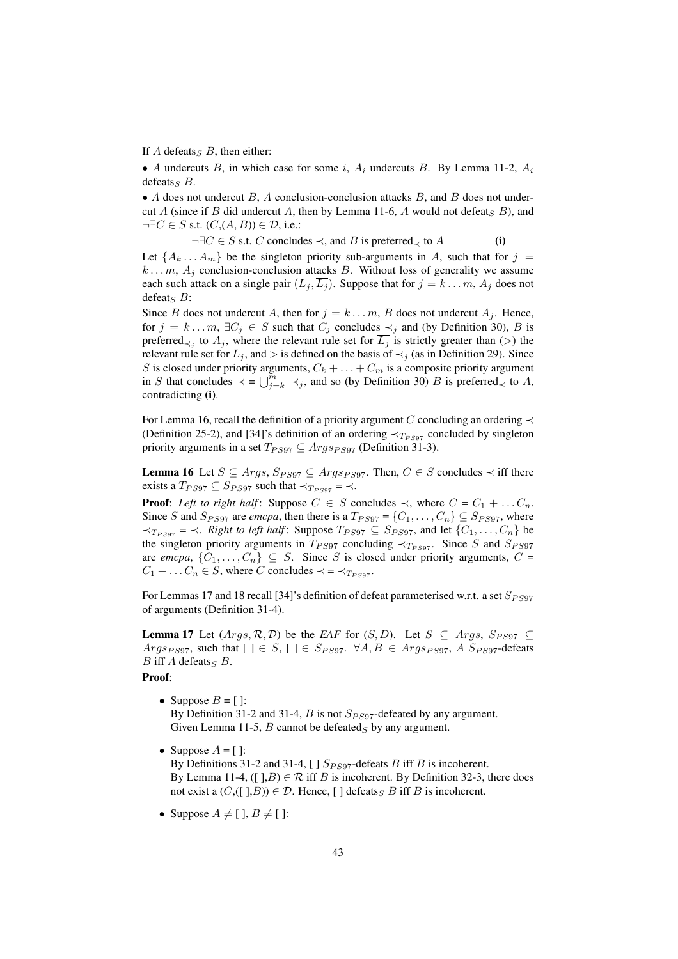If A defeats<sub>S</sub> B, then either:

• A undercuts B, in which case for some i,  $A_i$  undercuts B. By Lemma 11-2,  $A_i$ defeats<sub>S</sub>  $B$ .

• A does not undercut B, A conclusion-conclusion attacks B, and B does not undercut A (since if B did undercut A, then by Lemma 11-6, A would not defeat  $\overline{S}$  B), and  $\neg \exists C \in S \text{ s.t. } (C, (A, B)) \in \mathcal{D}$ , i.e.:

 $\neg \exists C \in S \text{ s.t. } C \text{ concludes } \prec, \text{ and } B \text{ is preferred } \prec \text{ to } A$  (i)

Let  $\{A_k \dots A_m\}$  be the singleton priority sub-arguments in A, such that for  $j =$  $k \dots m$ ,  $A_i$  conclusion-conclusion attacks B. Without loss of generality we assume each such attack on a single pair  $(L_i, \overline{L_i})$ . Suppose that for  $j = k \dots m$ ,  $A_i$  does not defeat<sub>S</sub>  $B$ :

Since B does not undercut A, then for  $j = k \dots m$ , B does not undercut  $A_j$ . Hence, for  $j = k \dots m$ ,  $\exists C_j \in S$  such that  $C_j$  concludes  $\prec_j$  and (by Definition 30), B is preferred<sub>≺j</sub> to  $A_j$ , where the relevant rule set for  $\overline{L_j}$  is strictly greater than (>) the relevant rule set for  $L_j$ , and > is defined on the basis of  $\prec_j$  (as in Definition 29). Since S is closed under priority arguments,  $C_k + \ldots + C_m$  is a composite priority argument<br>in S that concludes  $\ell = \ell^{m}$  and so (by Definition 20) B is profound, to A in S that concludes  $\prec$  =  $\bigcup_{j=k}^{m} \prec_j$ , and so (by Definition 30) B is preferred<sub> $\prec$ </sub> to A, contradicting (i).

For Lemma 16, recall the definition of a priority argument C concluding an ordering  $\prec$ (Definition 25-2), and [34]'s definition of an ordering  $\prec_{T_{PS97}}$  concluded by singleton priority arguments in a set  $T_{PS97} \subseteq \text{Args}_{PS97}$  (Definition 31-3).

**Lemma 16** Let  $S \subseteq \text{Args}, S_{PS97} \subseteq \text{Args}_{PS97}$ . Then,  $C \in S$  concludes  $\prec$  iff there exists a  $T_{PS97} \subseteq S_{PS97}$  such that  $\prec_{T_{PS97}} \; = \; \prec$ .

**Proof:** *Left to right half*: Suppose  $C \in S$  concludes  $\prec$ , where  $C = C_1 + \dots + C_n$ . Since S and  $S_{PS97}$  are *emcpa*, then there is a  $T_{PS97} = \{C_1, \ldots, C_n\} \subseteq S_{PS97}$ , where  $\prec_{T_{PS97}}$  =  $\prec$ . *Right to left half*: Suppose  $T_{PS97}$  ⊆  $S_{PS97}$ , and let { $C_1, \ldots, C_n$ } be the singleton priority arguments in  $T_{PS97}$  concluding  $\prec_{T_{PS97}}$ . Since S and  $S_{PS97}$ are *emcpa*,  $\{C_1, \ldots, C_n\} \subseteq S$ . Since S is closed under priority arguments,  $C =$  $C_1 + \ldots C_n \in S$ , where C concludes  $\prec = \prec_{T_{PS97}}$ .

For Lemmas 17 and 18 recall [34]'s definition of defeat parameterised w.r.t. a set  $S_{PS97}$ of arguments (Definition 31-4).

**Lemma 17** Let  $(Args, R, D)$  be the *EAF* for  $(S, D)$ . Let  $S \subseteq Args$ ,  $S_{PS97} \subseteq$ Args<sub>PS97</sub>, such that  $[\ ] \in S$ ,  $[\ ] \in S_{PS97}$ .  $\forall A, B \in \text{Args}_{PS97}$ , A  $S_{PS97}$ -defeats  $B$  iff  $A$  defeats<sub>S</sub>  $B$ .

Proof:

- Suppose  $B = \lceil \cdot \rceil$ : By Definition 31-2 and 31-4, B is not  $S_{PS97}$ -defeated by any argument. Given Lemma 11-5,  $B$  cannot be defeated $<sub>S</sub>$  by any argument.</sub>
- Suppose  $A = [$   $]$ : By Definitions 31-2 and 31-4, [ ]  $S_{PS97}$ -defeats B iff B is incoherent. By Lemma 11-4, ([ $\exists B$ )  $\in \mathcal{R}$  iff B is incoherent. By Definition 32-3, there does not exist a  $(C,([],B)) \in \mathcal{D}$ . Hence, [ ] defeats<sub>S</sub> B iff B is incoherent.
- Suppose  $A \neq [ ]$ ,  $B \neq [ ]$ :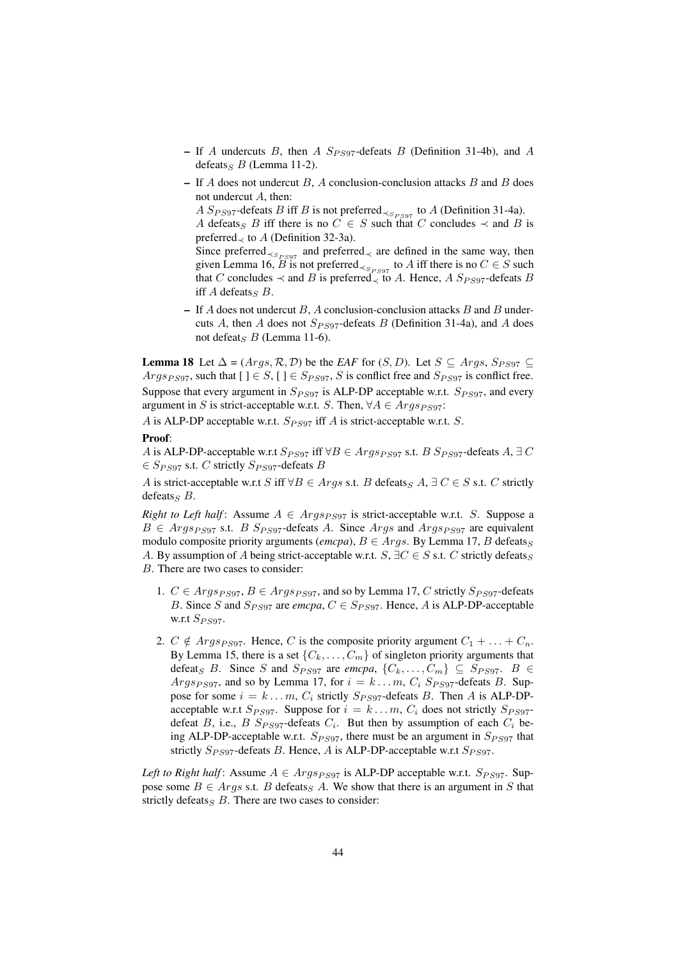- If A undercuts B, then A  $S_{PS97}$ -defeats B (Definition 31-4b), and A defeats<sub>S</sub> B (Lemma 11-2).
- If  $A$  does not undercut  $B$ ,  $A$  conclusion-conclusion attacks  $B$  and  $B$  does not undercut A, then:

A  $S_{PS97}$ -defeats B iff B is not preferred<sub>≺ $S_{PS97}$ </sub> to A (Definition 31-4a).

A defeats<sub>S</sub> B iff there is no  $C \in S$  such that C concludes  $\prec$  and B is preferred $\prec$  to A (Definition 32-3a).

Since preferred<sub>≺ $S_{PS97}$ </sub> and preferred<sub>≺</sub> are defined in the same way, then given Lemma 16,  $\widetilde{B}$  is not preferred<sub>≺ $S_{PS97}$ </sub> to A iff there is no  $C \in S$  such that C concludes  $\prec$  and B is preferred $\prec$  to A. Hence, A  $S_{PS97}$ -defeats B iff  $A$  defeats<sub>S</sub>  $B$ .

– If A does not undercut B, A conclusion-conclusion attacks B and B undercuts A, then A does not  $S_{PS97}$ -defeats B (Definition 31-4a), and A does not defeat<sub>S</sub> B (Lemma 11-6).

**Lemma 18** Let  $\Delta = (Args, \mathcal{R}, \mathcal{D})$  be the *EAF* for  $(S, D)$ . Let  $S \subseteq Args$ ,  $S_{PS97} \subseteq$  $Args_{PS97}$ , such that  $[ ] \in S, [ ] \in S_{PS97}, S$  is conflict free and  $S_{PS97}$  is conflict free. Suppose that every argument in  $S_{PS97}$  is ALP-DP acceptable w.r.t.  $S_{PS97}$ , and every argument in S is strict-acceptable w.r.t. S. Then,  $\forall A \in \text{Args}_{PS97}$ :

A is ALP-DP acceptable w.r.t.  $S_{PS97}$  iff A is strict-acceptable w.r.t. S.

#### Proof:

A is ALP-DP-acceptable w.r.t  $S_{PS97}$  iff  $\forall B \in \text{Args}_{PS97}$  s.t.  $B S_{PS97}$ -defeats  $A, \exists C$  $\in S_{PS97}$  s.t. C strictly  $S_{PS97}$ -defeats B

A is strict-acceptable w.r.t S iff  $\forall B \in \text{Arg } s$  s.t. B defeats  $A, \exists C \in S$  s.t. C strictly defeats  $\mathcal{B}$ .

*Right to Left half*: Assume  $A \in \text{Args}_{PS97}$  is strict-acceptable w.r.t. S. Suppose a  $B \in \text{Args}_{PS97}$  s.t.  $B$   $S_{PS97}$ -defeats A. Since  $\text{Args}_{PS97}$  and  $\text{Args}_{PS97}$  are equivalent modulo composite priority arguments (*emcpa*),  $B \in Args$ . By Lemma 17, B defeats<sub>S</sub> A. By assumption of A being strict-acceptable w.r.t.  $S$ ,  $\exists C \in S$  s.t. C strictly defeats<sub>S</sub> B. There are two cases to consider:

- 1.  $C \in \text{Args}_{PS97}, B \in \text{Args}_{PS97}$ , and so by Lemma 17, C strictly  $S_{PS97}$ -defeats B. Since S and  $S_{PS97}$  are *emcpa*,  $C \in S_{PS97}$ . Hence, A is ALP-DP-acceptable w.r.t  $S_{PS97}$ .
- 2.  $C \notin \text{Args}_{PS97}$ . Hence, C is the composite priority argument  $C_1 + \ldots + C_n$ . By Lemma 15, there is a set  $\{C_k, \ldots, C_m\}$  of singleton priority arguments that defeat<sub>S</sub> B. Since S and  $S_{PS97}$  are *emcpa*,  $\{C_k, \ldots, C_m\} \subseteq S_{PS97}$ . B Args<sub>PS97</sub>, and so by Lemma 17, for  $i = k ... m$ ,  $C_i$  S<sub>PS97</sub>-defeats B. Suppose for some  $i = k \dots m$ ,  $C_i$  strictly  $S_{PS97}$ -defeats B. Then A is ALP-DPacceptable w.r.t  $S_{PS97}$ . Suppose for  $i = k \dots m$ ,  $C_i$  does not strictly  $S_{PS97}$ defeat B, i.e., B  $S_{PS97}$ -defeats  $C_i$ . But then by assumption of each  $C_i$  being ALP-DP-acceptable w.r.t.  $S_{PS97}$ , there must be an argument in  $S_{PS97}$  that strictly  $S_{PS97}$ -defeats B. Hence, A is ALP-DP-acceptable w.r.t  $S_{PS97}$ .

*Left to Right half*: Assume  $A \in \text{Args}_{PS97}$  is ALP-DP acceptable w.r.t.  $S_{PS97}$ . Suppose some  $B \in \text{Arg } s$  s.t. B defeats  $A$ . We show that there is an argument in S that strictly defeats $<sub>S</sub>$  B. There are two cases to consider:</sub>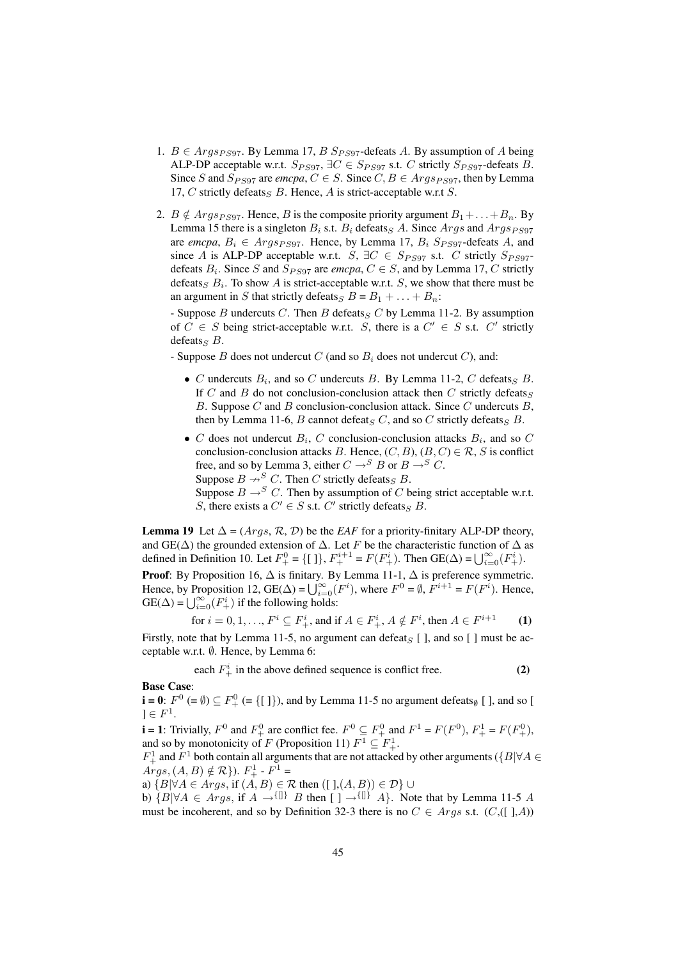- 1.  $B \in \text{Args}_{PS97}$ . By Lemma 17, B  $S_{PS97}$ -defeats A. By assumption of A being ALP-DP acceptable w.r.t.  $S_{PS97}$ ,  $\exists C \in S_{PS97}$  s.t. C strictly  $S_{PS97}$ -defeats B. Since S and  $S_{PS97}$  are *emcpa*,  $C \in S$ . Since  $C, B \in \text{Args}_{PS97}$ , then by Lemma 17, C strictly defeats  $B$ . Hence, A is strict-acceptable w.r.t S.
- 2.  $B \notin \text{Args}_{PS97}$ . Hence, B is the composite priority argument  $B_1 + \ldots + B_n$ . By Lemma 15 there is a singleton  $B_i$  s.t.  $B_i$  defeats  $A_i$ . Since  $Args$  and  $Args_{PS97}$ are *emcpa*,  $B_i \in \text{Args}_{PS97}$ . Hence, by Lemma 17,  $B_i$   $S_{PS97}$ -defeats A, and since A is ALP-DP acceptable w.r.t. S,  $\exists C \in S_{PS97}$  s.t. C strictly  $S_{PS97}$ defeats  $B_i$ . Since S and  $S_{PS97}$  are *emcpa*,  $C \in S$ , and by Lemma 17, C strictly defeats<sub>S</sub>  $B_i$ . To show A is strict-acceptable w.r.t. S, we show that there must be an argument in S that strictly defeats  $B = B_1 + \ldots + B_n$ :

- Suppose  $B$  undercuts  $C$ . Then  $B$  defeats $_C$  by Lemma 11-2. By assumption of  $C \in S$  being strict-acceptable w.r.t. S, there is a  $C' \in S$  s.t.  $C'$  strictly defeats<sub>S</sub>  $B$ .

- Suppose B does not undercut C (and so  $B_i$  does not undercut C), and:

- C undercuts  $B_i$ , and so C undercuts B. By Lemma 11-2, C defeats B. If C and B do not conclusion-conclusion attack then C strictly defeats<sub>S</sub> B. Suppose C and B conclusion-conclusion attack. Since C undercuts  $B$ , then by Lemma 11-6, B cannot defeats C, and so C strictly defeats  $B$ .
- C does not undercut  $B_i$ , C conclusion-conclusion attacks  $B_i$ , and so C conclusion-conclusion attacks B. Hence,  $(C, B)$ ,  $(B, C) \in \mathcal{R}$ , S is conflict free, and so by Lemma 3, either  $C \rightarrow^{S} B$  or  $B \rightarrow^{S} C$ . Suppose  $B \nrightarrow^{S} C$ . Then C strictly defeats  $B$ . Suppose  $B \rightarrow^{S} C$ . Then by assumption of C being strict acceptable w.r.t. S, there exists a  $C' \in S$  s.t.  $C'$  strictly defeats  $B$ .

**Lemma 19** Let  $\Delta = (Aras, \mathcal{R}, \mathcal{D})$  be the *EAF* for a priority-finitary ALP-DP theory, and GE( $\Delta$ ) the grounded extension of  $\Delta$ . Let F be the characteristic function of  $\Delta$  as and GE(Δ) the grounded extension of Δ. Let F be the characteristic function of Δ and GE(Δ) =  $\bigcup_{i=0}^{\infty} (F_+^i)$ .

**Proof**: By Proposition 16,  $\Delta$  is finitary. By Lemma 11-1,  $\Delta$  is preference symmetric.<br>Hence, by Proposition 12, GE( $\Delta$ ) =  $\bigcup_{i=0}^{\infty} (F^i)$ , where  $F^0 = \emptyset$ ,  $F^{i+1} = F(F^i)$ . Hence, Hence, by Proposition 12,  $\text{GE}(\Delta) = \bigcup_{i=0}^{\infty}$ <br>GE( $\Delta$ ) =  $\bigcup_{i=0}^{\infty}$ ( $F_{+}^{i}$ ) if the following holds:

for 
$$
i = 0, 1, ..., F^i \subseteq F^i_+
$$
, and if  $A \in F^i_+$ ,  $A \notin F^i$ , then  $A \in F^{i+1}$  (1)

Firstly, note that by Lemma 11-5, no argument can defeat  $\le$  [ ], and so [ ] must be acceptable w.r.t. ∅. Hence, by Lemma 6:

each  $F^i_+$  in the above defined sequence is conflict free. (2)

Base Case:

 $\mathbf{i} = \mathbf{0}$ :  $F^0$  (=  $\emptyset$ )  $\subseteq F^0_+$  (= {[ ]}), and by Lemma 11-5 no argument defeats<sub> $\emptyset$ </sub> [ ], and so [  $]\in F^{1}.$ 

**i** = 1: Trivially,  $F^0$  and  $F^0_+$  are conflict fee.  $F^0 \subseteq F^0_+$  and  $F^1 = F(F^0)$ ,  $F^1_+ = F(F^0_+)$ , and so by monotonicity of F (Proposition 11)  $F^1 \subseteq F^1_+$ .

 $F^1_+$  and  $F^1$  both contain all arguments that are not attacked by other arguments ( $\{B|\forall A\in$  $Args, (A, B) \notin \mathcal{R}$ ).  $F_+^1$  -  $F_+^1$  =

a)  ${B|\forall A \in \text{A}rgs, \text{ if }(A, B) \in \mathcal{R} \text{ then } (\text{ }l\text{ },(A, B)) \in \mathcal{D}}$  ∪

b)  ${B|\forall A \in Args, \text{ if } A \rightarrow\{\text{II}\} \ B \text{ then } [\ ] \rightarrow\{\text{II}\} \ A}$ . Note that by Lemma 11-5 A must be incoherent, and so by Definition 32-3 there is no  $C \in \text{Args s.t. } (C, ([], A))$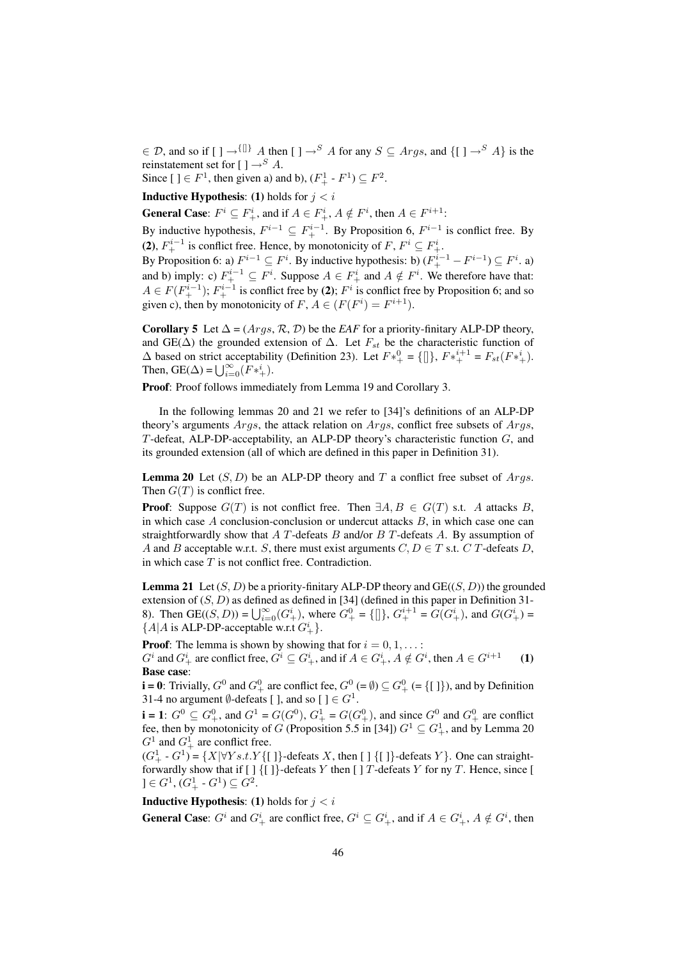$\in \mathcal{D}$ , and so if  $[\ ] \rightarrow^{\{ \} \} A$  then  $[\ ] \rightarrow^S A$  for any  $S \subseteq Args$ , and  $\{ [\ ] \rightarrow^S A \}$  is the reinstatement set for  $[ ] \rightarrow S A$ .

Since  $[ ] \in F<sup>1</sup>$ , then given a) and b),  $(F<sub>+</sub><sup>1</sup> - F<sup>1</sup>) \subseteq F<sup>2</sup>$ .

**Inductive Hypothesis:** (1) holds for  $i < i$ 

**General Case**:  $F^i \subseteq F^i_+$ , and if  $A \in F^i_+$ ,  $A \notin F^i$ , then  $A \in F^{i+1}$ :

By inductive hypothesis,  $F^{i-1} \subseteq F_+^{i-1}$ . By Proposition 6,  $F^{i-1}$  is conflict free. By (2),  $F_+^{i-1}$  is conflict free. Hence, by monotonicity of  $F, F^i \subseteq F_+^i$ .

By Proposition 6: a)  $F^{i-1} \subseteq F^i$ . By inductive hypothesis: b)  $(F^{i-1}_+ - F^{i-1}) \subseteq F^i$ . a) and b) imply: c)  $F_+^{i-1} \subseteq F^i$ . Suppose  $A \in F_+^i$  and  $A \notin F^i$ . We therefore have that:  $A \in F(F_+^{i-1})$ ;  $F_+^{i-1}$  is conflict free by (2);  $F^i$  is conflict free by Proposition 6; and so given c), then by monotonicity of  $F, A \in (F(F^i) = F^{i+1}).$ 

Corollary 5 Let  $\Delta = (Args, \mathcal{R}, \mathcal{D})$  be the *EAF* for a priority-finitary ALP-DP theory, and GE( $\Delta$ ) the grounded extension of  $\Delta$ . Let  $F_{st}$  be the characteristic function of ∆ based on strict acceptability (Definition 23). Let  $F*_{+}^{0} = \{[]\}$ ,  $F*_{+}^{i+1} = F_{st}(F*_{+}^{i})$ .<br>Then, GE(Δ) =  $\bigcup_{i=0}^{\infty} (F*_{+}^{i})$ .

Proof: Proof follows immediately from Lemma 19 and Corollary 3.

In the following lemmas 20 and 21 we refer to [34]'s definitions of an ALP-DP theory's arguments  $Aras$ , the attack relation on  $Aras$ , conflict free subsets of  $Aras$ , T-defeat, ALP-DP-acceptability, an ALP-DP theory's characteristic function G, and its grounded extension (all of which are defined in this paper in Definition 31).

**Lemma 20** Let  $(S, D)$  be an ALP-DP theory and T a conflict free subset of Args. Then  $G(T)$  is conflict free.

**Proof:** Suppose  $G(T)$  is not conflict free. Then  $\exists A, B \in G(T)$  s.t. A attacks B, in which case  $A$  conclusion-conclusion or undercut attacks  $B$ , in which case one can straightforwardly show that  $A$  T-defeats  $B$  and/or  $B$  T-defeats  $A$ . By assumption of A and B acceptable w.r.t. S, there must exist arguments  $C, D \in T$  s.t.  $C$  T-defeats D, in which case  $T$  is not conflict free. Contradiction.

**Lemma 21** Let  $(S, D)$  be a priority-finitary ALP-DP theory and  $GE((S, D))$  the grounded extension of  $(S, D)$  as defined as defined in [34] (defined in this paper in Definition 31-8). Then  $GE((S, D)) = \bigcup_{i=0}^{\infty} (G_+^i)$ , where  $G_+^0 = \{[]\}$ ,  $G_+^{i+1} = G(G_+^i)$ , and  $G(G_+^i) =$  ${A|A \text{ is ALP-DP-acceptable w.r.t } G^i_+}.$ 

**Proof:** The lemma is shown by showing that for  $i = 0, 1, \ldots$ :

 $G^i$  and  $G^i_+$  are conflict free,  $G^i \subseteq G^i_+$ , and if  $A \in G^i_+$ ,  $A \notin G^i$ , then  $A \in G^{i+1}$  (1) Base case:

**i** = 0: Trivially,  $G^0$  and  $G^0_+$  are conflict fee,  $G^0$  (=  $\emptyset$ )  $\subseteq$   $G^0_+$  (= {[]}), and by Definition 31-4 no argument  $\emptyset$ -defeats [], and so []  $\in G^1$ .

**i** = 1:  $G^0 \subseteq G^0_+$ , and  $G^1 = G(G^0)$ ,  $G^1_+ = G(G^0_+)$ , and since  $G^0$  and  $G^0_+$  are conflict fee, then by monotonicity of G (Proposition 5.5 in [34])  $G^1 \subseteq G^1_+$ , and by Lemma 20  $G^1$  and  $G^1_+$  are conflict free.

 $(G^1_+ - G^1) = \{X | \forall Y s.t. Y \{ [ ] \}$ -defeats X, then  $[ ] \{ [ ] \}$ -defeats Y $\}$ . One can straightforwardly show that if  $[\ ]$  { $[\ ]$ }-defeats Y then  $[\ ]$  T-defeats Y for ny T. Hence, since [  $\mathbf{C} = G^1, (G^1_+ - G^1) \subseteq G^2.$ 

**Inductive Hypothesis:** (1) holds for  $j < i$ 

**General Case**:  $G^i$  and  $G^i_+$  are conflict free,  $G^i \subseteq G^i_+$ , and if  $A \in G^i_+$ ,  $A \notin G^i$ , then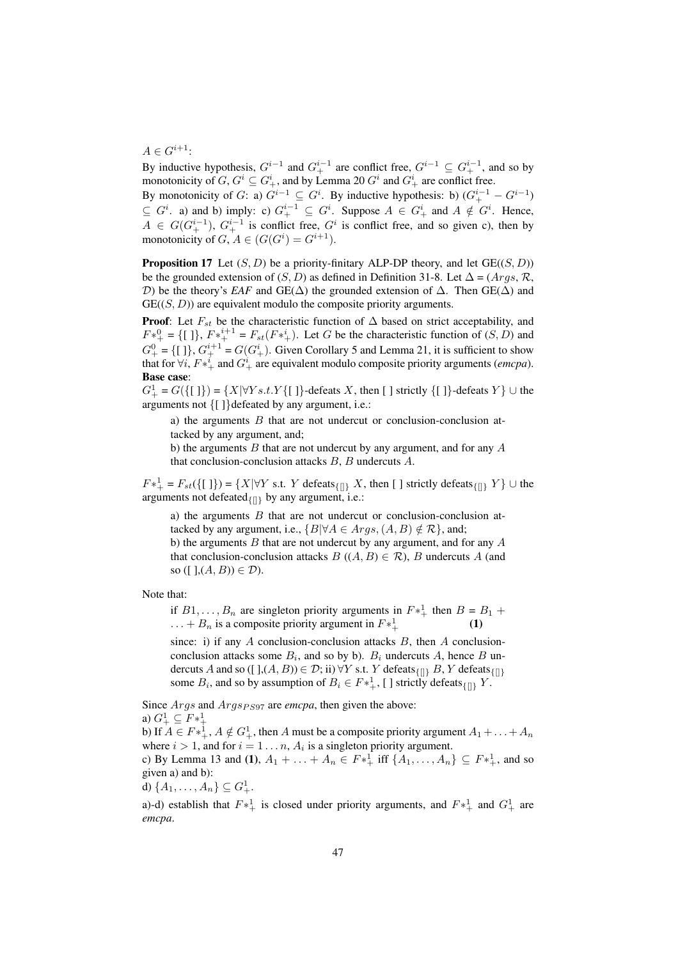$A \in G^{i+1}$ :

By inductive hypothesis,  $G^{i-1}$  and  $G^{i-1}_+$  are conflict free,  $G^{i-1} \subseteq G^{i-1}_+$ , and so by monotonicity of  $G, G^i \subseteq G^i_+$ , and by Lemma 20  $G^i$  and  $G^i_+$  are conflict free.

By monotonicity of G: a)  $G^{i-1} \subseteq G^i$ . By inductive hypothesis: b)  $(G^{i-1}_+ - G^{i-1})$  $\subseteq G^i$ . a) and b) imply: c)  $G^{i-1}$   $\subseteq G^i$ . Suppose  $A \in G^i$  and  $A \notin G^i$ . Hence,  $A \in G(G_+^{i-1}), G_+^{i-1}$  is conflict free,  $G^i$  is conflict free, and so given c), then by monotonicity of  $G, A \in (G(G^i) = G^{i+1}).$ 

**Proposition 17** Let  $(S, D)$  be a priority-finitary ALP-DP theory, and let  $GE((S, D))$ be the grounded extension of  $(S, D)$  as defined in Definition 31-8. Let  $\Delta = (Args, \mathcal{R},$ D) be the theory's *EAF* and GE( $\Delta$ ) the grounded extension of  $\Delta$ . Then GE( $\Delta$ ) and  $GE((S, D))$  are equivalent modulo the composite priority arguments.

**Proof:** Let  $F_{st}$  be the characteristic function of  $\Delta$  based on strict acceptability, and  $F*_{+}^{0} = \{ [ ] \}$ ,  $F*_{+}^{i+1} = F_{st}(F*_{+}^{i})$ . Let G be the characteristic function of  $(S, D)$  and  $G^0_+ = \{ [ ] \}$ ,  $G^{i+1}_+ = G(G^i_+)$ . Given Corollary 5 and Lemma 21, it is sufficient to show that for  $\forall i$ ,  $F^*$  and  $G^i$  are equivalent modulo composite priority arguments (*emcpa*). Base case:

 $G^1_+ = G({\{\nvert\})} = {X|\forall Y s.t. Y{\{\nvert\}}\}$ -defeats X, then [ ] strictly  ${\{\nvert\}}\}$ -defeats  $Y} \cup$  the arguments not  $\{[] \}$ defeated by any argument, i.e.:

a) the arguments  $B$  that are not undercut or conclusion-conclusion attacked by any argument, and;

b) the arguments  $B$  that are not undercut by any argument, and for any  $A$ that conclusion-conclusion attacks B, B undercuts A.

 $F*^1_+ = F_{st}(\{\begin{bmatrix} 1 \end{bmatrix}\}) = \{X | \forall Y \text{ s.t. } Y \text{ defeats}_{\{\begin{bmatrix} 1 \end{bmatrix}\}} X, \text{ then } [\ ] \text{ strictly defeats}_{\{\begin{bmatrix} 1 \end{bmatrix}\}} Y \} \cup \text{ the}$ arguments not defeated $_{\text{[1]}}$  by any argument, i.e.:

a) the arguments  $B$  that are not undercut or conclusion-conclusion attacked by any argument, i.e.,  $\{B|\forall A \in \text{A}rgs, (A, B) \notin \mathcal{R}\}\$ , and;

b) the arguments  $B$  that are not undercut by any argument, and for any  $A$ that conclusion-conclusion attacks  $B((A, B) \in \mathcal{R})$ , B undercuts A (and so ([ ], $(A, B)$ )  $\in \mathcal{D}$ ).

Note that:

if  $B1, \ldots, B_n$  are singleton priority arguments in  $F*^1_+$  then  $B = B_1 +$  $\dots + B_n$  is a composite priority argument in  $F^*\frac{1}{4}$  $_{+}^{1}$  (1)

since: i) if any  $A$  conclusion-conclusion attacks  $B$ , then  $A$  conclusionconclusion attacks some  $B_i$ , and so by b).  $B_i$  undercuts A, hence B undercuts A and so ([ ], $(A, B)$ )  $\in \mathcal{D}$ ; ii)  $\forall Y$  s.t. Y defeats<sub>{[]}</sub> B, Y defeats<sub>{[]}</sub> some  $B_i$ , and so by assumption of  $B_i \in F^{\ast}^1_+$ , [] strictly defeats  $\{[]\}$  Y.

Since  $Args$  and  $Args_{PS97}$  are *emcpa*, then given the above: a)  $G^1_+ \subseteq F*^1_+$ 

b) If  $A \in F^*^1_+$ ,  $A \notin G^1_+$ , then A must be a composite priority argument  $A_1 + \ldots + A_n$ where  $i > 1$ , and for  $i = 1 \dots n$ ,  $A_i$  is a singleton priority argument.

c) By Lemma 13 and (1),  $A_1 + ... + A_n \in F^{*1}$  iff  $\{A_1, ..., A_n\} \subseteq F^{*1}$ , and so given a) and b):

d)  $\{A_1, \ldots, A_n\} \subseteq G^1_+.$ 

a)-d) establish that  $F*^1_+$  is closed under priority arguments, and  $F*^1_+$  and  $G^1_+$  are *emcpa*.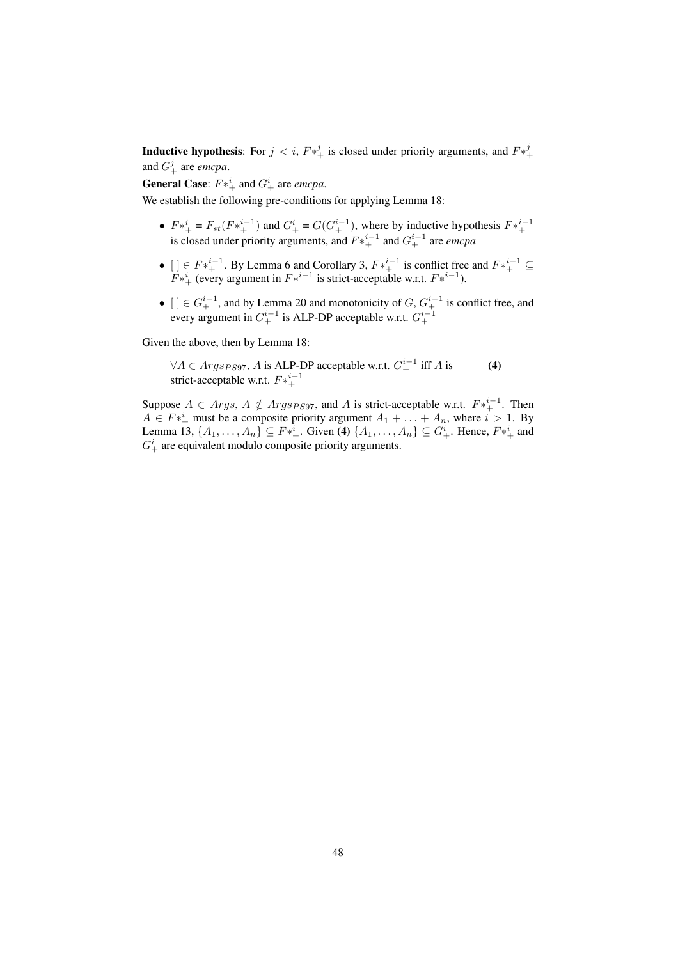**Inductive hypothesis:** For  $j < i$ ,  $F *^j_+$  is closed under priority arguments, and  $F *^j_+$ and  $G^j_+$  are *emcpa*.

**General Case:**  $F *^i_+$  and  $G^i_+$  are *emcpa*.

We establish the following pre-conditions for applying Lemma 18:

- $F^* = F_{st}(F^{*i-1})$  and  $G^i_+ = G(G^{i-1}_+)$ , where by inductive hypothesis  $F^{*i-1}_+$ is closed under priority arguments, and  $F*^{i-1}_+$  and  $G^{i-1}_+$  are *emcpa*
- []  $\in F^{*^{i-1}}_+$ . By Lemma 6 and Corollary 3,  $F^{*^{i-1}}_+$  is conflict free and  $F^{*^{i-1}}_+ \subseteq$  $F^*$ <sup>i</sup> (every argument in  $F^{*i-1}$  is strict-acceptable w.r.t.  $F^{*i-1}$ ).
- $[\,]\in G^{i-1}_+$ , and by Lemma 20 and monotonicity of  $G, G^{i-1}_+$  is conflict free, and every argument in  $G^{i-1}_+$  is ALP-DP acceptable w.r.t.  $G^{i-1}_+$

Given the above, then by Lemma 18:

 $\forall A \in \text{Args}_{PS97}$ , A is ALP-DP acceptable w.r.t.  $G^{i-1}_{+}$  iff A is (4) strict-acceptable w.r.t.  $F*^{i-1}_{+}$ 

Suppose  $A \in \text{Args}$ ,  $A \notin \text{Args}_{PS97}$ , and A is strict-acceptable w.r.t.  $F^{*^{i-1}}_{+}$ . Then  $A \in F^{*i}_{+}$  must be a composite priority argument  $A_1 + \ldots + A_n$ , where  $i > 1$ . By Lemma 13,  $\{A_1, \ldots, A_n\} \subseteq F^{*i}_{+}$ . Given (4)  $\{A_1, \ldots, A_n\} \subseteq G^i_+$ . Hence,  $F^{*i}_{+}$  and  $G^i_+$  are equivalent modulo composite priority arguments.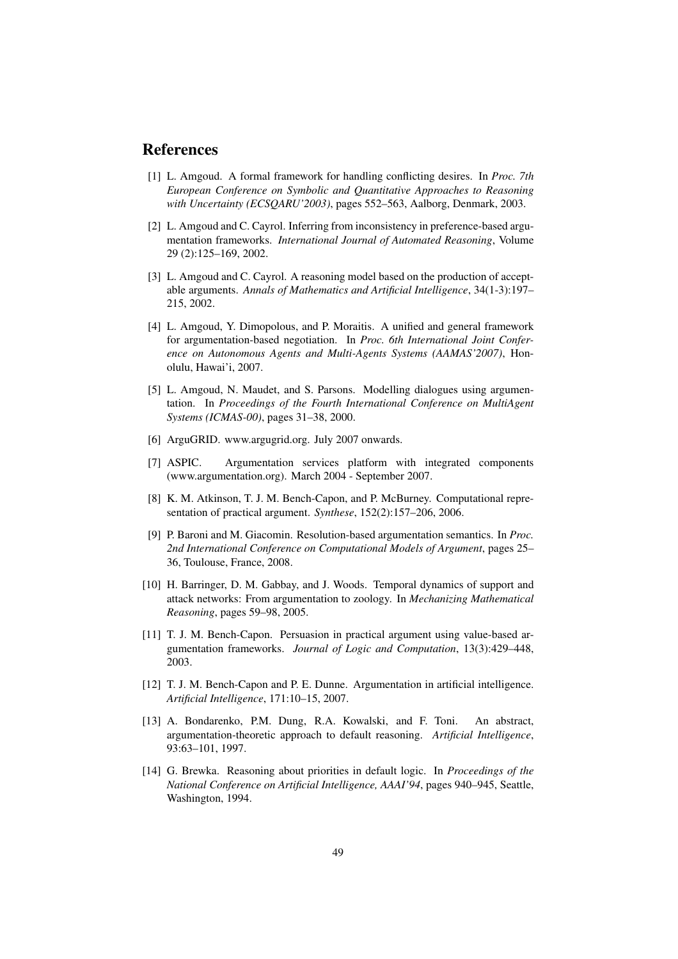### References

- [1] L. Amgoud. A formal framework for handling conflicting desires. In *Proc. 7th European Conference on Symbolic and Quantitative Approaches to Reasoning with Uncertainty (ECSQARU'2003)*, pages 552–563, Aalborg, Denmark, 2003.
- [2] L. Amgoud and C. Cayrol. Inferring from inconsistency in preference-based argumentation frameworks. *International Journal of Automated Reasoning*, Volume 29 (2):125–169, 2002.
- [3] L. Amgoud and C. Cayrol. A reasoning model based on the production of acceptable arguments. *Annals of Mathematics and Artificial Intelligence*, 34(1-3):197– 215, 2002.
- [4] L. Amgoud, Y. Dimopolous, and P. Moraitis. A unified and general framework for argumentation-based negotiation. In *Proc. 6th International Joint Conference on Autonomous Agents and Multi-Agents Systems (AAMAS'2007)*, Honolulu, Hawai'i, 2007.
- [5] L. Amgoud, N. Maudet, and S. Parsons. Modelling dialogues using argumentation. In *Proceedings of the Fourth International Conference on MultiAgent Systems (ICMAS-00)*, pages 31–38, 2000.
- [6] ArguGRID. www.argugrid.org. July 2007 onwards.
- [7] ASPIC. Argumentation services platform with integrated components (www.argumentation.org). March 2004 - September 2007.
- [8] K. M. Atkinson, T. J. M. Bench-Capon, and P. McBurney. Computational representation of practical argument. *Synthese*, 152(2):157–206, 2006.
- [9] P. Baroni and M. Giacomin. Resolution-based argumentation semantics. In *Proc. 2nd International Conference on Computational Models of Argument*, pages 25– 36, Toulouse, France, 2008.
- [10] H. Barringer, D. M. Gabbay, and J. Woods. Temporal dynamics of support and attack networks: From argumentation to zoology. In *Mechanizing Mathematical Reasoning*, pages 59–98, 2005.
- [11] T. J. M. Bench-Capon. Persuasion in practical argument using value-based argumentation frameworks. *Journal of Logic and Computation*, 13(3):429–448, 2003.
- [12] T. J. M. Bench-Capon and P. E. Dunne. Argumentation in artificial intelligence. *Artificial Intelligence*, 171:10–15, 2007.
- [13] A. Bondarenko, P.M. Dung, R.A. Kowalski, and F. Toni. An abstract, argumentation-theoretic approach to default reasoning. *Artificial Intelligence*, 93:63–101, 1997.
- [14] G. Brewka. Reasoning about priorities in default logic. In *Proceedings of the National Conference on Artificial Intelligence, AAAI'94*, pages 940–945, Seattle, Washington, 1994.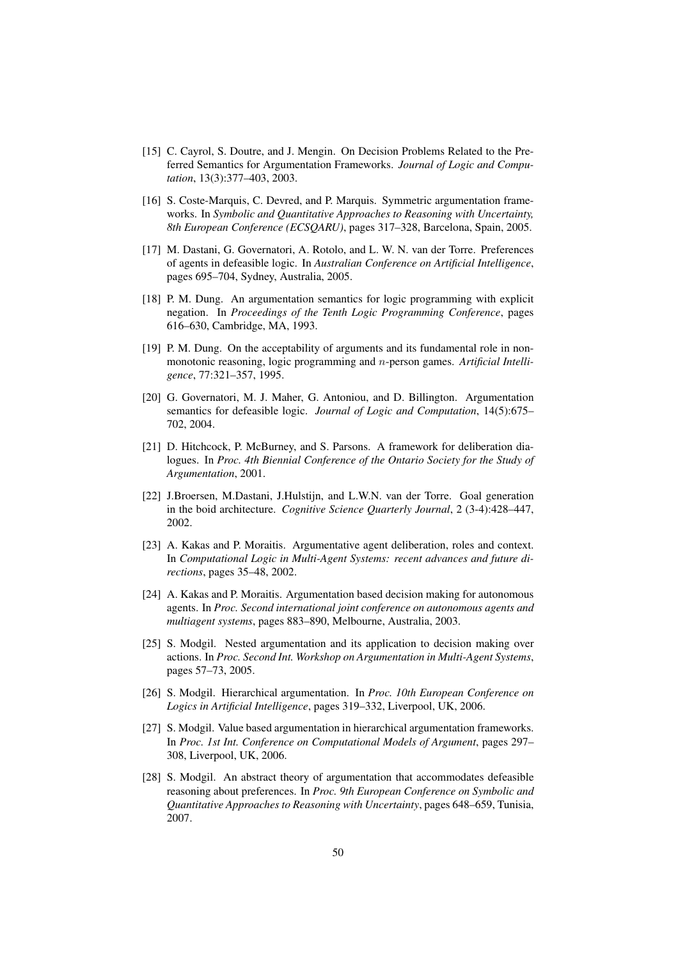- [15] C. Cayrol, S. Doutre, and J. Mengin. On Decision Problems Related to the Preferred Semantics for Argumentation Frameworks. *Journal of Logic and Computation*, 13(3):377–403, 2003.
- [16] S. Coste-Marquis, C. Devred, and P. Marquis. Symmetric argumentation frameworks. In *Symbolic and Quantitative Approaches to Reasoning with Uncertainty, 8th European Conference (ECSQARU)*, pages 317–328, Barcelona, Spain, 2005.
- [17] M. Dastani, G. Governatori, A. Rotolo, and L. W. N. van der Torre. Preferences of agents in defeasible logic. In *Australian Conference on Artificial Intelligence*, pages 695–704, Sydney, Australia, 2005.
- [18] P. M. Dung. An argumentation semantics for logic programming with explicit negation. In *Proceedings of the Tenth Logic Programming Conference*, pages 616–630, Cambridge, MA, 1993.
- [19] P. M. Dung. On the acceptability of arguments and its fundamental role in nonmonotonic reasoning, logic programming and n-person games. *Artificial Intelligence*, 77:321–357, 1995.
- [20] G. Governatori, M. J. Maher, G. Antoniou, and D. Billington. Argumentation semantics for defeasible logic. *Journal of Logic and Computation*, 14(5):675– 702, 2004.
- [21] D. Hitchcock, P. McBurney, and S. Parsons. A framework for deliberation dialogues. In *Proc. 4th Biennial Conference of the Ontario Society for the Study of Argumentation*, 2001.
- [22] J.Broersen, M.Dastani, J.Hulstijn, and L.W.N. van der Torre. Goal generation in the boid architecture. *Cognitive Science Quarterly Journal*, 2 (3-4):428–447, 2002.
- [23] A. Kakas and P. Moraitis. Argumentative agent deliberation, roles and context. In *Computational Logic in Multi-Agent Systems: recent advances and future directions*, pages 35–48, 2002.
- [24] A. Kakas and P. Moraitis. Argumentation based decision making for autonomous agents. In *Proc. Second international joint conference on autonomous agents and multiagent systems*, pages 883–890, Melbourne, Australia, 2003.
- [25] S. Modgil. Nested argumentation and its application to decision making over actions. In *Proc. Second Int. Workshop on Argumentation in Multi-Agent Systems*, pages 57–73, 2005.
- [26] S. Modgil. Hierarchical argumentation. In *Proc. 10th European Conference on Logics in Artificial Intelligence*, pages 319–332, Liverpool, UK, 2006.
- [27] S. Modgil. Value based argumentation in hierarchical argumentation frameworks. In *Proc. 1st Int. Conference on Computational Models of Argument*, pages 297– 308, Liverpool, UK, 2006.
- [28] S. Modgil. An abstract theory of argumentation that accommodates defeasible reasoning about preferences. In *Proc. 9th European Conference on Symbolic and Quantitative Approaches to Reasoning with Uncertainty*, pages 648–659, Tunisia, 2007.